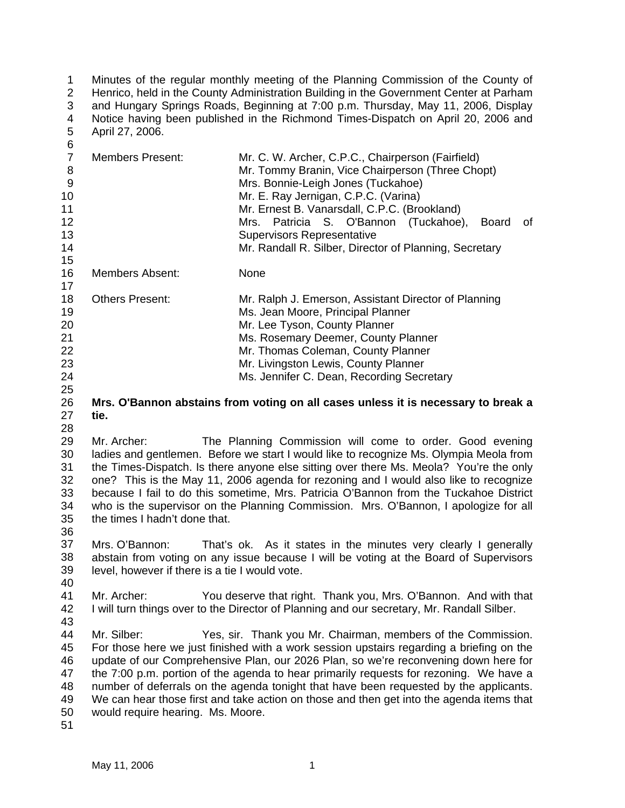1 2 3 4 5  $\kappa$ Minutes of the regular monthly meeting of the Planning Commission of the County of Henrico, held in the County Administration Building in the Government Center at Parham and Hungary Springs Roads, Beginning at 7:00 p.m. Thursday, May 11, 2006, Display Notice having been published in the Richmond Times-Dispatch on April 20, 2006 and April 27, 2006.

| ັັ<br>$\overline{7}$<br>8<br>$9\,$<br>10<br>11<br>12<br>13<br>14<br>15 | <b>Members Present:</b>                                          | Mr. C. W. Archer, C.P.C., Chairperson (Fairfield)<br>Mr. Tommy Branin, Vice Chairperson (Three Chopt)<br>Mrs. Bonnie-Leigh Jones (Tuckahoe)<br>Mr. E. Ray Jernigan, C.P.C. (Varina)<br>Mr. Ernest B. Vanarsdall, C.P.C. (Brookland)<br>Patricia<br>S. O'Bannon (Tuckahoe),<br>of<br>Mrs.<br><b>Board</b><br><b>Supervisors Representative</b><br>Mr. Randall R. Silber, Director of Planning, Secretary                                                                                                                        |
|------------------------------------------------------------------------|------------------------------------------------------------------|--------------------------------------------------------------------------------------------------------------------------------------------------------------------------------------------------------------------------------------------------------------------------------------------------------------------------------------------------------------------------------------------------------------------------------------------------------------------------------------------------------------------------------|
| 16<br>17                                                               | Members Absent:                                                  | None                                                                                                                                                                                                                                                                                                                                                                                                                                                                                                                           |
| 18<br>19<br>20<br>21<br>22<br>23<br>24<br>25                           | <b>Others Present:</b>                                           | Mr. Ralph J. Emerson, Assistant Director of Planning<br>Ms. Jean Moore, Principal Planner<br>Mr. Lee Tyson, County Planner<br>Ms. Rosemary Deemer, County Planner<br>Mr. Thomas Coleman, County Planner<br>Mr. Livingston Lewis, County Planner<br>Ms. Jennifer C. Dean, Recording Secretary                                                                                                                                                                                                                                   |
| 26<br>27<br>28                                                         | tie.                                                             | Mrs. O'Bannon abstains from voting on all cases unless it is necessary to break a                                                                                                                                                                                                                                                                                                                                                                                                                                              |
| 29<br>30<br>31<br>32<br>33<br>34<br>35                                 | Mr. Archer:<br>the times I hadn't done that.                     | The Planning Commission will come to order. Good evening<br>ladies and gentlemen. Before we start I would like to recognize Ms. Olympia Meola from<br>the Times-Dispatch. Is there anyone else sitting over there Ms. Meola? You're the only<br>one? This is the May 11, 2006 agenda for rezoning and I would also like to recognize<br>because I fail to do this sometime, Mrs. Patricia O'Bannon from the Tuckahoe District<br>who is the supervisor on the Planning Commission. Mrs. O'Bannon, I apologize for all          |
| 36<br>37<br>38<br>39<br>40                                             | Mrs. O'Bannon:<br>level, however if there is a tie I would vote. | That's ok. As it states in the minutes very clearly I generally<br>abstain from voting on any issue because I will be voting at the Board of Supervisors                                                                                                                                                                                                                                                                                                                                                                       |
| 41<br>42<br>43                                                         | Mr. Archer:                                                      | You deserve that right. Thank you, Mrs. O'Bannon. And with that<br>I will turn things over to the Director of Planning and our secretary, Mr. Randall Silber.                                                                                                                                                                                                                                                                                                                                                                  |
| 44<br>45<br>46<br>47<br>48<br>49<br>50<br>51                           | Mr. Silber:<br>would require hearing. Ms. Moore.                 | Yes, sir. Thank you Mr. Chairman, members of the Commission.<br>For those here we just finished with a work session upstairs regarding a briefing on the<br>update of our Comprehensive Plan, our 2026 Plan, so we're reconvening down here for<br>the 7:00 p.m. portion of the agenda to hear primarily requests for rezoning. We have a<br>number of deferrals on the agenda tonight that have been requested by the applicants.<br>We can hear those first and take action on those and then get into the agenda items that |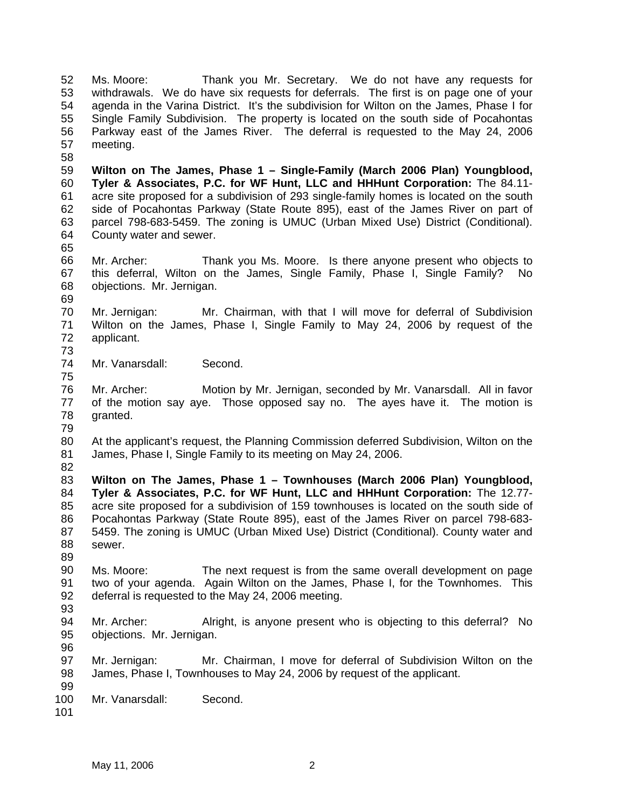52 53 54 55 56 57 58 Ms. Moore: Thank you Mr. Secretary. We do not have any requests for withdrawals. We do have six requests for deferrals. The first is on page one of your agenda in the Varina District. It's the subdivision for Wilton on the James, Phase I for Single Family Subdivision. The property is located on the south side of Pocahontas Parkway east of the James River. The deferral is requested to the May 24, 2006 meeting.

59 60 61 62 63 64 **Wilton on The James, Phase 1 – Single-Family (March 2006 Plan) Youngblood, Tyler & Associates, P.C. for WF Hunt, LLC and HHHunt Corporation:** The 84.11 acre site proposed for a subdivision of 293 single-family homes is located on the south side of Pocahontas Parkway (State Route 895), east of the James River on part of parcel 798-683-5459. The zoning is UMUC (Urban Mixed Use) District (Conditional). County water and sewer.

66 67 68 69 Mr. Archer: Thank you Ms. Moore. Is there anyone present who objects to this deferral, Wilton on the James, Single Family, Phase I, Single Family? No objections. Mr. Jernigan.

70 71 72 73 Mr. Jernigan: Mr. Chairman, with that I will move for deferral of Subdivision Wilton on the James, Phase I, Single Family to May 24, 2006 by request of the applicant.

74 75 Mr. Vanarsdall: Second.

76 77 78 Mr. Archer: Motion by Mr. Jernigan, seconded by Mr. Vanarsdall. All in favor of the motion say aye. Those opposed say no. The ayes have it. The motion is granted.

79

80 81 82 At the applicant's request, the Planning Commission deferred Subdivision, Wilton on the James, Phase I, Single Family to its meeting on May 24, 2006.

83 84 85 86 87 88 **Wilton on The James, Phase 1 – Townhouses (March 2006 Plan) Youngblood, Tyler & Associates, P.C. for WF Hunt, LLC and HHHunt Corporation:** The 12.77 acre site proposed for a subdivision of 159 townhouses is located on the south side of Pocahontas Parkway (State Route 895), east of the James River on parcel 798-683- 5459. The zoning is UMUC (Urban Mixed Use) District (Conditional). County water and sewer.

89

65

90 91 92 Ms. Moore: The next request is from the same overall development on page two of your agenda. Again Wilton on the James, Phase I, for the Townhomes. This deferral is requested to the May 24, 2006 meeting.

93

94 95 96 Mr. Archer: Alright, is anyone present who is objecting to this deferral? No objections. Mr. Jernigan.

97 98 Mr. Jernigan: Mr. Chairman, I move for deferral of Subdivision Wilton on the James, Phase I, Townhouses to May 24, 2006 by request of the applicant.

99 100 Mr. Vanarsdall: Second.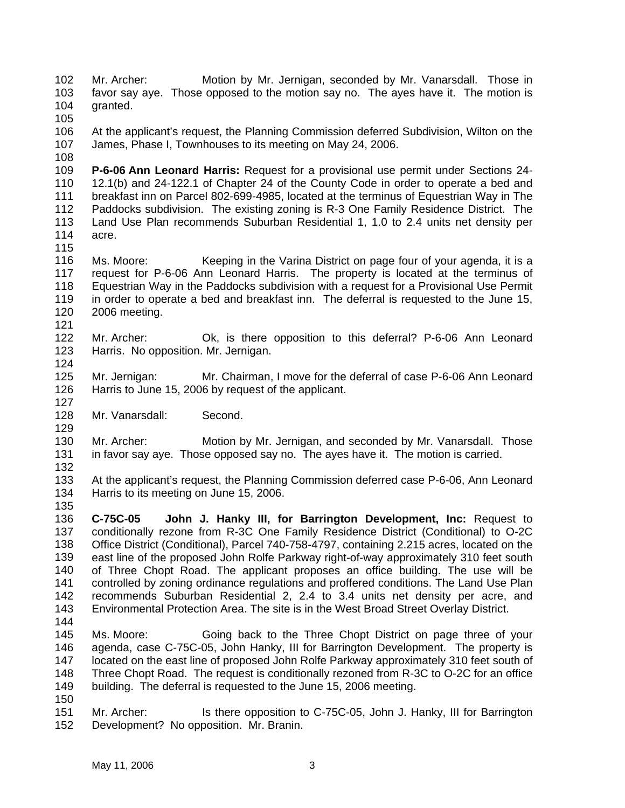102 103 104 105 106 107 108 109 110 111 112 113 114 115 116 117 118 119 120 121 122 123 124 125 126 127 128 129 130 131 132 133 134 135 136 137 138 139 140 141 142 143 144 145 146 147 148 149 150 151 152 Mr. Archer: Motion by Mr. Jernigan, seconded by Mr. Vanarsdall. Those in favor say aye. Those opposed to the motion say no. The ayes have it. The motion is granted. At the applicant's request, the Planning Commission deferred Subdivision, Wilton on the James, Phase I, Townhouses to its meeting on May 24, 2006. **P-6-06 Ann Leonard Harris:** Request for a provisional use permit under Sections 24- 12.1(b) and 24-122.1 of Chapter 24 of the County Code in order to operate a bed and breakfast inn on Parcel 802-699-4985, located at the terminus of Equestrian Way in The Paddocks subdivision. The existing zoning is R-3 One Family Residence District. The Land Use Plan recommends Suburban Residential 1, 1.0 to 2.4 units net density per acre. Ms. Moore: Keeping in the Varina District on page four of your agenda, it is a request for P-6-06 Ann Leonard Harris. The property is located at the terminus of Equestrian Way in the Paddocks subdivision with a request for a Provisional Use Permit in order to operate a bed and breakfast inn. The deferral is requested to the June 15, 2006 meeting. Mr. Archer: Ok, is there opposition to this deferral? P-6-06 Ann Leonard Harris. No opposition. Mr. Jernigan. Mr. Jernigan: Mr. Chairman, I move for the deferral of case P-6-06 Ann Leonard Harris to June 15, 2006 by request of the applicant. Mr. Vanarsdall: Second. Mr. Archer: Motion by Mr. Jernigan, and seconded by Mr. Vanarsdall. Those in favor say aye. Those opposed say no. The ayes have it. The motion is carried. At the applicant's request, the Planning Commission deferred case P-6-06, Ann Leonard Harris to its meeting on June 15, 2006. **C-75C-05 John J. Hanky III, for Barrington Development, Inc:** Request to conditionally rezone from R-3C One Family Residence District (Conditional) to O-2C Office District (Conditional), Parcel 740-758-4797, containing 2.215 acres, located on the east line of the proposed John Rolfe Parkway right-of-way approximately 310 feet south of Three Chopt Road. The applicant proposes an office building. The use will be controlled by zoning ordinance regulations and proffered conditions. The Land Use Plan recommends Suburban Residential 2, 2.4 to 3.4 units net density per acre, and Environmental Protection Area. The site is in the West Broad Street Overlay District. Ms. Moore: Going back to the Three Chopt District on page three of your agenda, case C-75C-05, John Hanky, III for Barrington Development. The property is located on the east line of proposed John Rolfe Parkway approximately 310 feet south of Three Chopt Road. The request is conditionally rezoned from R-3C to O-2C for an office building. The deferral is requested to the June 15, 2006 meeting. Mr. Archer: Is there opposition to C-75C-05, John J. Hanky, III for Barrington Development? No opposition. Mr. Branin.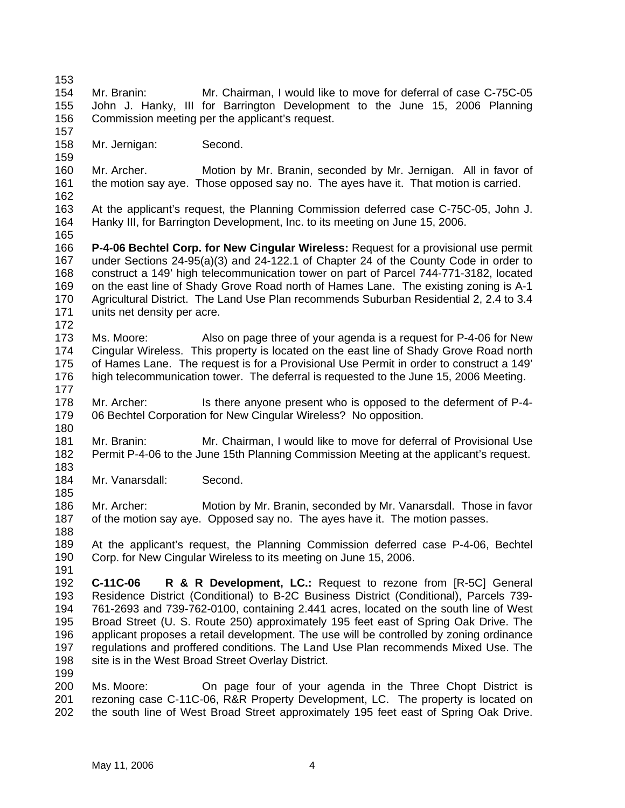153 154 155 156 157 158 159 160 161 162 163 164 165 166 167 168 169 170 171 172 173 174 175 176 177 178 179 180 181 182 183 184 185 186 187 188 189 190 191 192 193 194 195 196 197 198 199 200 201 202 Mr. Branin: Mr. Chairman, I would like to move for deferral of case C-75C-05 John J. Hanky, III for Barrington Development to the June 15, 2006 Planning Commission meeting per the applicant's request. Mr. Jernigan: Second. Mr. Archer. Motion by Mr. Branin, seconded by Mr. Jernigan. All in favor of the motion say aye. Those opposed say no. The ayes have it. That motion is carried. At the applicant's request, the Planning Commission deferred case C-75C-05, John J. Hanky III, for Barrington Development, Inc. to its meeting on June 15, 2006. **P-4-06 Bechtel Corp. for New Cingular Wireless:** Request for a provisional use permit under Sections 24-95(a)(3) and 24-122.1 of Chapter 24 of the County Code in order to construct a 149' high telecommunication tower on part of Parcel 744-771-3182, located on the east line of Shady Grove Road north of Hames Lane. The existing zoning is A-1 Agricultural District. The Land Use Plan recommends Suburban Residential 2, 2.4 to 3.4 units net density per acre. Ms. Moore: Also on page three of your agenda is a request for P-4-06 for New Cingular Wireless. This property is located on the east line of Shady Grove Road north of Hames Lane. The request is for a Provisional Use Permit in order to construct a 149' high telecommunication tower. The deferral is requested to the June 15, 2006 Meeting. Mr. Archer: Is there anyone present who is opposed to the deferment of P-4-06 Bechtel Corporation for New Cingular Wireless? No opposition. Mr. Branin: Mr. Chairman, I would like to move for deferral of Provisional Use Permit P-4-06 to the June 15th Planning Commission Meeting at the applicant's request. Mr. Vanarsdall: Second. Mr. Archer: Motion by Mr. Branin, seconded by Mr. Vanarsdall. Those in favor of the motion say aye. Opposed say no. The ayes have it. The motion passes. At the applicant's request, the Planning Commission deferred case P-4-06, Bechtel Corp. for New Cingular Wireless to its meeting on June 15, 2006. **C-11C-06 R & R Development, LC.:** Request to rezone from [R-5C] General Residence District (Conditional) to B-2C Business District (Conditional), Parcels 739- 761-2693 and 739-762-0100, containing 2.441 acres, located on the south line of West Broad Street (U. S. Route 250) approximately 195 feet east of Spring Oak Drive. The applicant proposes a retail development. The use will be controlled by zoning ordinance regulations and proffered conditions. The Land Use Plan recommends Mixed Use. The site is in the West Broad Street Overlay District. Ms. Moore: On page four of your agenda in the Three Chopt District is rezoning case C-11C-06, R&R Property Development, LC. The property is located on the south line of West Broad Street approximately 195 feet east of Spring Oak Drive.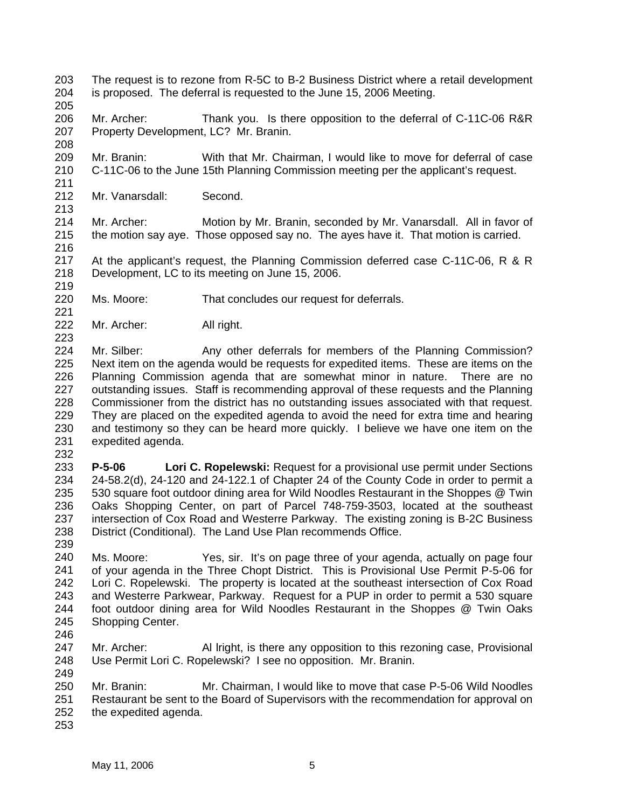- 203 204 The request is to rezone from R-5C to B-2 Business District where a retail development is proposed. The deferral is requested to the June 15, 2006 Meeting.
- 205
- 206 207 208 Mr. Archer: Thank you. Is there opposition to the deferral of C-11C-06 R&R Property Development, LC? Mr. Branin.
- 209 210 Mr. Branin: With that Mr. Chairman, I would like to move for deferral of case C-11C-06 to the June 15th Planning Commission meeting per the applicant's request.
- 212 Mr. Vanarsdall: Second.
- 214 215 Mr. Archer: Motion by Mr. Branin, seconded by Mr. Vanarsdall. All in favor of the motion say aye. Those opposed say no. The ayes have it. That motion is carried.
- 217 218 At the applicant's request, the Planning Commission deferred case C-11C-06, R & R Development, LC to its meeting on June 15, 2006.
- 220 Ms. Moore: That concludes our request for deferrals.
- 222 Mr. Archer: All right.
- 224 225 226 227 228 229 230 231 Mr. Silber: Any other deferrals for members of the Planning Commission? Next item on the agenda would be requests for expedited items. These are items on the Planning Commission agenda that are somewhat minor in nature. There are no outstanding issues. Staff is recommending approval of these requests and the Planning Commissioner from the district has no outstanding issues associated with that request. They are placed on the expedited agenda to avoid the need for extra time and hearing and testimony so they can be heard more quickly. I believe we have one item on the expedited agenda.
- 232

211

213

216

219

221

- 233 234 235 236 237 238 **P-5-06 Lori C. Ropelewski:** Request for a provisional use permit under Sections 24-58.2(d), 24-120 and 24-122.1 of Chapter 24 of the County Code in order to permit a 530 square foot outdoor dining area for Wild Noodles Restaurant in the Shoppes @ Twin Oaks Shopping Center, on part of Parcel 748-759-3503, located at the southeast intersection of Cox Road and Westerre Parkway. The existing zoning is B-2C Business District (Conditional). The Land Use Plan recommends Office.
- 239
- 240 241 242 243 244 245 Ms. Moore: Yes, sir. It's on page three of your agenda, actually on page four of your agenda in the Three Chopt District. This is Provisional Use Permit P-5-06 for Lori C. Ropelewski. The property is located at the southeast intersection of Cox Road and Westerre Parkwear, Parkway. Request for a PUP in order to permit a 530 square foot outdoor dining area for Wild Noodles Restaurant in the Shoppes @ Twin Oaks Shopping Center.
- 246
- 247 248 249 Mr. Archer: Al Iright, is there any opposition to this rezoning case, Provisional Use Permit Lori C. Ropelewski? I see no opposition. Mr. Branin.
- 250 251 252 Mr. Branin: Mr. Chairman, I would like to move that case P-5-06 Wild Noodles Restaurant be sent to the Board of Supervisors with the recommendation for approval on the expedited agenda.
- 253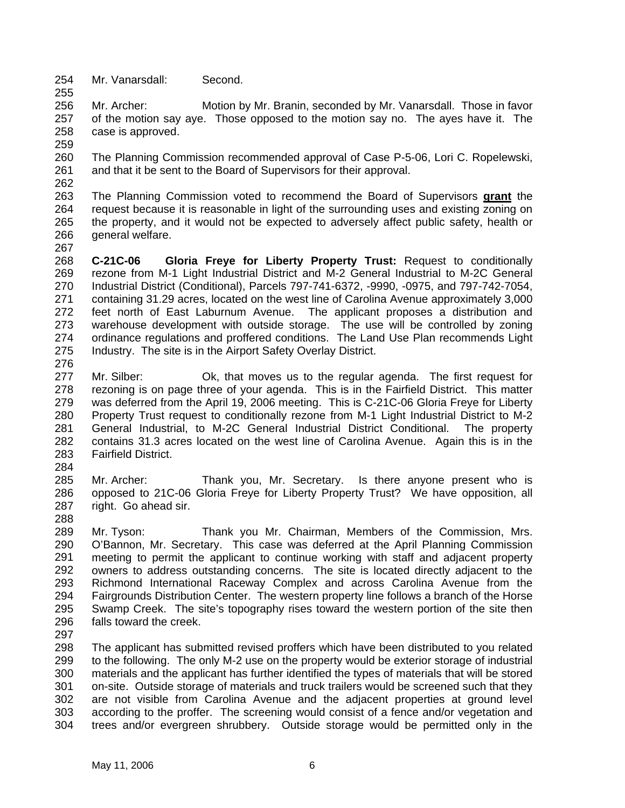254 255 Mr. Vanarsdall: Second.

256 257 258 Mr. Archer: Motion by Mr. Branin, seconded by Mr. Vanarsdall. Those in favor of the motion say aye. Those opposed to the motion say no. The ayes have it. The case is approved.

- 260 261 The Planning Commission recommended approval of Case P-5-06, Lori C. Ropelewski, and that it be sent to the Board of Supervisors for their approval.
- The Planning Commission voted to recommend the Board of Supervisors **grant** the request because it is reasonable in light of the surrounding uses and existing zoning on the property, and it would not be expected to adversely affect public safety, health or general welfare. 263 264 265 266
- 267

259

262

268 269 270 271 272 273 274 275 276 **C-21C-06 Gloria Freye for Liberty Property Trust:** Request to conditionally rezone from M-1 Light Industrial District and M-2 General Industrial to M-2C General Industrial District (Conditional), Parcels 797-741-6372, -9990, -0975, and 797-742-7054, containing 31.29 acres, located on the west line of Carolina Avenue approximately 3,000 feet north of East Laburnum Avenue. The applicant proposes a distribution and warehouse development with outside storage. The use will be controlled by zoning ordinance regulations and proffered conditions. The Land Use Plan recommends Light Industry. The site is in the Airport Safety Overlay District.

- 277 278 279 280 281 282 283 Mr. Silber: Ok, that moves us to the regular agenda. The first request for rezoning is on page three of your agenda. This is in the Fairfield District. This matter was deferred from the April 19, 2006 meeting. This is C-21C-06 Gloria Freye for Liberty Property Trust request to conditionally rezone from M-1 Light Industrial District to M-2 General Industrial, to M-2C General Industrial District Conditional. The property contains 31.3 acres located on the west line of Carolina Avenue. Again this is in the Fairfield District.
- 284
- 285 286 287 288 Mr. Archer: Thank you, Mr. Secretary. Is there anyone present who is opposed to 21C-06 Gloria Freye for Liberty Property Trust? We have opposition, all right. Go ahead sir.
- 289 290 291 292 293 294 295 296 Mr. Tyson: Thank you Mr. Chairman, Members of the Commission, Mrs. O'Bannon, Mr. Secretary. This case was deferred at the April Planning Commission meeting to permit the applicant to continue working with staff and adjacent property owners to address outstanding concerns. The site is located directly adjacent to the Richmond International Raceway Complex and across Carolina Avenue from the Fairgrounds Distribution Center. The western property line follows a branch of the Horse Swamp Creek. The site's topography rises toward the western portion of the site then falls toward the creek.
- 297

298 299 300 301 302 303 304 The applicant has submitted revised proffers which have been distributed to you related to the following. The only M-2 use on the property would be exterior storage of industrial materials and the applicant has further identified the types of materials that will be stored on-site. Outside storage of materials and truck trailers would be screened such that they are not visible from Carolina Avenue and the adjacent properties at ground level according to the proffer. The screening would consist of a fence and/or vegetation and trees and/or evergreen shrubbery. Outside storage would be permitted only in the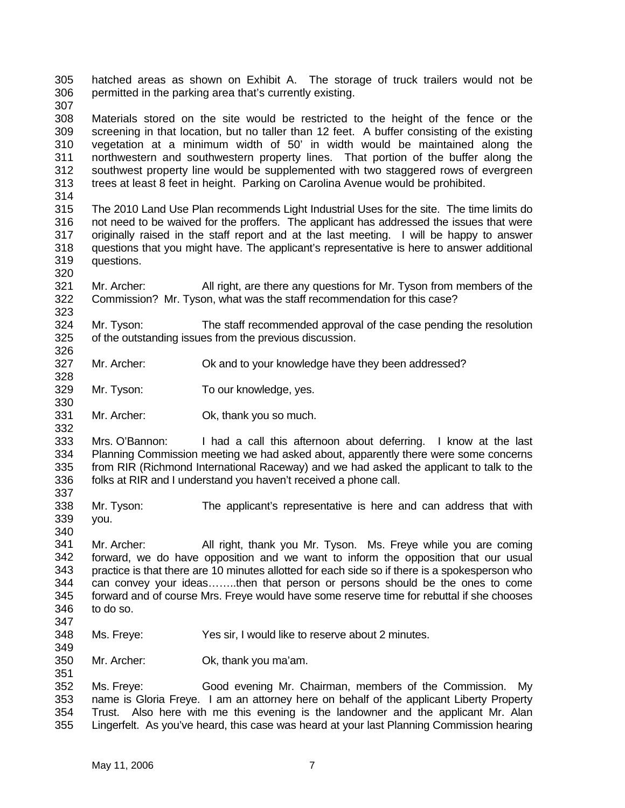305 306 307 308 309 310 311 312 313 314 315 316 317 318 319 320 321 322 323 324 325 326 327 328 329 330 331 332 333 334 335 336 337 338 339 340 341 342 343 344 345 346 347 348 349 350 351 352 353 354 355 hatched areas as shown on Exhibit A. The storage of truck trailers would not be permitted in the parking area that's currently existing. Materials stored on the site would be restricted to the height of the fence or the screening in that location, but no taller than 12 feet. A buffer consisting of the existing vegetation at a minimum width of 50' in width would be maintained along the northwestern and southwestern property lines. That portion of the buffer along the southwest property line would be supplemented with two staggered rows of evergreen trees at least 8 feet in height. Parking on Carolina Avenue would be prohibited. The 2010 Land Use Plan recommends Light Industrial Uses for the site. The time limits do not need to be waived for the proffers. The applicant has addressed the issues that were originally raised in the staff report and at the last meeting. I will be happy to answer questions that you might have. The applicant's representative is here to answer additional questions. Mr. Archer: All right, are there any questions for Mr. Tyson from members of the Commission? Mr. Tyson, what was the staff recommendation for this case? Mr. Tyson: The staff recommended approval of the case pending the resolution of the outstanding issues from the previous discussion. Mr. Archer: Ok and to your knowledge have they been addressed? Mr. Tyson: To our knowledge, yes. Mr. Archer: Ok, thank you so much. Mrs. O'Bannon: I had a call this afternoon about deferring. I know at the last Planning Commission meeting we had asked about, apparently there were some concerns from RIR (Richmond International Raceway) and we had asked the applicant to talk to the folks at RIR and I understand you haven't received a phone call. Mr. Tyson: The applicant's representative is here and can address that with you. Mr. Archer: All right, thank you Mr. Tyson. Ms. Freye while you are coming forward, we do have opposition and we want to inform the opposition that our usual practice is that there are 10 minutes allotted for each side so if there is a spokesperson who can convey your ideas……..then that person or persons should be the ones to come forward and of course Mrs. Freye would have some reserve time for rebuttal if she chooses to do so. Ms. Freye: Yes sir, I would like to reserve about 2 minutes. Mr. Archer: Ok, thank you ma'am. Ms. Freye: Good evening Mr. Chairman, members of the Commission. My name is Gloria Freye. I am an attorney here on behalf of the applicant Liberty Property Trust. Also here with me this evening is the landowner and the applicant Mr. Alan Lingerfelt. As you've heard, this case was heard at your last Planning Commission hearing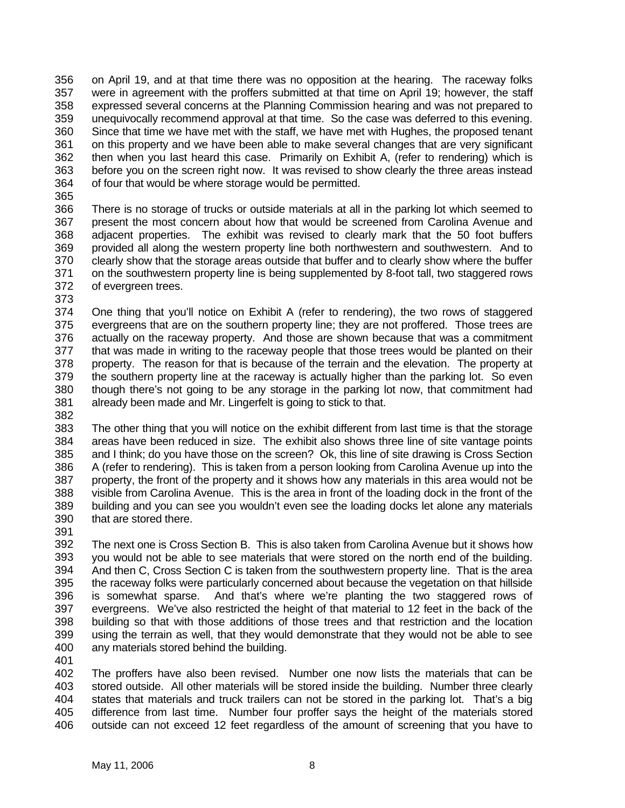356 357 358 359 360 361 362 363 364 on April 19, and at that time there was no opposition at the hearing. The raceway folks were in agreement with the proffers submitted at that time on April 19; however, the staff expressed several concerns at the Planning Commission hearing and was not prepared to unequivocally recommend approval at that time. So the case was deferred to this evening. Since that time we have met with the staff, we have met with Hughes, the proposed tenant on this property and we have been able to make several changes that are very significant then when you last heard this case. Primarily on Exhibit A, (refer to rendering) which is before you on the screen right now. It was revised to show clearly the three areas instead of four that would be where storage would be permitted.

365

366 367 368 369 370 371 372 There is no storage of trucks or outside materials at all in the parking lot which seemed to present the most concern about how that would be screened from Carolina Avenue and adjacent properties. The exhibit was revised to clearly mark that the 50 foot buffers provided all along the western property line both northwestern and southwestern. And to clearly show that the storage areas outside that buffer and to clearly show where the buffer on the southwestern property line is being supplemented by 8-foot tall, two staggered rows of evergreen trees.

373

374 375 376 377 378 379 380 381 One thing that you'll notice on Exhibit A (refer to rendering), the two rows of staggered evergreens that are on the southern property line; they are not proffered. Those trees are actually on the raceway property. And those are shown because that was a commitment that was made in writing to the raceway people that those trees would be planted on their property. The reason for that is because of the terrain and the elevation. The property at the southern property line at the raceway is actually higher than the parking lot. So even though there's not going to be any storage in the parking lot now, that commitment had already been made and Mr. Lingerfelt is going to stick to that.

382

383 384 385 386 387 388 389 390 The other thing that you will notice on the exhibit different from last time is that the storage areas have been reduced in size. The exhibit also shows three line of site vantage points and I think; do you have those on the screen? Ok, this line of site drawing is Cross Section A (refer to rendering). This is taken from a person looking from Carolina Avenue up into the property, the front of the property and it shows how any materials in this area would not be visible from Carolina Avenue. This is the area in front of the loading dock in the front of the building and you can see you wouldn't even see the loading docks let alone any materials that are stored there.

391

392 393 394 395 396 397 398 399 400 The next one is Cross Section B. This is also taken from Carolina Avenue but it shows how you would not be able to see materials that were stored on the north end of the building. And then C, Cross Section C is taken from the southwestern property line. That is the area the raceway folks were particularly concerned about because the vegetation on that hillside is somewhat sparse. And that's where we're planting the two staggered rows of evergreens. We've also restricted the height of that material to 12 feet in the back of the building so that with those additions of those trees and that restriction and the location using the terrain as well, that they would demonstrate that they would not be able to see any materials stored behind the building.

401

402 403 404 405 406 The proffers have also been revised. Number one now lists the materials that can be stored outside. All other materials will be stored inside the building. Number three clearly states that materials and truck trailers can not be stored in the parking lot. That's a big difference from last time. Number four proffer says the height of the materials stored outside can not exceed 12 feet regardless of the amount of screening that you have to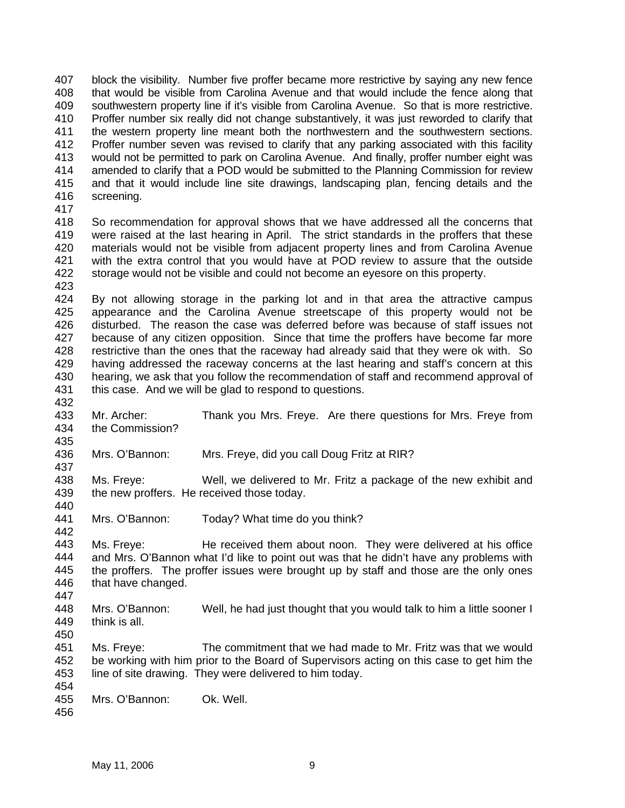407 408 409 410 411 412 413 414 415 416 block the visibility. Number five proffer became more restrictive by saying any new fence that would be visible from Carolina Avenue and that would include the fence along that southwestern property line if it's visible from Carolina Avenue. So that is more restrictive. Proffer number six really did not change substantively, it was just reworded to clarify that the western property line meant both the northwestern and the southwestern sections. Proffer number seven was revised to clarify that any parking associated with this facility would not be permitted to park on Carolina Avenue. And finally, proffer number eight was amended to clarify that a POD would be submitted to the Planning Commission for review and that it would include line site drawings, landscaping plan, fencing details and the screening.

417

432

435

437

442

418 419 420 421 422 423 So recommendation for approval shows that we have addressed all the concerns that were raised at the last hearing in April. The strict standards in the proffers that these materials would not be visible from adjacent property lines and from Carolina Avenue with the extra control that you would have at POD review to assure that the outside storage would not be visible and could not become an eyesore on this property.

424 425 426 427 428 429 430 431 By not allowing storage in the parking lot and in that area the attractive campus appearance and the Carolina Avenue streetscape of this property would not be disturbed. The reason the case was deferred before was because of staff issues not because of any citizen opposition. Since that time the proffers have become far more restrictive than the ones that the raceway had already said that they were ok with. So having addressed the raceway concerns at the last hearing and staff's concern at this hearing, we ask that you follow the recommendation of staff and recommend approval of this case. And we will be glad to respond to questions.

433 434 Mr. Archer: Thank you Mrs. Freye. Are there questions for Mrs. Freye from the Commission?

436 Mrs. O'Bannon: Mrs. Freye, did you call Doug Fritz at RIR?

438 439 440 Ms. Freye: Well, we delivered to Mr. Fritz a package of the new exhibit and the new proffers. He received those today.

441 Mrs. O'Bannon: Today? What time do you think?

443 444 445 446 447 Ms. Freye: He received them about noon. They were delivered at his office and Mrs. O'Bannon what I'd like to point out was that he didn't have any problems with the proffers. The proffer issues were brought up by staff and those are the only ones that have changed.

448 449 Mrs. O'Bannon: Well, he had just thought that you would talk to him a little sooner I think is all.

451 452 453 Ms. Freye: The commitment that we had made to Mr. Fritz was that we would be working with him prior to the Board of Supervisors acting on this case to get him the line of site drawing. They were delivered to him today.

454

450

455 Mrs. O'Bannon: Ok. Well.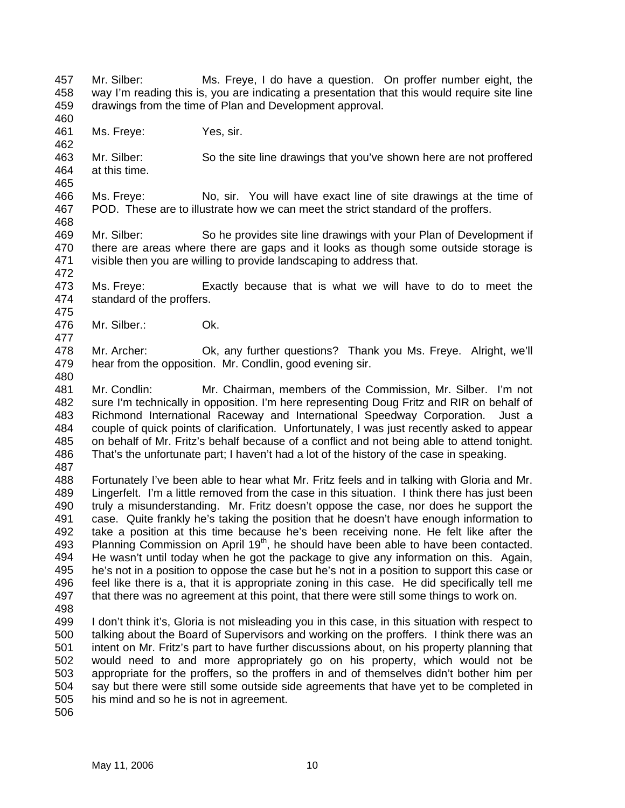457 458 459 Mr. Silber: Ms. Freye, I do have a question. On proffer number eight, the way I'm reading this is, you are indicating a presentation that this would require site line drawings from the time of Plan and Development approval.

461 Ms. Freye: Yes, sir.

463 464 Mr. Silber: So the site line drawings that you've shown here are not proffered at this time.

466 467 468 Ms. Freye: No, sir. You will have exact line of site drawings at the time of POD. These are to illustrate how we can meet the strict standard of the proffers.

469 470 471 Mr. Silber: So he provides site line drawings with your Plan of Development if there are areas where there are gaps and it looks as though some outside storage is visible then you are willing to provide landscaping to address that.

- 473 474 Ms. Freye: Exactly because that is what we will have to do to meet the standard of the proffers.
- 476 Mr. Silber.: Ok.

478 479 Mr. Archer: Ok, any further questions? Thank you Ms. Freye. Alright, we'll hear from the opposition. Mr. Condlin, good evening sir.

480

460

462

465

472

475

477

481 482 483 484 485 486 Mr. Condlin: Mr. Chairman, members of the Commission, Mr. Silber. I'm not sure I'm technically in opposition. I'm here representing Doug Fritz and RIR on behalf of Richmond International Raceway and International Speedway Corporation. Just a couple of quick points of clarification. Unfortunately, I was just recently asked to appear on behalf of Mr. Fritz's behalf because of a conflict and not being able to attend tonight. That's the unfortunate part; I haven't had a lot of the history of the case in speaking.

487

488 489 490 491 492 493 494 495 496 497 Fortunately I've been able to hear what Mr. Fritz feels and in talking with Gloria and Mr. Lingerfelt. I'm a little removed from the case in this situation. I think there has just been truly a misunderstanding. Mr. Fritz doesn't oppose the case, nor does he support the case. Quite frankly he's taking the position that he doesn't have enough information to take a position at this time because he's been receiving none. He felt like after the Planning Commission on April 19<sup>th</sup>, he should have been able to have been contacted. He wasn't until today when he got the package to give any information on this. Again, he's not in a position to oppose the case but he's not in a position to support this case or feel like there is a, that it is appropriate zoning in this case. He did specifically tell me that there was no agreement at this point, that there were still some things to work on.

498

499 500 501 502 503 504 505 I don't think it's, Gloria is not misleading you in this case, in this situation with respect to talking about the Board of Supervisors and working on the proffers. I think there was an intent on Mr. Fritz's part to have further discussions about, on his property planning that would need to and more appropriately go on his property, which would not be appropriate for the proffers, so the proffers in and of themselves didn't bother him per say but there were still some outside side agreements that have yet to be completed in his mind and so he is not in agreement.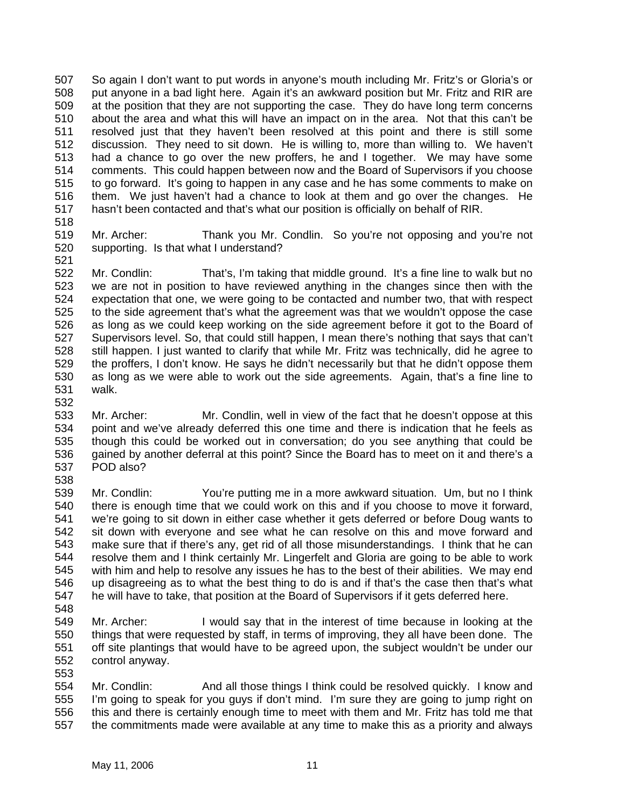507 508 509 510 511 512 513 514 515 516 517 So again I don't want to put words in anyone's mouth including Mr. Fritz's or Gloria's or put anyone in a bad light here. Again it's an awkward position but Mr. Fritz and RIR are at the position that they are not supporting the case. They do have long term concerns about the area and what this will have an impact on in the area. Not that this can't be resolved just that they haven't been resolved at this point and there is still some discussion. They need to sit down. He is willing to, more than willing to. We haven't had a chance to go over the new proffers, he and I together. We may have some comments. This could happen between now and the Board of Supervisors if you choose to go forward. It's going to happen in any case and he has some comments to make on them. We just haven't had a chance to look at them and go over the changes. He hasn't been contacted and that's what our position is officially on behalf of RIR.

518

519 520 521 Mr. Archer: Thank you Mr. Condlin. So you're not opposing and you're not supporting. Is that what I understand?

522 523 524 525 526 527 528 529 530 531 532 Mr. Condlin: That's, I'm taking that middle ground. It's a fine line to walk but no we are not in position to have reviewed anything in the changes since then with the expectation that one, we were going to be contacted and number two, that with respect to the side agreement that's what the agreement was that we wouldn't oppose the case as long as we could keep working on the side agreement before it got to the Board of Supervisors level. So, that could still happen, I mean there's nothing that says that can't still happen. I just wanted to clarify that while Mr. Fritz was technically, did he agree to the proffers, I don't know. He says he didn't necessarily but that he didn't oppose them as long as we were able to work out the side agreements. Again, that's a fine line to walk.

- 533 534 535 536 537 538 Mr. Archer: Mr. Condlin, well in view of the fact that he doesn't oppose at this point and we've already deferred this one time and there is indication that he feels as though this could be worked out in conversation; do you see anything that could be gained by another deferral at this point? Since the Board has to meet on it and there's a POD also?
- 539 540 541 542 543 544 545 546 547 Mr. Condlin: You're putting me in a more awkward situation. Um, but no I think there is enough time that we could work on this and if you choose to move it forward, we're going to sit down in either case whether it gets deferred or before Doug wants to sit down with everyone and see what he can resolve on this and move forward and make sure that if there's any, get rid of all those misunderstandings. I think that he can resolve them and I think certainly Mr. Lingerfelt and Gloria are going to be able to work with him and help to resolve any issues he has to the best of their abilities. We may end up disagreeing as to what the best thing to do is and if that's the case then that's what he will have to take, that position at the Board of Supervisors if it gets deferred here.
- 548
- 549 550 551 552 553 Mr. Archer: I would say that in the interest of time because in looking at the things that were requested by staff, in terms of improving, they all have been done. The off site plantings that would have to be agreed upon, the subject wouldn't be under our control anyway.
- 554 555 556 557 Mr. Condlin: And all those things I think could be resolved quickly. I know and I'm going to speak for you guys if don't mind. I'm sure they are going to jump right on this and there is certainly enough time to meet with them and Mr. Fritz has told me that the commitments made were available at any time to make this as a priority and always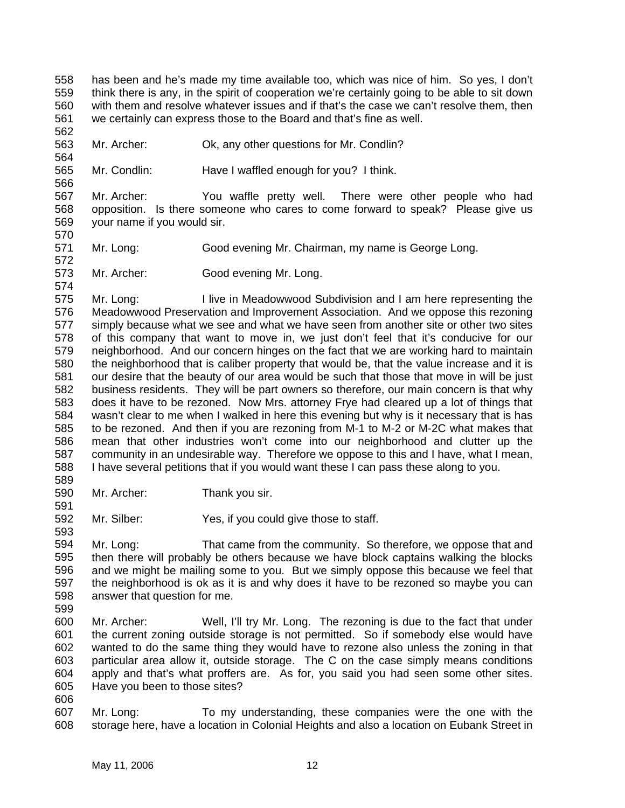558 559 560 561 has been and he's made my time available too, which was nice of him. So yes, I don't think there is any, in the spirit of cooperation we're certainly going to be able to sit down with them and resolve whatever issues and if that's the case we can't resolve them, then we certainly can express those to the Board and that's fine as well.

563 Mr. Archer: Ok, any other questions for Mr. Condlin?

565 Mr. Condlin: Have I waffled enough for you? I think.

567 568 569 Mr. Archer: You waffle pretty well. There were other people who had opposition. Is there someone who cares to come forward to speak? Please give us your name if you would sir.

571 Mr. Long: Good evening Mr. Chairman, my name is George Long.

573 574 Mr. Archer: Good evening Mr. Long.

575 576 577 578 579 580 581 582 583 584 585 586 587 588 Mr. Long: I live in Meadowwood Subdivision and I am here representing the Meadowwood Preservation and Improvement Association. And we oppose this rezoning simply because what we see and what we have seen from another site or other two sites of this company that want to move in, we just don't feel that it's conducive for our neighborhood. And our concern hinges on the fact that we are working hard to maintain the neighborhood that is caliber property that would be, that the value increase and it is our desire that the beauty of our area would be such that those that move in will be just business residents. They will be part owners so therefore, our main concern is that why does it have to be rezoned. Now Mrs. attorney Frye had cleared up a lot of things that wasn't clear to me when I walked in here this evening but why is it necessary that is has to be rezoned. And then if you are rezoning from M-1 to M-2 or M-2C what makes that mean that other industries won't come into our neighborhood and clutter up the community in an undesirable way. Therefore we oppose to this and I have, what I mean, I have several petitions that if you would want these I can pass these along to you.

589 590

591

593

562

564

566

570

572

Mr. Archer: Thank you sir.

592 Mr. Silber: Yes, if you could give those to staff.

594 595 596 597 598 Mr. Long: That came from the community. So therefore, we oppose that and then there will probably be others because we have block captains walking the blocks and we might be mailing some to you. But we simply oppose this because we feel that the neighborhood is ok as it is and why does it have to be rezoned so maybe you can answer that question for me.

- 599
- 600 601 602 603 604 605 Mr. Archer: Well, I'll try Mr. Long. The rezoning is due to the fact that under the current zoning outside storage is not permitted. So if somebody else would have wanted to do the same thing they would have to rezone also unless the zoning in that particular area allow it, outside storage. The C on the case simply means conditions apply and that's what proffers are. As for, you said you had seen some other sites. Have you been to those sites?
- 606

607 608 Mr. Long: To my understanding, these companies were the one with the storage here, have a location in Colonial Heights and also a location on Eubank Street in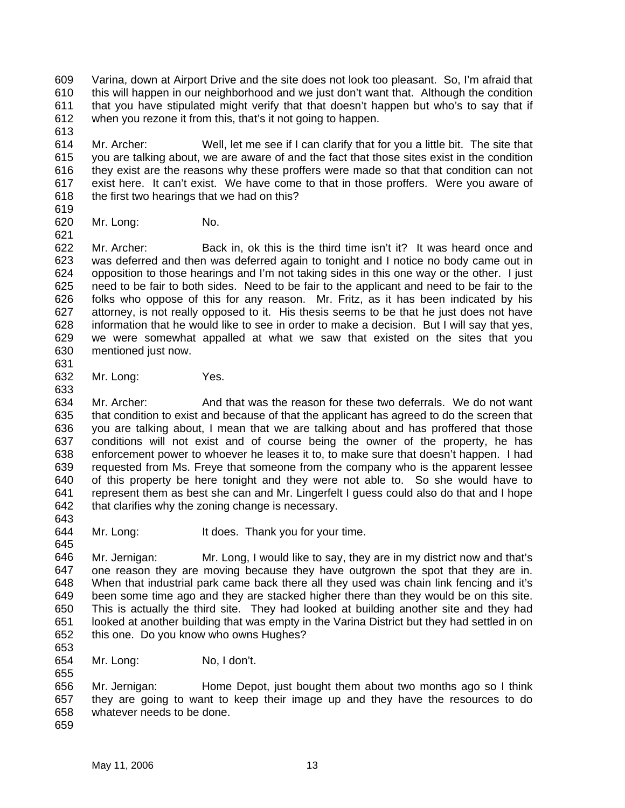609 610 611 612 Varina, down at Airport Drive and the site does not look too pleasant. So, I'm afraid that this will happen in our neighborhood and we just don't want that. Although the condition that you have stipulated might verify that that doesn't happen but who's to say that if when you rezone it from this, that's it not going to happen.

614 615 616 617 618 Mr. Archer: Well, let me see if I can clarify that for you a little bit. The site that you are talking about, we are aware of and the fact that those sites exist in the condition they exist are the reasons why these proffers were made so that that condition can not exist here. It can't exist. We have come to that in those proffers. Were you aware of the first two hearings that we had on this?

619

613

620 621 Mr. Long: No.

622 623 624 625 626 627 628 629 630 Mr. Archer: Back in, ok this is the third time isn't it? It was heard once and was deferred and then was deferred again to tonight and I notice no body came out in opposition to those hearings and I'm not taking sides in this one way or the other. I just need to be fair to both sides. Need to be fair to the applicant and need to be fair to the folks who oppose of this for any reason. Mr. Fritz, as it has been indicated by his attorney, is not really opposed to it. His thesis seems to be that he just does not have information that he would like to see in order to make a decision. But I will say that yes, we were somewhat appalled at what we saw that existed on the sites that you mentioned just now.

631 632

633

Mr. Long: Yes.

- 634 635 636 637 638 639 640 641 642 643 Mr. Archer: And that was the reason for these two deferrals. We do not want that condition to exist and because of that the applicant has agreed to do the screen that you are talking about, I mean that we are talking about and has proffered that those conditions will not exist and of course being the owner of the property, he has enforcement power to whoever he leases it to, to make sure that doesn't happen. I had requested from Ms. Freye that someone from the company who is the apparent lessee of this property be here tonight and they were not able to. So she would have to represent them as best she can and Mr. Lingerfelt I guess could also do that and I hope that clarifies why the zoning change is necessary.
- 644 Mr. Long: It does. Thank you for your time.

646 647 648 649 650 651 652 Mr. Jernigan: Mr. Long, I would like to say, they are in my district now and that's one reason they are moving because they have outgrown the spot that they are in. When that industrial park came back there all they used was chain link fencing and it's been some time ago and they are stacked higher there than they would be on this site. This is actually the third site. They had looked at building another site and they had looked at another building that was empty in the Varina District but they had settled in on this one. Do you know who owns Hughes?

653

645

654 655 Mr. Long: No, I don't.

656 657 658 Mr. Jernigan: Home Depot, just bought them about two months ago so I think they are going to want to keep their image up and they have the resources to do whatever needs to be done.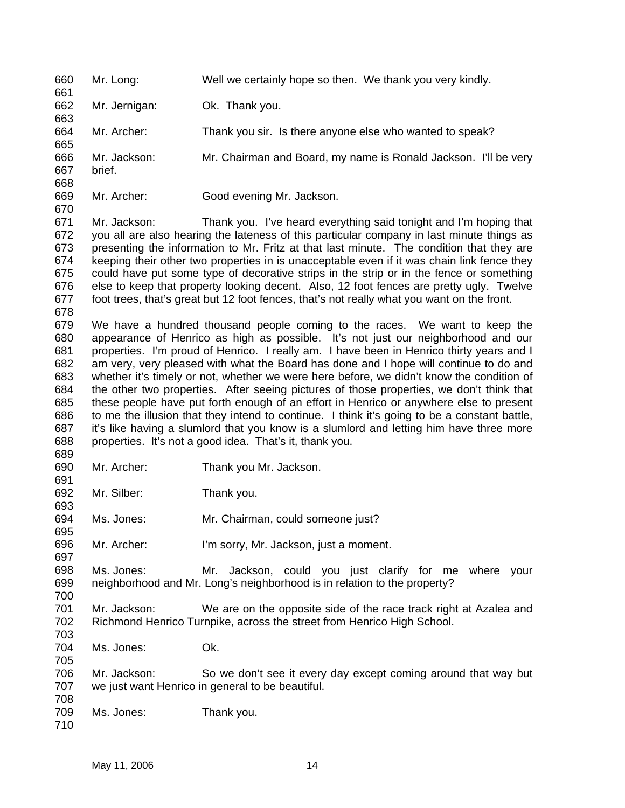660 Mr. Long: Well we certainly hope so then. We thank you very kindly.

662 Mr. Jernigan: Ok. Thank you.

664 Mr. Archer: Thank you sir. Is there anyone else who wanted to speak?

666 Mr. Jackson: Mr. Chairman and Board, my name is Ronald Jackson. I'll be very

667 668 brief.

661

663

665

669 670

Mr. Archer: Good evening Mr. Jackson.

671 672 673 674 675 676 677 Mr. Jackson: Thank you. I've heard everything said tonight and I'm hoping that you all are also hearing the lateness of this particular company in last minute things as presenting the information to Mr. Fritz at that last minute. The condition that they are keeping their other two properties in is unacceptable even if it was chain link fence they could have put some type of decorative strips in the strip or in the fence or something else to keep that property looking decent. Also, 12 foot fences are pretty ugly. Twelve foot trees, that's great but 12 foot fences, that's not really what you want on the front.

678

689

691

695

697

705

708

679 680 681 682 683 684 685 686 687 688 We have a hundred thousand people coming to the races. We want to keep the appearance of Henrico as high as possible. It's not just our neighborhood and our properties. I'm proud of Henrico. I really am. I have been in Henrico thirty years and I am very, very pleased with what the Board has done and I hope will continue to do and whether it's timely or not, whether we were here before, we didn't know the condition of the other two properties. After seeing pictures of those properties, we don't think that these people have put forth enough of an effort in Henrico or anywhere else to present to me the illusion that they intend to continue. I think it's going to be a constant battle, it's like having a slumlord that you know is a slumlord and letting him have three more properties. It's not a good idea. That's it, thank you.

690 Mr. Archer: Thank you Mr. Jackson.

692 693 Mr. Silber: Thank you.

694 Ms. Jones: Mr. Chairman, could someone just?

696 Mr. Archer: I'm sorry, Mr. Jackson, just a moment.

698 699 700 Ms. Jones: Mr. Jackson, could you just clarify for me where your neighborhood and Mr. Long's neighborhood is in relation to the property?

701 702 703 Mr. Jackson: We are on the opposite side of the race track right at Azalea and Richmond Henrico Turnpike, across the street from Henrico High School.

704 Ms. Jones: Ok.

706 707 Mr. Jackson: So we don't see it every day except coming around that way but we just want Henrico in general to be beautiful.

709 Ms. Jones: Thank you.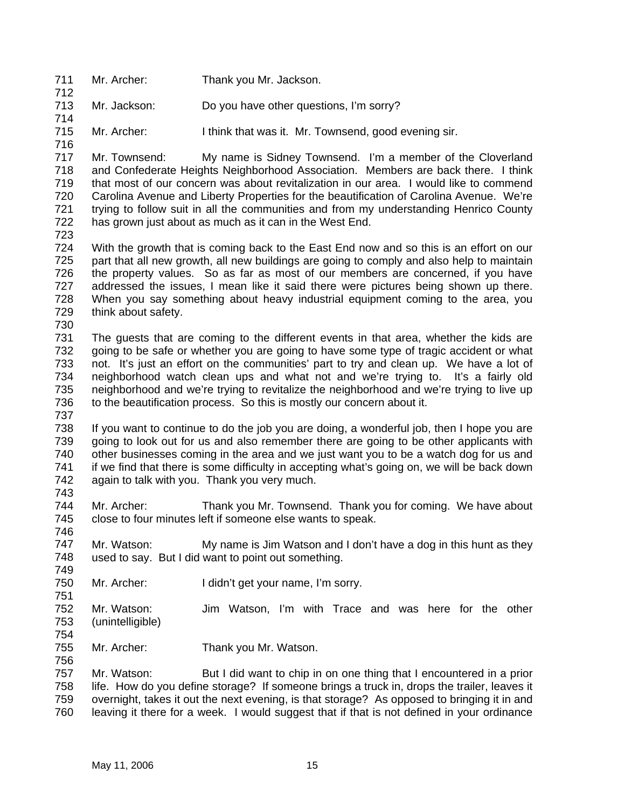- 711 712 Mr. Archer: Thank you Mr. Jackson.
- 713 714 Mr. Jackson: Do you have other questions, I'm sorry?
- 715 Mr. Archer: I think that was it. Mr. Townsend, good evening sir.
- 717 718 719 720 721 722 Mr. Townsend: My name is Sidney Townsend. I'm a member of the Cloverland and Confederate Heights Neighborhood Association. Members are back there. I think that most of our concern was about revitalization in our area. I would like to commend Carolina Avenue and Liberty Properties for the beautification of Carolina Avenue. We're trying to follow suit in all the communities and from my understanding Henrico County has grown just about as much as it can in the West End.
- 723

716

724 725 726 727 728 729 With the growth that is coming back to the East End now and so this is an effort on our part that all new growth, all new buildings are going to comply and also help to maintain the property values. So as far as most of our members are concerned, if you have addressed the issues, I mean like it said there were pictures being shown up there. When you say something about heavy industrial equipment coming to the area, you think about safety.

730

731 732 733 734 735 736 737 The guests that are coming to the different events in that area, whether the kids are going to be safe or whether you are going to have some type of tragic accident or what not. It's just an effort on the communities' part to try and clean up. We have a lot of neighborhood watch clean ups and what not and we're trying to. It's a fairly old neighborhood and we're trying to revitalize the neighborhood and we're trying to live up to the beautification process. So this is mostly our concern about it.

- 738 739 740 741 742 If you want to continue to do the job you are doing, a wonderful job, then I hope you are going to look out for us and also remember there are going to be other applicants with other businesses coming in the area and we just want you to be a watch dog for us and if we find that there is some difficulty in accepting what's going on, we will be back down again to talk with you. Thank you very much.
- 743

751

756

744 745 746 Mr. Archer: Thank you Mr. Townsend. Thank you for coming. We have about close to four minutes left if someone else wants to speak.

747 748 749 Mr. Watson: My name is Jim Watson and I don't have a dog in this hunt as they used to say. But I did want to point out something.

- 750 Mr. Archer: I didn't get your name, I'm sorry.
- 752 753 754 Mr. Watson: Jim Watson, I'm with Trace and was here for the other (unintelligible)
- 755 Mr. Archer: Thank you Mr. Watson.

757 758 759 760 Mr. Watson: But I did want to chip in on one thing that I encountered in a prior life. How do you define storage? If someone brings a truck in, drops the trailer, leaves it overnight, takes it out the next evening, is that storage? As opposed to bringing it in and leaving it there for a week. I would suggest that if that is not defined in your ordinance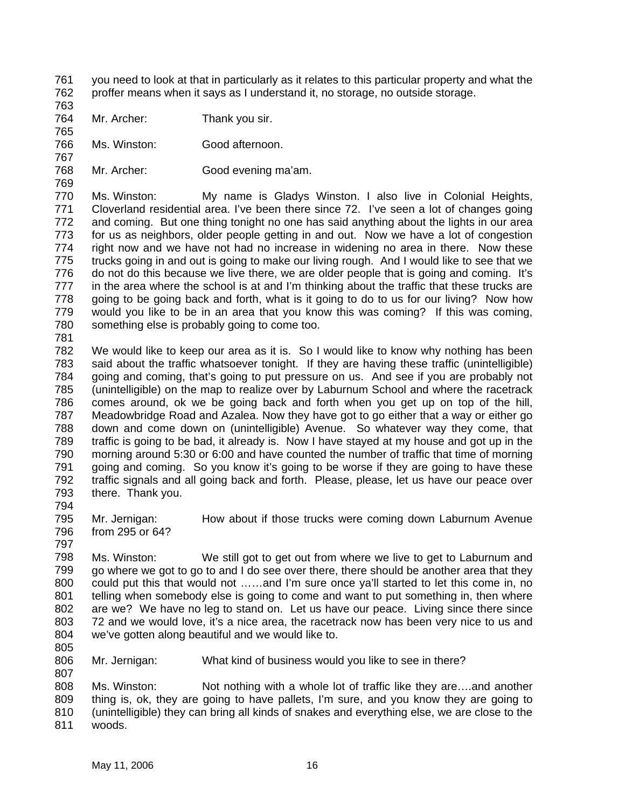- 761 762 you need to look at that in particularly as it relates to this particular property and what the proffer means when it says as I understand it, no storage, no outside storage.
- 763 764

765

767

769

- Mr. Archer: Thank you sir.
- 766 Ms. Winston: Good afternoon.
- 768 Mr. Archer: Good evening ma'am.

770 771 772 773 774 775 776 777 778 779 780 Ms. Winston: My name is Gladys Winston. I also live in Colonial Heights, Cloverland residential area. I've been there since 72. I've seen a lot of changes going and coming. But one thing tonight no one has said anything about the lights in our area for us as neighbors, older people getting in and out. Now we have a lot of congestion right now and we have not had no increase in widening no area in there. Now these trucks going in and out is going to make our living rough. And I would like to see that we do not do this because we live there, we are older people that is going and coming. It's in the area where the school is at and I'm thinking about the traffic that these trucks are going to be going back and forth, what is it going to do to us for our living? Now how would you like to be in an area that you know this was coming? If this was coming, something else is probably going to come too.

781

782 783 784 785 786 787 788 789 790 791 792 793 We would like to keep our area as it is. So I would like to know why nothing has been said about the traffic whatsoever tonight. If they are having these traffic (unintelligible) going and coming, that's going to put pressure on us. And see if you are probably not (unintelligible) on the map to realize over by Laburnum School and where the racetrack comes around, ok we be going back and forth when you get up on top of the hill, Meadowbridge Road and Azalea. Now they have got to go either that a way or either go down and come down on (unintelligible) Avenue. So whatever way they come, that traffic is going to be bad, it already is. Now I have stayed at my house and got up in the morning around 5:30 or 6:00 and have counted the number of traffic that time of morning going and coming. So you know it's going to be worse if they are going to have these traffic signals and all going back and forth. Please, please, let us have our peace over there. Thank you.

794

797

795 796 Mr. Jernigan: How about if those trucks were coming down Laburnum Avenue from 295 or 64?

798 799 800 801 802 803 804 Ms. Winston: We still got to get out from where we live to get to Laburnum and go where we got to go to and I do see over there, there should be another area that they could put this that would not ……and I'm sure once ya'll started to let this come in, no telling when somebody else is going to come and want to put something in, then where are we? We have no leg to stand on. Let us have our peace. Living since there since 72 and we would love, it's a nice area, the racetrack now has been very nice to us and we've gotten along beautiful and we would like to.

805

806 807 Mr. Jernigan: What kind of business would you like to see in there?

808 809 810 811 Ms. Winston: Not nothing with a whole lot of traffic like they are….and another thing is, ok, they are going to have pallets, I'm sure, and you know they are going to (unintelligible) they can bring all kinds of snakes and everything else, we are close to the woods.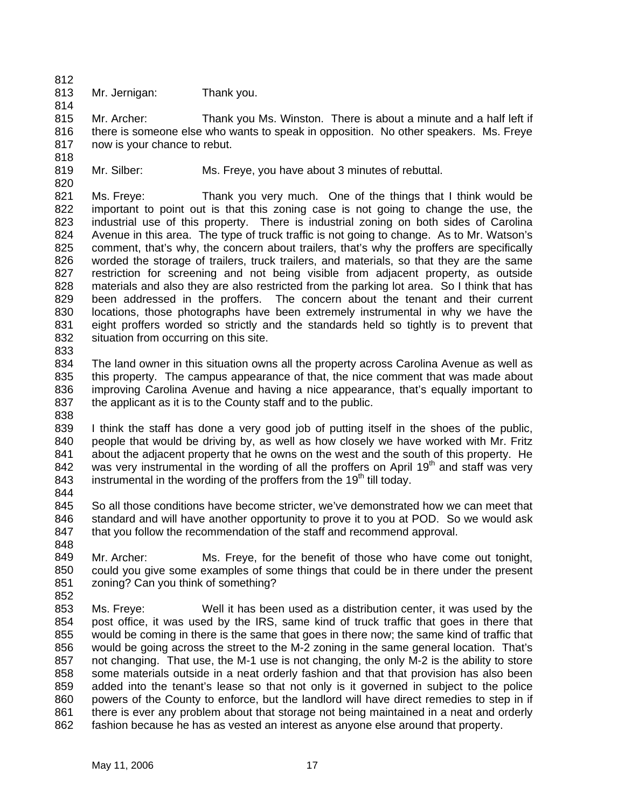- 812 813
- Mr. Jernigan: Thank you.

814 815 816 817 Mr. Archer: Thank you Ms. Winston. There is about a minute and a half left if there is someone else who wants to speak in opposition. No other speakers. Ms. Freye now is your chance to rebut.

818 819

820

Mr. Silber: Ms. Freye, you have about 3 minutes of rebuttal.

821 822 823 824 825 826 827 828 829 830 831 832 Ms. Freye: Thank you very much. One of the things that I think would be important to point out is that this zoning case is not going to change the use, the industrial use of this property. There is industrial zoning on both sides of Carolina Avenue in this area. The type of truck traffic is not going to change. As to Mr. Watson's comment, that's why, the concern about trailers, that's why the proffers are specifically worded the storage of trailers, truck trailers, and materials, so that they are the same restriction for screening and not being visible from adjacent property, as outside materials and also they are also restricted from the parking lot area. So I think that has been addressed in the proffers. The concern about the tenant and their current locations, those photographs have been extremely instrumental in why we have the eight proffers worded so strictly and the standards held so tightly is to prevent that situation from occurring on this site.

833

834 835 836 837 838 The land owner in this situation owns all the property across Carolina Avenue as well as this property. The campus appearance of that, the nice comment that was made about improving Carolina Avenue and having a nice appearance, that's equally important to the applicant as it is to the County staff and to the public.

- 839 840 841 842 843 I think the staff has done a very good job of putting itself in the shoes of the public, people that would be driving by, as well as how closely we have worked with Mr. Fritz about the adjacent property that he owns on the west and the south of this property. He was very instrumental in the wording of all the proffers on April  $19<sup>th</sup>$  and staff was very instrumental in the wording of the proffers from the 19<sup>th</sup> till today.
- 844

845 846 847 So all those conditions have become stricter, we've demonstrated how we can meet that standard and will have another opportunity to prove it to you at POD. So we would ask that you follow the recommendation of the staff and recommend approval.

848

849 850 851 Mr. Archer: Ms. Freye, for the benefit of those who have come out tonight, could you give some examples of some things that could be in there under the present zoning? Can you think of something?

852

853 854 855 856 857 858 859 860 861 862 Ms. Freye: Well it has been used as a distribution center, it was used by the post office, it was used by the IRS, same kind of truck traffic that goes in there that would be coming in there is the same that goes in there now; the same kind of traffic that would be going across the street to the M-2 zoning in the same general location. That's not changing. That use, the M-1 use is not changing, the only M-2 is the ability to store some materials outside in a neat orderly fashion and that that provision has also been added into the tenant's lease so that not only is it governed in subject to the police powers of the County to enforce, but the landlord will have direct remedies to step in if there is ever any problem about that storage not being maintained in a neat and orderly fashion because he has as vested an interest as anyone else around that property.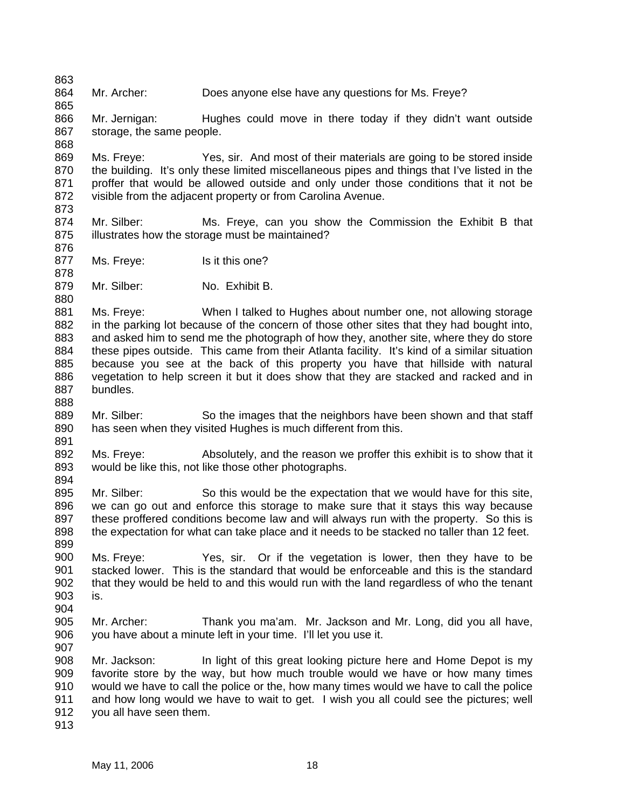864 865 Mr. Archer: Does anyone else have any questions for Ms. Freye?

866 867 868 Mr. Jernigan: Hughes could move in there today if they didn't want outside storage, the same people.

869 870 871 872 873 Ms. Freye: Yes, sir. And most of their materials are going to be stored inside the building. It's only these limited miscellaneous pipes and things that I've listed in the proffer that would be allowed outside and only under those conditions that it not be visible from the adjacent property or from Carolina Avenue.

874 875 Mr. Silber: Ms. Freye, can you show the Commission the Exhibit B that illustrates how the storage must be maintained?

877 Ms. Freye: Is it this one?

863

876

878

880

888

891

894

899

904

879 Mr. Silber: No. Exhibit B.

881 882 883 884 885 886 887 Ms. Freye: When I talked to Hughes about number one, not allowing storage in the parking lot because of the concern of those other sites that they had bought into, and asked him to send me the photograph of how they, another site, where they do store these pipes outside. This came from their Atlanta facility. It's kind of a similar situation because you see at the back of this property you have that hillside with natural vegetation to help screen it but it does show that they are stacked and racked and in bundles.

889 890 Mr. Silber: So the images that the neighbors have been shown and that staff has seen when they visited Hughes is much different from this.

892 893 Ms. Freye: Absolutely, and the reason we proffer this exhibit is to show that it would be like this, not like those other photographs.

895 896 897 898 Mr. Silber: So this would be the expectation that we would have for this site, we can go out and enforce this storage to make sure that it stays this way because these proffered conditions become law and will always run with the property. So this is the expectation for what can take place and it needs to be stacked no taller than 12 feet.

900 901 902 903 Ms. Freye: Yes, sir. Or if the vegetation is lower, then they have to be stacked lower. This is the standard that would be enforceable and this is the standard that they would be held to and this would run with the land regardless of who the tenant is.

905 906 Mr. Archer: Thank you ma'am. Mr. Jackson and Mr. Long, did you all have, you have about a minute left in your time. I'll let you use it.

907 908 909 910 911 912 Mr. Jackson: In light of this great looking picture here and Home Depot is my favorite store by the way, but how much trouble would we have or how many times would we have to call the police or the, how many times would we have to call the police and how long would we have to wait to get. I wish you all could see the pictures; well you all have seen them.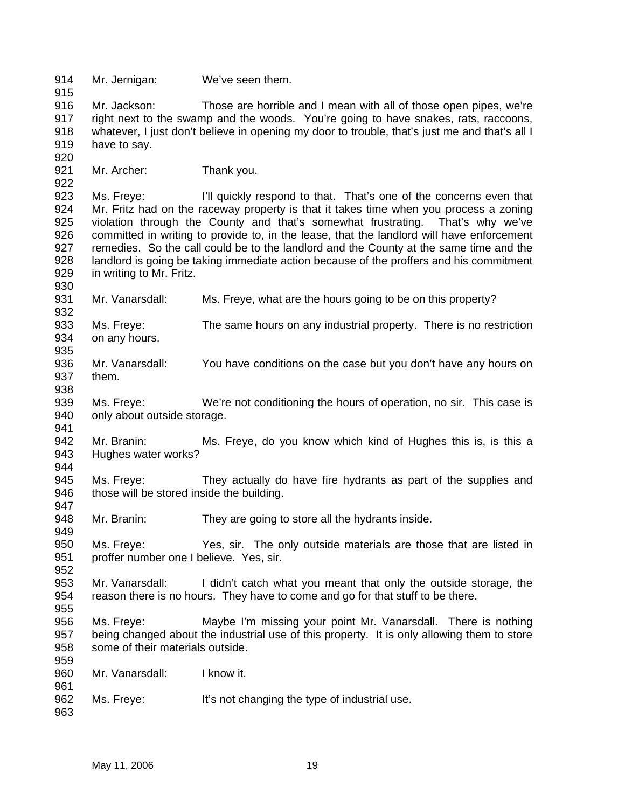914 915 916 917 918 919 920 921 922 923 924 925 926 927 928 929 930 931 932 933 934 935 936 937 938 939 940 941 942 943 944 945 946 947 948 949 950 951 952 953 954 955 956 957 958 959 960 961 962 963 Mr. Jernigan: We've seen them. Mr. Jackson: Those are horrible and I mean with all of those open pipes, we're right next to the swamp and the woods. You're going to have snakes, rats, raccoons, whatever, I just don't believe in opening my door to trouble, that's just me and that's all I have to say. Mr. Archer: Thank you. Ms. Freye: I'll quickly respond to that. That's one of the concerns even that Mr. Fritz had on the raceway property is that it takes time when you process a zoning violation through the County and that's somewhat frustrating. That's why we've committed in writing to provide to, in the lease, that the landlord will have enforcement remedies. So the call could be to the landlord and the County at the same time and the landlord is going be taking immediate action because of the proffers and his commitment in writing to Mr. Fritz. Mr. Vanarsdall: Ms. Freye, what are the hours going to be on this property? Ms. Freye: The same hours on any industrial property. There is no restriction on any hours. Mr. Vanarsdall: You have conditions on the case but you don't have any hours on them. Ms. Freye: We're not conditioning the hours of operation, no sir. This case is only about outside storage. Mr. Branin: Ms. Freye, do you know which kind of Hughes this is, is this a Hughes water works? Ms. Freye: They actually do have fire hydrants as part of the supplies and those will be stored inside the building. Mr. Branin: They are going to store all the hydrants inside. Ms. Freye: Yes, sir. The only outside materials are those that are listed in proffer number one I believe. Yes, sir. Mr. Vanarsdall: I didn't catch what you meant that only the outside storage, the reason there is no hours. They have to come and go for that stuff to be there. Ms. Freye: Maybe I'm missing your point Mr. Vanarsdall. There is nothing being changed about the industrial use of this property. It is only allowing them to store some of their materials outside. Mr. Vanarsdall: I know it. Ms. Freye: It's not changing the type of industrial use.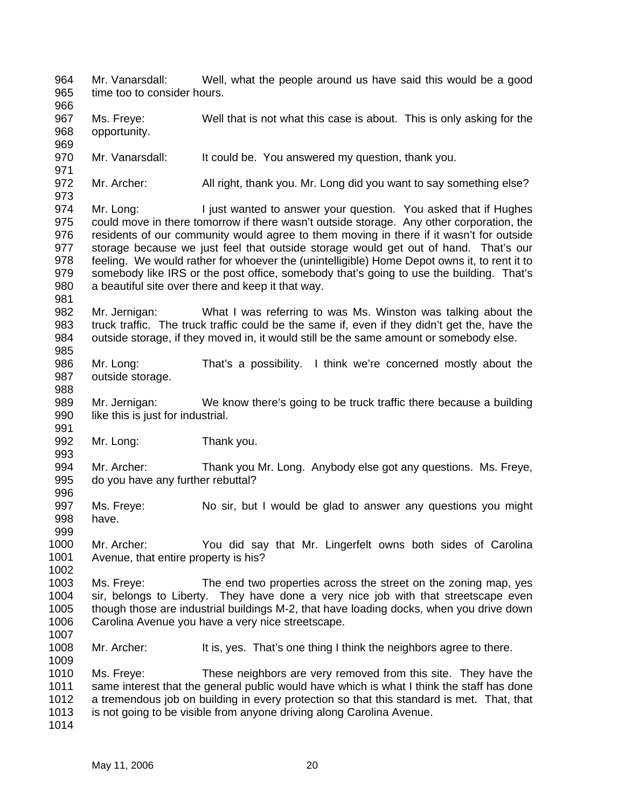964 965 966 967 968 969 970 971 972 973 974 975 976 977 978 979 980 981 982 983 984 985 986 987 988 989 990 991 992 993 994 995 996 997 998 999 1000 1001 1002 1003 1004 1005 1006 1007 1008 1009 1010 1011 1012 1013 1014 Mr. Vanarsdall: Well, what the people around us have said this would be a good time too to consider hours. Ms. Freye: Well that is not what this case is about. This is only asking for the opportunity. Mr. Vanarsdall: It could be. You answered my question, thank you. Mr. Archer: All right, thank you. Mr. Long did you want to say something else? Mr. Long: I just wanted to answer your question. You asked that if Hughes could move in there tomorrow if there wasn't outside storage. Any other corporation, the residents of our community would agree to them moving in there if it wasn't for outside storage because we just feel that outside storage would get out of hand. That's our feeling. We would rather for whoever the (unintelligible) Home Depot owns it, to rent it to somebody like IRS or the post office, somebody that's going to use the building. That's a beautiful site over there and keep it that way. Mr. Jernigan: What I was referring to was Ms. Winston was talking about the truck traffic. The truck traffic could be the same if, even if they didn't get the, have the outside storage, if they moved in, it would still be the same amount or somebody else. Mr. Long: That's a possibility. I think we're concerned mostly about the outside storage. Mr. Jernigan: We know there's going to be truck traffic there because a building like this is just for industrial. Mr. Long: Thank you. Mr. Archer: Thank you Mr. Long. Anybody else got any questions. Ms. Freye, do you have any further rebuttal? Ms. Freye: No sir, but I would be glad to answer any questions you might have. Mr. Archer: You did say that Mr. Lingerfelt owns both sides of Carolina Avenue, that entire property is his? Ms. Freye: The end two properties across the street on the zoning map, yes sir, belongs to Liberty. They have done a very nice job with that streetscape even though those are industrial buildings M-2, that have loading docks, when you drive down Carolina Avenue you have a very nice streetscape. Mr. Archer: It is, yes. That's one thing I think the neighbors agree to there. Ms. Freve: These neighbors are very removed from this site. They have the same interest that the general public would have which is what I think the staff has done a tremendous job on building in every protection so that this standard is met. That, that is not going to be visible from anyone driving along Carolina Avenue.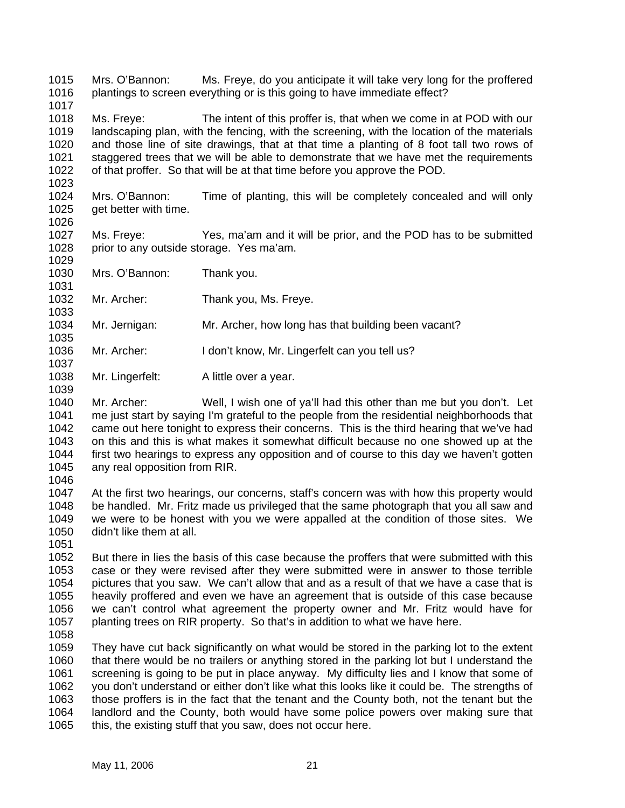1015 1016 1017 Mrs. O'Bannon: Ms. Freye, do you anticipate it will take very long for the proffered plantings to screen everything or is this going to have immediate effect?

1018 1019 1020 1021 1022 Ms. Freye: The intent of this proffer is, that when we come in at POD with our landscaping plan, with the fencing, with the screening, with the location of the materials and those line of site drawings, that at that time a planting of 8 foot tall two rows of staggered trees that we will be able to demonstrate that we have met the requirements of that proffer. So that will be at that time before you approve the POD.

1024 1025 Mrs. O'Bannon: Time of planting, this will be completely concealed and will only get better with time.

1026

1031

1033

1035

1037

1039

1023

1027 1028 1029 Ms. Freye: Yes, ma'am and it will be prior, and the POD has to be submitted prior to any outside storage. Yes ma'am.

- 1030 Mrs. O'Bannon: Thank you.
- 1032 Mr. Archer: Thank you, Ms. Freye.
- 1034 Mr. Jernigan: Mr. Archer, how long has that building been vacant?
- 1036 Mr. Archer: I don't know, Mr. Lingerfelt can you tell us?
- 1038 Mr. Lingerfelt: A little over a year.

1040 1041 1042 1043 1044 1045 Mr. Archer: Well, I wish one of ya'll had this other than me but you don't. Let me just start by saying I'm grateful to the people from the residential neighborhoods that came out here tonight to express their concerns. This is the third hearing that we've had on this and this is what makes it somewhat difficult because no one showed up at the first two hearings to express any opposition and of course to this day we haven't gotten any real opposition from RIR.

- 1046 1047
- 1048 1049 1050 At the first two hearings, our concerns, staff's concern was with how this property would be handled. Mr. Fritz made us privileged that the same photograph that you all saw and we were to be honest with you we were appalled at the condition of those sites. We didn't like them at all.
- 1051

1052 1053 1054 1055 1056 1057 But there in lies the basis of this case because the proffers that were submitted with this case or they were revised after they were submitted were in answer to those terrible pictures that you saw. We can't allow that and as a result of that we have a case that is heavily proffered and even we have an agreement that is outside of this case because we can't control what agreement the property owner and Mr. Fritz would have for planting trees on RIR property. So that's in addition to what we have here.

1058

1059 1060 1061 1062 1063 1064 1065 They have cut back significantly on what would be stored in the parking lot to the extent that there would be no trailers or anything stored in the parking lot but I understand the screening is going to be put in place anyway. My difficulty lies and I know that some of you don't understand or either don't like what this looks like it could be. The strengths of those proffers is in the fact that the tenant and the County both, not the tenant but the landlord and the County, both would have some police powers over making sure that this, the existing stuff that you saw, does not occur here.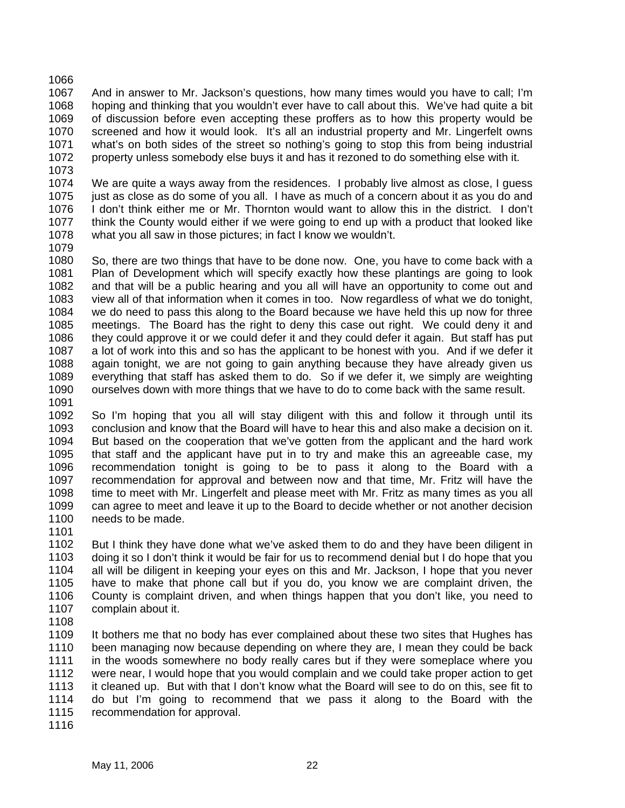1066 1067 1068 1069 1070 1071 1072 And in answer to Mr. Jackson's questions, how many times would you have to call; I'm hoping and thinking that you wouldn't ever have to call about this. We've had quite a bit of discussion before even accepting these proffers as to how this property would be screened and how it would look. It's all an industrial property and Mr. Lingerfelt owns what's on both sides of the street so nothing's going to stop this from being industrial property unless somebody else buys it and has it rezoned to do something else with it.

1073

1074 1075 1076 1077 1078 We are quite a ways away from the residences. I probably live almost as close, I guess just as close as do some of you all. I have as much of a concern about it as you do and I don't think either me or Mr. Thornton would want to allow this in the district. I don't think the County would either if we were going to end up with a product that looked like what you all saw in those pictures; in fact I know we wouldn't.

1079

1080 1081 1082 1083 1084 1085 1086 1087 1088 1089 1090 So, there are two things that have to be done now. One, you have to come back with a Plan of Development which will specify exactly how these plantings are going to look and that will be a public hearing and you all will have an opportunity to come out and view all of that information when it comes in too. Now regardless of what we do tonight, we do need to pass this along to the Board because we have held this up now for three meetings. The Board has the right to deny this case out right. We could deny it and they could approve it or we could defer it and they could defer it again. But staff has put a lot of work into this and so has the applicant to be honest with you. And if we defer it again tonight, we are not going to gain anything because they have already given us everything that staff has asked them to do. So if we defer it, we simply are weighting ourselves down with more things that we have to do to come back with the same result.

1091

1092 1093 1094 1095 1096 1097 1098 1099 1100 So I'm hoping that you all will stay diligent with this and follow it through until its conclusion and know that the Board will have to hear this and also make a decision on it. But based on the cooperation that we've gotten from the applicant and the hard work that staff and the applicant have put in to try and make this an agreeable case, my recommendation tonight is going to be to pass it along to the Board with a recommendation for approval and between now and that time, Mr. Fritz will have the time to meet with Mr. Lingerfelt and please meet with Mr. Fritz as many times as you all can agree to meet and leave it up to the Board to decide whether or not another decision needs to be made.

1101

1102 1103 1104 1105 1106 1107 But I think they have done what we've asked them to do and they have been diligent in doing it so I don't think it would be fair for us to recommend denial but I do hope that you all will be diligent in keeping your eyes on this and Mr. Jackson, I hope that you never have to make that phone call but if you do, you know we are complaint driven, the County is complaint driven, and when things happen that you don't like, you need to complain about it.

1108

1109 1110 1111 1112 1113 1114 1115 It bothers me that no body has ever complained about these two sites that Hughes has been managing now because depending on where they are, I mean they could be back in the woods somewhere no body really cares but if they were someplace where you were near, I would hope that you would complain and we could take proper action to get it cleaned up. But with that I don't know what the Board will see to do on this, see fit to do but I'm going to recommend that we pass it along to the Board with the recommendation for approval.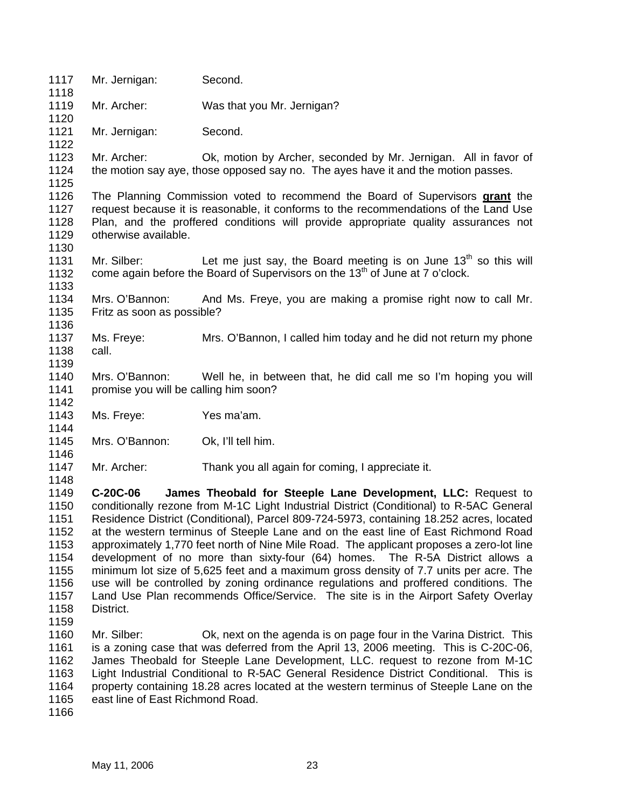| 1117<br>1118                                                                         | Mr. Jernigan:                                                                                                                                                                                                                                                                                                                                                                                                                                                                       | Second.                                                                                                                                                                                                                                                                                                                                                                                                                                                                                                                                                                                                                                                                                                                                                                                      |
|--------------------------------------------------------------------------------------|-------------------------------------------------------------------------------------------------------------------------------------------------------------------------------------------------------------------------------------------------------------------------------------------------------------------------------------------------------------------------------------------------------------------------------------------------------------------------------------|----------------------------------------------------------------------------------------------------------------------------------------------------------------------------------------------------------------------------------------------------------------------------------------------------------------------------------------------------------------------------------------------------------------------------------------------------------------------------------------------------------------------------------------------------------------------------------------------------------------------------------------------------------------------------------------------------------------------------------------------------------------------------------------------|
| 1119<br>1120                                                                         | Mr. Archer:                                                                                                                                                                                                                                                                                                                                                                                                                                                                         | Was that you Mr. Jernigan?                                                                                                                                                                                                                                                                                                                                                                                                                                                                                                                                                                                                                                                                                                                                                                   |
| 1121<br>1122                                                                         | Mr. Jernigan:                                                                                                                                                                                                                                                                                                                                                                                                                                                                       | Second.                                                                                                                                                                                                                                                                                                                                                                                                                                                                                                                                                                                                                                                                                                                                                                                      |
| 1123<br>1124<br>1125                                                                 | Mr. Archer:                                                                                                                                                                                                                                                                                                                                                                                                                                                                         | Ok, motion by Archer, seconded by Mr. Jernigan. All in favor of<br>the motion say aye, those opposed say no. The ayes have it and the motion passes.                                                                                                                                                                                                                                                                                                                                                                                                                                                                                                                                                                                                                                         |
| 1126<br>1127<br>1128<br>1129                                                         | otherwise available.                                                                                                                                                                                                                                                                                                                                                                                                                                                                | The Planning Commission voted to recommend the Board of Supervisors grant the<br>request because it is reasonable, it conforms to the recommendations of the Land Use<br>Plan, and the proffered conditions will provide appropriate quality assurances not                                                                                                                                                                                                                                                                                                                                                                                                                                                                                                                                  |
| 1130<br>1131<br>1132<br>1133                                                         | Mr. Silber:                                                                                                                                                                                                                                                                                                                                                                                                                                                                         | Let me just say, the Board meeting is on June $13th$ so this will<br>come again before the Board of Supervisors on the 13 <sup>th</sup> of June at 7 o'clock.                                                                                                                                                                                                                                                                                                                                                                                                                                                                                                                                                                                                                                |
| 1134<br>1135<br>1136                                                                 | Mrs. O'Bannon:<br>Fritz as soon as possible?                                                                                                                                                                                                                                                                                                                                                                                                                                        | And Ms. Freye, you are making a promise right now to call Mr.                                                                                                                                                                                                                                                                                                                                                                                                                                                                                                                                                                                                                                                                                                                                |
| 1137<br>1138<br>1139                                                                 | Ms. Freye:<br>call.                                                                                                                                                                                                                                                                                                                                                                                                                                                                 | Mrs. O'Bannon, I called him today and he did not return my phone                                                                                                                                                                                                                                                                                                                                                                                                                                                                                                                                                                                                                                                                                                                             |
| 1140<br>1141<br>1142                                                                 | Mrs. O'Bannon:<br>promise you will be calling him soon?                                                                                                                                                                                                                                                                                                                                                                                                                             | Well he, in between that, he did call me so I'm hoping you will                                                                                                                                                                                                                                                                                                                                                                                                                                                                                                                                                                                                                                                                                                                              |
| 1143<br>1144                                                                         | Ms. Freye:                                                                                                                                                                                                                                                                                                                                                                                                                                                                          | Yes ma'am.                                                                                                                                                                                                                                                                                                                                                                                                                                                                                                                                                                                                                                                                                                                                                                                   |
| 1145<br>1146                                                                         | Mrs. O'Bannon:                                                                                                                                                                                                                                                                                                                                                                                                                                                                      | Ok, I'll tell him.                                                                                                                                                                                                                                                                                                                                                                                                                                                                                                                                                                                                                                                                                                                                                                           |
| 1147<br>1148                                                                         | Mr. Archer:                                                                                                                                                                                                                                                                                                                                                                                                                                                                         | Thank you all again for coming, I appreciate it.                                                                                                                                                                                                                                                                                                                                                                                                                                                                                                                                                                                                                                                                                                                                             |
| 1149<br>1150<br>1151<br>1152<br>1153<br>1154<br>1155<br>1156<br>1157<br>1158<br>1159 | C-20C-06<br>District.                                                                                                                                                                                                                                                                                                                                                                                                                                                               | James Theobald for Steeple Lane Development, LLC: Request to<br>conditionally rezone from M-1C Light Industrial District (Conditional) to R-5AC General<br>Residence District (Conditional), Parcel 809-724-5973, containing 18.252 acres, located<br>at the western terminus of Steeple Lane and on the east line of East Richmond Road<br>approximately 1,770 feet north of Nine Mile Road. The applicant proposes a zero-lot line<br>development of no more than sixty-four (64) homes. The R-5A District allows a<br>minimum lot size of 5,625 feet and a maximum gross density of 7.7 units per acre. The<br>use will be controlled by zoning ordinance regulations and proffered conditions. The<br>Land Use Plan recommends Office/Service. The site is in the Airport Safety Overlay |
| 1160<br>1161<br>1162<br>1163<br>1164<br>1165<br>1166                                 | Ok, next on the agenda is on page four in the Varina District. This<br>Mr. Silber:<br>is a zoning case that was deferred from the April 13, 2006 meeting. This is C-20C-06,<br>James Theobald for Steeple Lane Development, LLC. request to rezone from M-1C<br>Light Industrial Conditional to R-5AC General Residence District Conditional. This is<br>property containing 18.28 acres located at the western terminus of Steeple Lane on the<br>east line of East Richmond Road. |                                                                                                                                                                                                                                                                                                                                                                                                                                                                                                                                                                                                                                                                                                                                                                                              |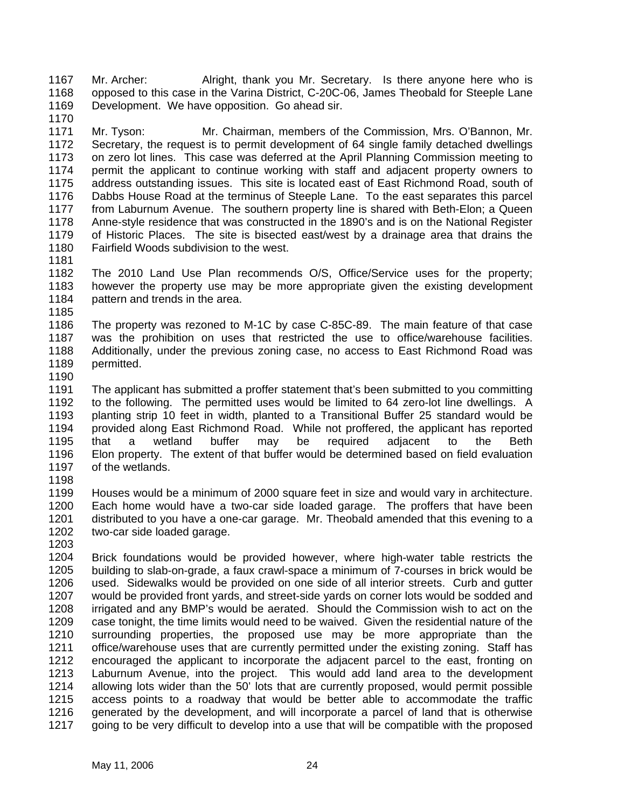1167 1168 1169 Mr. Archer: Alright, thank you Mr. Secretary. Is there anyone here who is opposed to this case in the Varina District, C-20C-06, James Theobald for Steeple Lane Development. We have opposition. Go ahead sir.

- 1171 1172 1173 1174 1175 1176 1177 1178 1179 1180 Mr. Tyson: Mr. Chairman, members of the Commission, Mrs. O'Bannon, Mr. Secretary, the request is to permit development of 64 single family detached dwellings on zero lot lines. This case was deferred at the April Planning Commission meeting to permit the applicant to continue working with staff and adjacent property owners to address outstanding issues. This site is located east of East Richmond Road, south of Dabbs House Road at the terminus of Steeple Lane. To the east separates this parcel from Laburnum Avenue. The southern property line is shared with Beth-Elon; a Queen Anne-style residence that was constructed in the 1890's and is on the National Register of Historic Places. The site is bisected east/west by a drainage area that drains the Fairfield Woods subdivision to the west.
- 1181

1185

1170

- 1182 1183 1184 The 2010 Land Use Plan recommends O/S, Office/Service uses for the property; however the property use may be more appropriate given the existing development pattern and trends in the area.
- 1186 1187 1188 1189 The property was rezoned to M-1C by case C-85C-89. The main feature of that case was the prohibition on uses that restricted the use to office/warehouse facilities. Additionally, under the previous zoning case, no access to East Richmond Road was permitted.
- 1190

1191 1192 1193 1194 1195 1196 1197 The applicant has submitted a proffer statement that's been submitted to you committing to the following. The permitted uses would be limited to 64 zero-lot line dwellings. A planting strip 10 feet in width, planted to a Transitional Buffer 25 standard would be provided along East Richmond Road. While not proffered, the applicant has reported that a wetland buffer may be required adjacent to the Beth Elon property. The extent of that buffer would be determined based on field evaluation of the wetlands.

1198

1199 1200 1201 1202 Houses would be a minimum of 2000 square feet in size and would vary in architecture. Each home would have a two-car side loaded garage. The proffers that have been distributed to you have a one-car garage. Mr. Theobald amended that this evening to a two-car side loaded garage.

1203

1204 1205 1206 1207 1208 1209 1210 1211 1212 1213 1214 1215 1216 1217 Brick foundations would be provided however, where high-water table restricts the building to slab-on-grade, a faux crawl-space a minimum of 7-courses in brick would be used. Sidewalks would be provided on one side of all interior streets. Curb and gutter would be provided front yards, and street-side yards on corner lots would be sodded and irrigated and any BMP's would be aerated. Should the Commission wish to act on the case tonight, the time limits would need to be waived. Given the residential nature of the surrounding properties, the proposed use may be more appropriate than the office/warehouse uses that are currently permitted under the existing zoning. Staff has encouraged the applicant to incorporate the adjacent parcel to the east, fronting on Laburnum Avenue, into the project. This would add land area to the development allowing lots wider than the 50' lots that are currently proposed, would permit possible access points to a roadway that would be better able to accommodate the traffic generated by the development, and will incorporate a parcel of land that is otherwise going to be very difficult to develop into a use that will be compatible with the proposed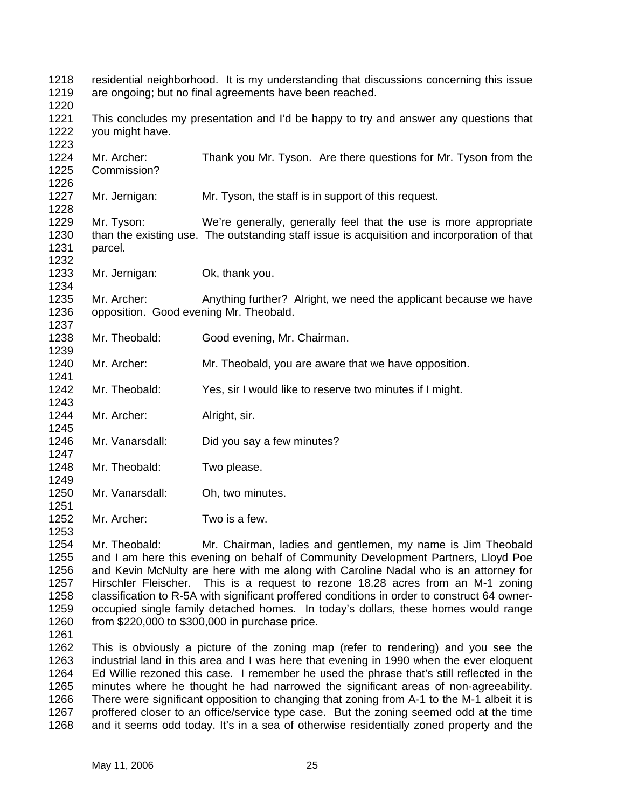| 1218<br>1219<br>1220         | residential neighborhood. It is my understanding that discussions concerning this issue<br>are ongoing; but no final agreements have been reached. |                                                                                                                                                                 |  |
|------------------------------|----------------------------------------------------------------------------------------------------------------------------------------------------|-----------------------------------------------------------------------------------------------------------------------------------------------------------------|--|
| 1221<br>1222<br>1223         | you might have.                                                                                                                                    | This concludes my presentation and I'd be happy to try and answer any questions that                                                                            |  |
| 1224<br>1225<br>1226         | Mr. Archer:<br>Commission?                                                                                                                         | Thank you Mr. Tyson. Are there questions for Mr. Tyson from the                                                                                                 |  |
| 1227<br>1228                 | Mr. Jernigan:                                                                                                                                      | Mr. Tyson, the staff is in support of this request.                                                                                                             |  |
| 1229<br>1230<br>1231<br>1232 | Mr. Tyson:<br>parcel.                                                                                                                              | We're generally, generally feel that the use is more appropriate<br>than the existing use. The outstanding staff issue is acquisition and incorporation of that |  |
| 1233<br>1234                 | Mr. Jernigan:                                                                                                                                      | Ok, thank you.                                                                                                                                                  |  |
| 1235<br>1236<br>1237         | Mr. Archer:<br>opposition. Good evening Mr. Theobald.                                                                                              | Anything further? Alright, we need the applicant because we have                                                                                                |  |
| 1238<br>1239                 | Mr. Theobald:                                                                                                                                      | Good evening, Mr. Chairman.                                                                                                                                     |  |
| 1240<br>1241                 | Mr. Archer:                                                                                                                                        | Mr. Theobald, you are aware that we have opposition.                                                                                                            |  |
| 1242<br>1243                 | Mr. Theobald:                                                                                                                                      | Yes, sir I would like to reserve two minutes if I might.                                                                                                        |  |
| 1244<br>1245                 | Mr. Archer:                                                                                                                                        | Alright, sir.                                                                                                                                                   |  |
| 1246<br>1247                 | Mr. Vanarsdall:                                                                                                                                    | Did you say a few minutes?                                                                                                                                      |  |
| 1248<br>1249                 | Mr. Theobald:                                                                                                                                      | Two please.                                                                                                                                                     |  |
| 1250<br>1251                 | Mr. Vanarsdall:                                                                                                                                    | Oh, two minutes.                                                                                                                                                |  |
| 1252<br>1253                 | Mr. Archer:                                                                                                                                        | Two is a few.                                                                                                                                                   |  |
| 1254                         | Mr. Theobald:                                                                                                                                      | Mr. Chairman, ladies and gentlemen, my name is Jim Theobald                                                                                                     |  |

1254 1255 1256 1257 1258 1259 1260 Mr. Theobald: Mr. Chairman, ladies and gentlemen, my name is Jim Theobald and I am here this evening on behalf of Community Development Partners, Lloyd Poe and Kevin McNulty are here with me along with Caroline Nadal who is an attorney for Hirschler Fleischer. This is a request to rezone 18.28 acres from an M-1 zoning classification to R-5A with significant proffered conditions in order to construct 64 owneroccupied single family detached homes. In today's dollars, these homes would range from \$220,000 to \$300,000 in purchase price.

1261

1262 1263 1264 1265 1266 1267 1268 This is obviously a picture of the zoning map (refer to rendering) and you see the industrial land in this area and I was here that evening in 1990 when the ever eloquent Ed Willie rezoned this case. I remember he used the phrase that's still reflected in the minutes where he thought he had narrowed the significant areas of non-agreeability. There were significant opposition to changing that zoning from A-1 to the M-1 albeit it is proffered closer to an office/service type case. But the zoning seemed odd at the time and it seems odd today. It's in a sea of otherwise residentially zoned property and the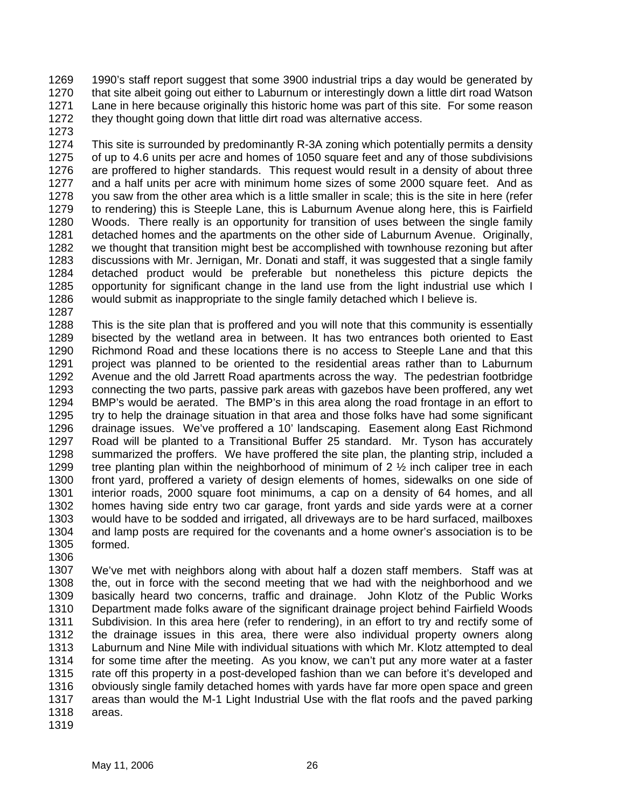1269 1270 1271 1272 1990's staff report suggest that some 3900 industrial trips a day would be generated by that site albeit going out either to Laburnum or interestingly down a little dirt road Watson Lane in here because originally this historic home was part of this site. For some reason they thought going down that little dirt road was alternative access.

1273

1274 1275 1276 1277 1278 1279 1280 1281 1282 1283 1284 1285 1286 This site is surrounded by predominantly R-3A zoning which potentially permits a density of up to 4.6 units per acre and homes of 1050 square feet and any of those subdivisions are proffered to higher standards. This request would result in a density of about three and a half units per acre with minimum home sizes of some 2000 square feet. And as you saw from the other area which is a little smaller in scale; this is the site in here (refer to rendering) this is Steeple Lane, this is Laburnum Avenue along here, this is Fairfield Woods. There really is an opportunity for transition of uses between the single family detached homes and the apartments on the other side of Laburnum Avenue. Originally, we thought that transition might best be accomplished with townhouse rezoning but after discussions with Mr. Jernigan, Mr. Donati and staff, it was suggested that a single family detached product would be preferable but nonetheless this picture depicts the opportunity for significant change in the land use from the light industrial use which I would submit as inappropriate to the single family detached which I believe is.

1287

1288 1289 1290 1291 1292 1293 1294 1295 1296 1297 1298 1299 1300 1301 1302 1303 1304 1305 This is the site plan that is proffered and you will note that this community is essentially bisected by the wetland area in between. It has two entrances both oriented to East Richmond Road and these locations there is no access to Steeple Lane and that this project was planned to be oriented to the residential areas rather than to Laburnum Avenue and the old Jarrett Road apartments across the way. The pedestrian footbridge connecting the two parts, passive park areas with gazebos have been proffered, any wet BMP's would be aerated. The BMP's in this area along the road frontage in an effort to try to help the drainage situation in that area and those folks have had some significant drainage issues. We've proffered a 10' landscaping. Easement along East Richmond Road will be planted to a Transitional Buffer 25 standard. Mr. Tyson has accurately summarized the proffers. We have proffered the site plan, the planting strip, included a tree planting plan within the neighborhood of minimum of  $2\frac{1}{2}$  inch caliper tree in each front yard, proffered a variety of design elements of homes, sidewalks on one side of interior roads, 2000 square foot minimums, a cap on a density of 64 homes, and all homes having side entry two car garage, front yards and side yards were at a corner would have to be sodded and irrigated, all driveways are to be hard surfaced, mailboxes and lamp posts are required for the covenants and a home owner's association is to be formed.

1307 1308 1309 1310 1311 1312 1313 1314 1315 1316 1317 1318 We've met with neighbors along with about half a dozen staff members. Staff was at the, out in force with the second meeting that we had with the neighborhood and we basically heard two concerns, traffic and drainage. John Klotz of the Public Works Department made folks aware of the significant drainage project behind Fairfield Woods Subdivision. In this area here (refer to rendering), in an effort to try and rectify some of the drainage issues in this area, there were also individual property owners along Laburnum and Nine Mile with individual situations with which Mr. Klotz attempted to deal for some time after the meeting. As you know, we can't put any more water at a faster rate off this property in a post-developed fashion than we can before it's developed and obviously single family detached homes with yards have far more open space and green areas than would the M-1 Light Industrial Use with the flat roofs and the paved parking areas.

1319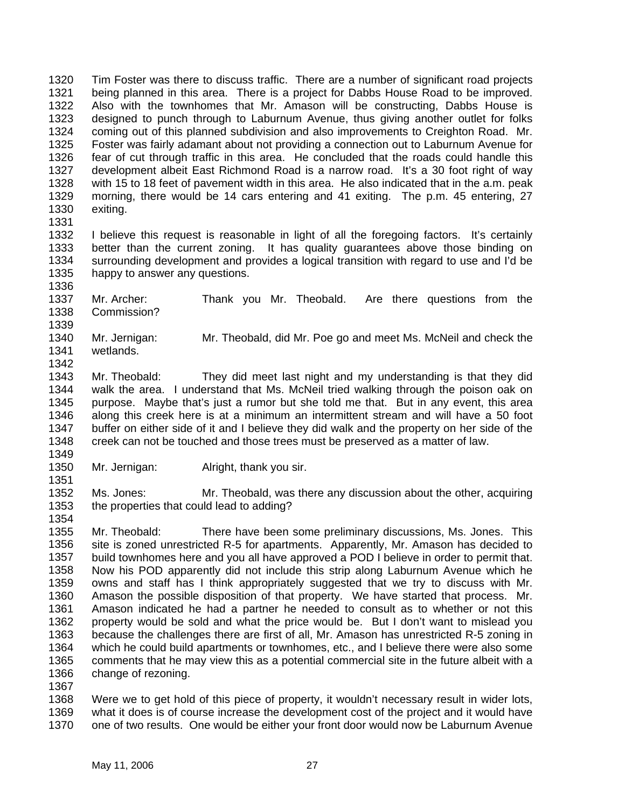1320 1321 1322 1323 1324 1325 1326 1327 1328 1329 1330 Tim Foster was there to discuss traffic. There are a number of significant road projects being planned in this area. There is a project for Dabbs House Road to be improved. Also with the townhomes that Mr. Amason will be constructing, Dabbs House is designed to punch through to Laburnum Avenue, thus giving another outlet for folks coming out of this planned subdivision and also improvements to Creighton Road. Mr. Foster was fairly adamant about not providing a connection out to Laburnum Avenue for fear of cut through traffic in this area. He concluded that the roads could handle this development albeit East Richmond Road is a narrow road. It's a 30 foot right of way with 15 to 18 feet of pavement width in this area. He also indicated that in the a.m. peak morning, there would be 14 cars entering and 41 exiting. The p.m. 45 entering, 27 exiting.

1331

1351

1354

1332 1333 1334 1335 1336 I believe this request is reasonable in light of all the foregoing factors. It's certainly better than the current zoning. It has quality guarantees above those binding on surrounding development and provides a logical transition with regard to use and I'd be happy to answer any questions.

1337 1338 1339 Mr. Archer: Thank you Mr. Theobald. Are there questions from the Commission?

1340 1341 1342 Mr. Jernigan: Mr. Theobald, did Mr. Poe go and meet Ms. McNeil and check the wetlands.

- 1343 1344 1345 1346 1347 1348 Mr. Theobald: They did meet last night and my understanding is that they did walk the area. I understand that Ms. McNeil tried walking through the poison oak on purpose. Maybe that's just a rumor but she told me that. But in any event, this area along this creek here is at a minimum an intermittent stream and will have a 50 foot buffer on either side of it and I believe they did walk and the property on her side of the creek can not be touched and those trees must be preserved as a matter of law.
- 1349 1350 Mr. Jernigan: Alright, thank you sir.

1352 1353 Ms. Jones: Mr. Theobald, was there any discussion about the other, acquiring the properties that could lead to adding?

1355 1356 1357 1358 1359 1360 1361 1362 1363 1364 1365 1366 1367 Mr. Theobald: There have been some preliminary discussions, Ms. Jones. This site is zoned unrestricted R-5 for apartments. Apparently, Mr. Amason has decided to build townhomes here and you all have approved a POD I believe in order to permit that. Now his POD apparently did not include this strip along Laburnum Avenue which he owns and staff has I think appropriately suggested that we try to discuss with Mr. Amason the possible disposition of that property. We have started that process. Mr. Amason indicated he had a partner he needed to consult as to whether or not this property would be sold and what the price would be. But I don't want to mislead you because the challenges there are first of all, Mr. Amason has unrestricted R-5 zoning in which he could build apartments or townhomes, etc., and I believe there were also some comments that he may view this as a potential commercial site in the future albeit with a change of rezoning.

1368 1369 1370 Were we to get hold of this piece of property, it wouldn't necessary result in wider lots, what it does is of course increase the development cost of the project and it would have one of two results. One would be either your front door would now be Laburnum Avenue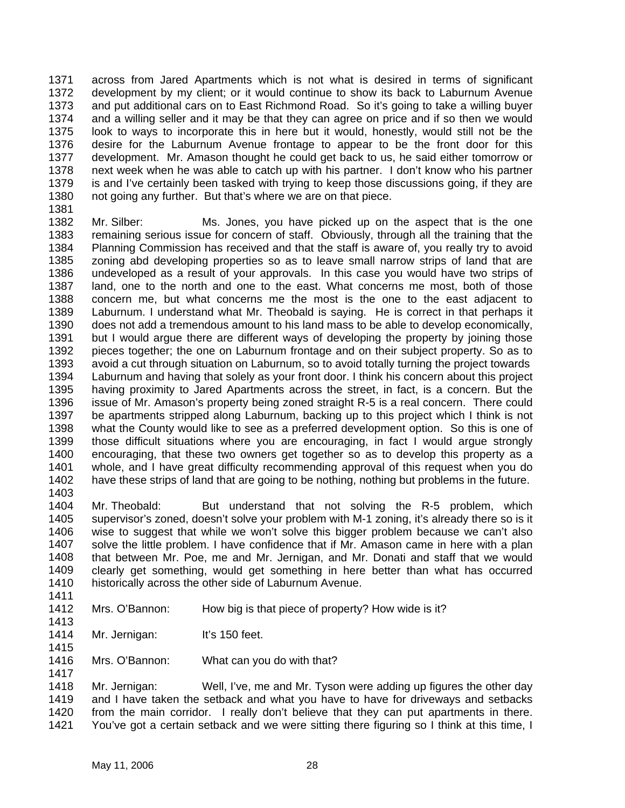1371 1372 1373 1374 1375 1376 1377 1378 1379 1380 across from Jared Apartments which is not what is desired in terms of significant development by my client; or it would continue to show its back to Laburnum Avenue and put additional cars on to East Richmond Road. So it's going to take a willing buyer and a willing seller and it may be that they can agree on price and if so then we would look to ways to incorporate this in here but it would, honestly, would still not be the desire for the Laburnum Avenue frontage to appear to be the front door for this development. Mr. Amason thought he could get back to us, he said either tomorrow or next week when he was able to catch up with his partner. I don't know who his partner is and I've certainly been tasked with trying to keep those discussions going, if they are not going any further. But that's where we are on that piece.

- 1381
- 1382 1383 1384 1385 1386 1387 1388 1389 1390 1391 1392 1393 1394 1395 1396 1397 1398 1399 1400 1401 1402 1403 Mr. Silber: Ms. Jones, you have picked up on the aspect that is the one remaining serious issue for concern of staff. Obviously, through all the training that the Planning Commission has received and that the staff is aware of, you really try to avoid zoning abd developing properties so as to leave small narrow strips of land that are undeveloped as a result of your approvals. In this case you would have two strips of land, one to the north and one to the east. What concerns me most, both of those concern me, but what concerns me the most is the one to the east adjacent to Laburnum. I understand what Mr. Theobald is saying. He is correct in that perhaps it does not add a tremendous amount to his land mass to be able to develop economically, but I would argue there are different ways of developing the property by joining those pieces together; the one on Laburnum frontage and on their subject property. So as to avoid a cut through situation on Laburnum, so to avoid totally turning the project towards Laburnum and having that solely as your front door. I think his concern about this project having proximity to Jared Apartments across the street, in fact, is a concern. But the issue of Mr. Amason's property being zoned straight R-5 is a real concern. There could be apartments stripped along Laburnum, backing up to this project which I think is not what the County would like to see as a preferred development option. So this is one of those difficult situations where you are encouraging, in fact I would argue strongly encouraging, that these two owners get together so as to develop this property as a whole, and I have great difficulty recommending approval of this request when you do have these strips of land that are going to be nothing, nothing but problems in the future.
- 1404 1405 1406 1407 1408 1409 1410 Mr. Theobald: But understand that not solving the R-5 problem, which supervisor's zoned, doesn't solve your problem with M-1 zoning, it's already there so is it wise to suggest that while we won't solve this bigger problem because we can't also solve the little problem. I have confidence that if Mr. Amason came in here with a plan that between Mr. Poe, me and Mr. Jernigan, and Mr. Donati and staff that we would clearly get something, would get something in here better than what has occurred historically across the other side of Laburnum Avenue.
- 1411
- 1412 1413 Mrs. O'Bannon: How big is that piece of property? How wide is it?
- 1414 Mr. Jernigan: It's 150 feet.
- 1415 1416 Mrs. O'Bannon: What can you do with that?
- 1417

1418 1419 1420 1421 Mr. Jernigan: Well, I've, me and Mr. Tyson were adding up figures the other day and I have taken the setback and what you have to have for driveways and setbacks from the main corridor. I really don't believe that they can put apartments in there. You've got a certain setback and we were sitting there figuring so I think at this time, I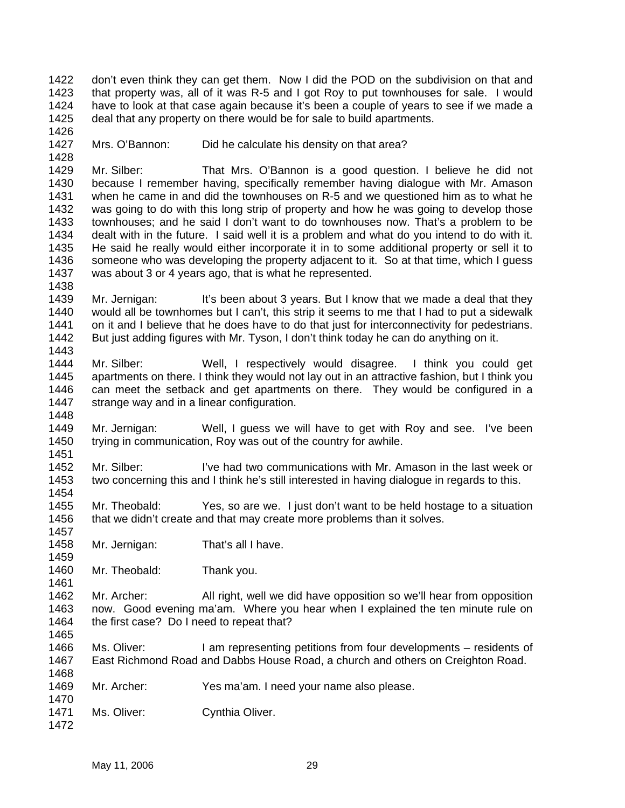1422 1423 1424 1425 don't even think they can get them. Now I did the POD on the subdivision on that and that property was, all of it was R-5 and I got Roy to put townhouses for sale. I would have to look at that case again because it's been a couple of years to see if we made a deal that any property on there would be for sale to build apartments.

1427 Mrs. O'Bannon: Did he calculate his density on that area?

1426

1428

1438

1448

1451

1454

1457

1459

1461

1465

1470

1472

1429 1430 1431 1432 1433 1434 1435 1436 1437 Mr. Silber: That Mrs. O'Bannon is a good question. I believe he did not because I remember having, specifically remember having dialogue with Mr. Amason when he came in and did the townhouses on R-5 and we questioned him as to what he was going to do with this long strip of property and how he was going to develop those townhouses; and he said I don't want to do townhouses now. That's a problem to be dealt with in the future. I said well it is a problem and what do you intend to do with it. He said he really would either incorporate it in to some additional property or sell it to someone who was developing the property adjacent to it. So at that time, which I guess was about 3 or 4 years ago, that is what he represented.

1439 1440 1441 1442 1443 Mr. Jernigan: It's been about 3 years. But I know that we made a deal that they would all be townhomes but I can't, this strip it seems to me that I had to put a sidewalk on it and I believe that he does have to do that just for interconnectivity for pedestrians. But just adding figures with Mr. Tyson, I don't think today he can do anything on it.

- 1444 1445 1446 1447 Mr. Silber: Well, I respectively would disagree. I think you could get apartments on there. I think they would not lay out in an attractive fashion, but I think you can meet the setback and get apartments on there. They would be configured in a strange way and in a linear configuration.
- 1449 1450 Mr. Jernigan: Well, I guess we will have to get with Roy and see. I've been trying in communication, Roy was out of the country for awhile.

1452 1453 Mr. Silber: I've had two communications with Mr. Amason in the last week or two concerning this and I think he's still interested in having dialogue in regards to this.

1455 1456 Mr. Theobald: Yes, so are we. I just don't want to be held hostage to a situation that we didn't create and that may create more problems than it solves.

- 1458 Mr. Jernigan: That's all I have.
- 1460 Mr. Theobald: Thank you.

1462 1463 1464 Mr. Archer: All right, well we did have opposition so we'll hear from opposition now. Good evening ma'am. Where you hear when I explained the ten minute rule on the first case? Do I need to repeat that?

1466 1467 1468 Ms. Oliver: I am representing petitions from four developments – residents of East Richmond Road and Dabbs House Road, a church and others on Creighton Road.

- 1469 Mr. Archer: Yes ma'am. I need your name also please.
- 1471 Ms. Oliver: Cynthia Oliver.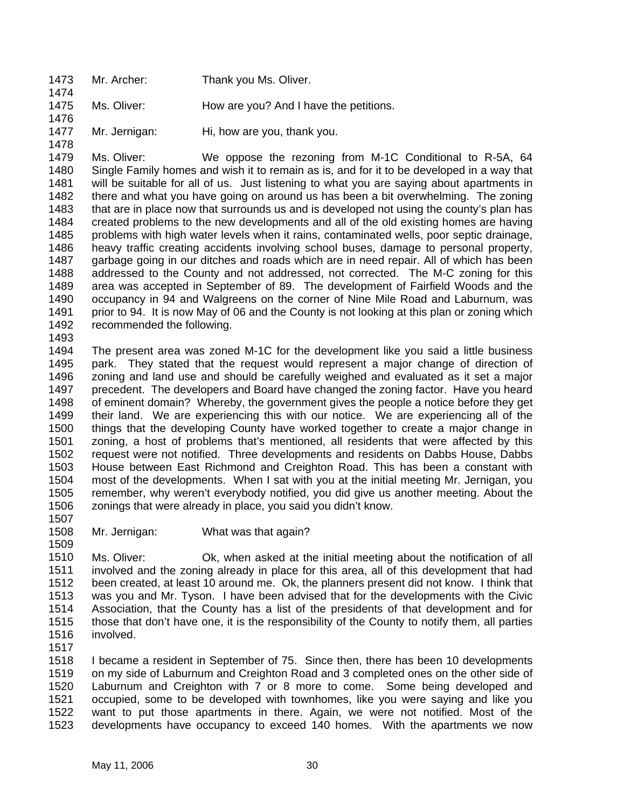1473 1474 Mr. Archer: Thank you Ms. Oliver.

1475 Ms. Oliver: How are you? And I have the petitions.

1477 Mr. Jernigan: Hi, how are you, thank you.

1479 1480 1481 1482 1483 1484 1485 1486 1487 1488 1489 1490 1491 1492 Ms. Oliver: We oppose the rezoning from M-1C Conditional to R-5A, 64 Single Family homes and wish it to remain as is, and for it to be developed in a way that will be suitable for all of us. Just listening to what you are saying about apartments in there and what you have going on around us has been a bit overwhelming. The zoning that are in place now that surrounds us and is developed not using the county's plan has created problems to the new developments and all of the old existing homes are having problems with high water levels when it rains, contaminated wells, poor septic drainage, heavy traffic creating accidents involving school buses, damage to personal property, garbage going in our ditches and roads which are in need repair. All of which has been addressed to the County and not addressed, not corrected. The M-C zoning for this area was accepted in September of 89. The development of Fairfield Woods and the occupancy in 94 and Walgreens on the corner of Nine Mile Road and Laburnum, was prior to 94. It is now May of 06 and the County is not looking at this plan or zoning which recommended the following.

1493

1476

1478

1494 1495 1496 1497 1498 1499 1500 1501 1502 1503 1504 1505 1506 The present area was zoned M-1C for the development like you said a little business park. They stated that the request would represent a major change of direction of zoning and land use and should be carefully weighed and evaluated as it set a major precedent. The developers and Board have changed the zoning factor. Have you heard of eminent domain? Whereby, the government gives the people a notice before they get their land. We are experiencing this with our notice. We are experiencing all of the things that the developing County have worked together to create a major change in zoning, a host of problems that's mentioned, all residents that were affected by this request were not notified. Three developments and residents on Dabbs House, Dabbs House between East Richmond and Creighton Road. This has been a constant with most of the developments. When I sat with you at the initial meeting Mr. Jernigan, you remember, why weren't everybody notified, you did give us another meeting. About the zonings that were already in place, you said you didn't know.

1507 1508

1509

Mr. Jernigan: What was that again?

1510 1511 1512 1513 1514 1515 1516 Ms. Oliver: Ok, when asked at the initial meeting about the notification of all involved and the zoning already in place for this area, all of this development that had been created, at least 10 around me. Ok, the planners present did not know. I think that was you and Mr. Tyson. I have been advised that for the developments with the Civic Association, that the County has a list of the presidents of that development and for those that don't have one, it is the responsibility of the County to notify them, all parties involved.

1517

1518 1519 1520 1521 1522 1523 I became a resident in September of 75. Since then, there has been 10 developments on my side of Laburnum and Creighton Road and 3 completed ones on the other side of Laburnum and Creighton with 7 or 8 more to come. Some being developed and occupied, some to be developed with townhomes, like you were saying and like you want to put those apartments in there. Again, we were not notified. Most of the developments have occupancy to exceed 140 homes. With the apartments we now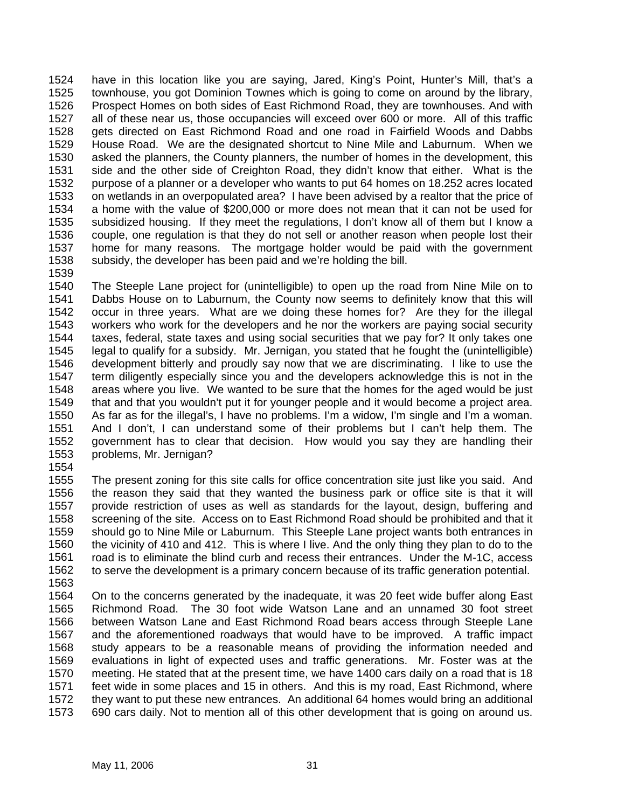1524 1525 1526 1527 1528 1529 1530 1531 1532 1533 1534 1535 1536 1537 1538 have in this location like you are saying, Jared, King's Point, Hunter's Mill, that's a townhouse, you got Dominion Townes which is going to come on around by the library, Prospect Homes on both sides of East Richmond Road, they are townhouses. And with all of these near us, those occupancies will exceed over 600 or more. All of this traffic gets directed on East Richmond Road and one road in Fairfield Woods and Dabbs House Road. We are the designated shortcut to Nine Mile and Laburnum. When we asked the planners, the County planners, the number of homes in the development, this side and the other side of Creighton Road, they didn't know that either. What is the purpose of a planner or a developer who wants to put 64 homes on 18.252 acres located on wetlands in an overpopulated area? I have been advised by a realtor that the price of a home with the value of \$200,000 or more does not mean that it can not be used for subsidized housing. If they meet the regulations, I don't know all of them but I know a couple, one regulation is that they do not sell or another reason when people lost their home for many reasons. The mortgage holder would be paid with the government subsidy, the developer has been paid and we're holding the bill.

1539

1540 1541 1542 1543 1544 1545 1546 1547 1548 1549 1550 1551 1552 1553 The Steeple Lane project for (unintelligible) to open up the road from Nine Mile on to Dabbs House on to Laburnum, the County now seems to definitely know that this will occur in three years. What are we doing these homes for? Are they for the illegal workers who work for the developers and he nor the workers are paying social security taxes, federal, state taxes and using social securities that we pay for? It only takes one legal to qualify for a subsidy. Mr. Jernigan, you stated that he fought the (unintelligible) development bitterly and proudly say now that we are discriminating. I like to use the term diligently especially since you and the developers acknowledge this is not in the areas where you live. We wanted to be sure that the homes for the aged would be just that and that you wouldn't put it for younger people and it would become a project area. As far as for the illegal's, I have no problems. I'm a widow, I'm single and I'm a woman. And I don't, I can understand some of their problems but I can't help them. The government has to clear that decision. How would you say they are handling their problems, Mr. Jernigan?

1554

1555 1556 1557 1558 1559 1560 1561 1562 The present zoning for this site calls for office concentration site just like you said. And the reason they said that they wanted the business park or office site is that it will provide restriction of uses as well as standards for the layout, design, buffering and screening of the site. Access on to East Richmond Road should be prohibited and that it should go to Nine Mile or Laburnum. This Steeple Lane project wants both entrances in the vicinity of 410 and 412. This is where I live. And the only thing they plan to do to the road is to eliminate the blind curb and recess their entrances. Under the M-1C, access to serve the development is a primary concern because of its traffic generation potential.

1563

1564 1565 1566 1567 1568 1569 1570 1571 1572 1573 On to the concerns generated by the inadequate, it was 20 feet wide buffer along East Richmond Road. The 30 foot wide Watson Lane and an unnamed 30 foot street between Watson Lane and East Richmond Road bears access through Steeple Lane and the aforementioned roadways that would have to be improved. A traffic impact study appears to be a reasonable means of providing the information needed and evaluations in light of expected uses and traffic generations. Mr. Foster was at the meeting. He stated that at the present time, we have 1400 cars daily on a road that is 18 feet wide in some places and 15 in others. And this is my road, East Richmond, where they want to put these new entrances. An additional 64 homes would bring an additional 690 cars daily. Not to mention all of this other development that is going on around us.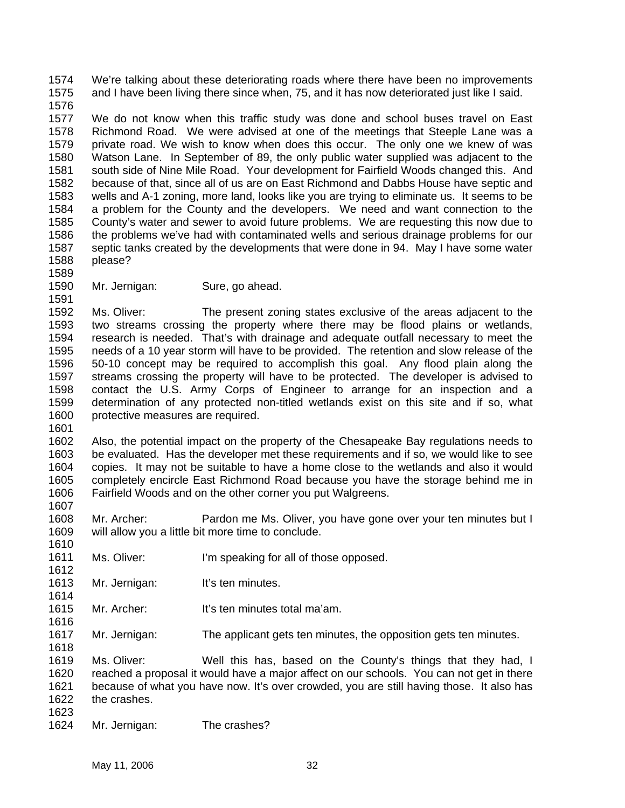1574 1575 We're talking about these deteriorating roads where there have been no improvements and I have been living there since when, 75, and it has now deteriorated just like I said.

1576

1577 1578 1579 1580 1581 1582 1583 1584 1585 1586 1587 1588 We do not know when this traffic study was done and school buses travel on East Richmond Road. We were advised at one of the meetings that Steeple Lane was a private road. We wish to know when does this occur. The only one we knew of was Watson Lane. In September of 89, the only public water supplied was adjacent to the south side of Nine Mile Road. Your development for Fairfield Woods changed this. And because of that, since all of us are on East Richmond and Dabbs House have septic and wells and A-1 zoning, more land, looks like you are trying to eliminate us. It seems to be a problem for the County and the developers. We need and want connection to the County's water and sewer to avoid future problems. We are requesting this now due to the problems we've had with contaminated wells and serious drainage problems for our septic tanks created by the developments that were done in 94. May I have some water please?

1589

1591

1601

1610

1612

1614

1618

1590 Mr. Jernigan: Sure, go ahead.

1592 1593 1594 1595 1596 1597 1598 1599 1600 Ms. Oliver: The present zoning states exclusive of the areas adjacent to the two streams crossing the property where there may be flood plains or wetlands, research is needed. That's with drainage and adequate outfall necessary to meet the needs of a 10 year storm will have to be provided. The retention and slow release of the 50-10 concept may be required to accomplish this goal. Any flood plain along the streams crossing the property will have to be protected. The developer is advised to contact the U.S. Army Corps of Engineer to arrange for an inspection and a determination of any protected non-titled wetlands exist on this site and if so, what protective measures are required.

1602 1603 1604 1605 1606 1607 Also, the potential impact on the property of the Chesapeake Bay regulations needs to be evaluated. Has the developer met these requirements and if so, we would like to see copies. It may not be suitable to have a home close to the wetlands and also it would completely encircle East Richmond Road because you have the storage behind me in Fairfield Woods and on the other corner you put Walgreens.

1608 1609 Mr. Archer: Pardon me Ms. Oliver, you have gone over your ten minutes but I will allow you a little bit more time to conclude.

- 1611 Ms. Oliver: I'm speaking for all of those opposed.
- 1613 Mr. Jernigan: It's ten minutes.
- 1615 1616 Mr. Archer: It's ten minutes total ma'am.
- 1617 Mr. Jernigan: The applicant gets ten minutes, the opposition gets ten minutes.

1619 1620 1621 1622 1623 Ms. Oliver: Well this has, based on the County's things that they had, I reached a proposal it would have a major affect on our schools. You can not get in there because of what you have now. It's over crowded, you are still having those. It also has the crashes.

1624 Mr. Jernigan: The crashes?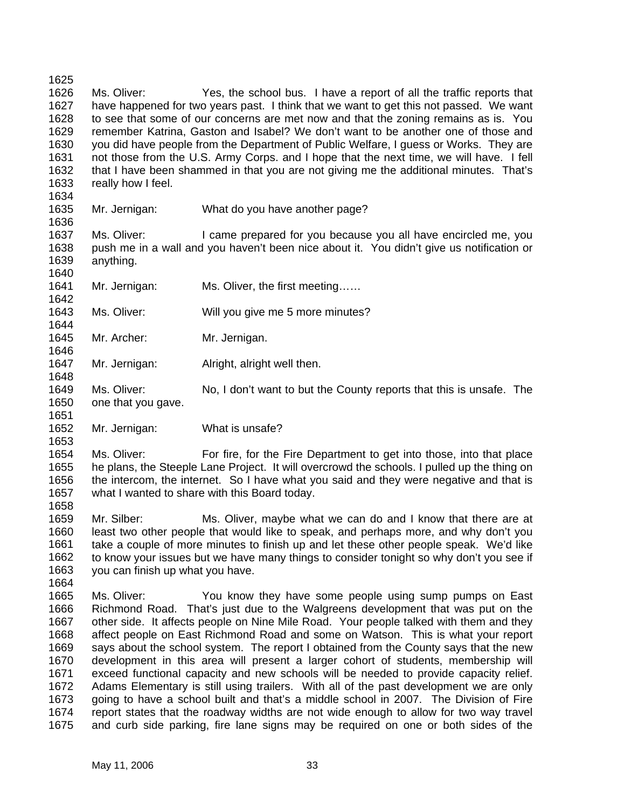1625 1626 1627 1628 1629 1630 1631 1632 1633 1634 Ms. Oliver: Yes, the school bus. I have a report of all the traffic reports that have happened for two years past. I think that we want to get this not passed. We want to see that some of our concerns are met now and that the zoning remains as is. You remember Katrina, Gaston and Isabel? We don't want to be another one of those and you did have people from the Department of Public Welfare, I guess or Works. They are not those from the U.S. Army Corps. and I hope that the next time, we will have. I fell that I have been shammed in that you are not giving me the additional minutes. That's really how I feel.

- 1635 Mr. Jernigan: What do you have another page?
- 1637 1638 1639 Ms. Oliver: I came prepared for you because you all have encircled me, you push me in a wall and you haven't been nice about it. You didn't give us notification or anything.
- 1641 Mr. Jernigan: Ms. Oliver, the first meeting……
- 1643 Ms. Oliver: Will you give me 5 more minutes?
- 1645 Mr. Archer: Mr. Jernigan.

1636

1640

1642

1644

1646

1648

1651

1653

1658

- 1647 Mr. Jernigan: Alright, alright well then.
- 1649 1650 Ms. Oliver: No, I don't want to but the County reports that this is unsafe. The one that you gave.
- 1652 Mr. Jernigan: What is unsafe?

1654 1655 1656 1657 Ms. Oliver: For fire, for the Fire Department to get into those, into that place he plans, the Steeple Lane Project. It will overcrowd the schools. I pulled up the thing on the intercom, the internet. So I have what you said and they were negative and that is what I wanted to share with this Board today.

1659 1660 1661 1662 1663 1664 Mr. Silber: Ms. Oliver, maybe what we can do and I know that there are at least two other people that would like to speak, and perhaps more, and why don't you take a couple of more minutes to finish up and let these other people speak. We'd like to know your issues but we have many things to consider tonight so why don't you see if you can finish up what you have.

1665 1666 1667 1668 1669 1670 1671 1672 1673 1674 1675 Ms. Oliver: You know they have some people using sump pumps on East Richmond Road. That's just due to the Walgreens development that was put on the other side. It affects people on Nine Mile Road. Your people talked with them and they affect people on East Richmond Road and some on Watson. This is what your report says about the school system. The report I obtained from the County says that the new development in this area will present a larger cohort of students, membership will exceed functional capacity and new schools will be needed to provide capacity relief. Adams Elementary is still using trailers. With all of the past development we are only going to have a school built and that's a middle school in 2007. The Division of Fire report states that the roadway widths are not wide enough to allow for two way travel and curb side parking, fire lane signs may be required on one or both sides of the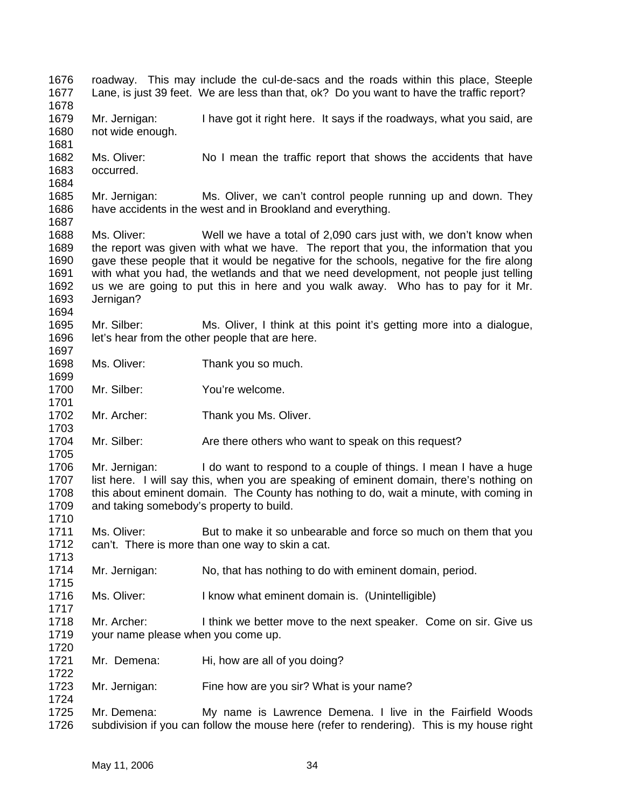1676 1677 1678 1679 1680 1681 1682 1683 1684 1685 1686 1687 1688 1689 1690 1691 1692 1693 1694 1695 1696 1697 1698 1699 1700 1701 1702 1703 1704 1705 1706 1707 1708 1709 1710 1711 1712 1713 1714 1715 1716 1717 1718 1719 1720 1721 1722 1723 1724 1725 1726 roadway. This may include the cul-de-sacs and the roads within this place, Steeple Lane, is just 39 feet. We are less than that, ok? Do you want to have the traffic report? Mr. Jernigan: I have got it right here. It says if the roadways, what you said, are not wide enough. Ms. Oliver: No I mean the traffic report that shows the accidents that have occurred. Mr. Jernigan: Ms. Oliver, we can't control people running up and down. They have accidents in the west and in Brookland and everything. Ms. Oliver: Well we have a total of 2,090 cars just with, we don't know when the report was given with what we have. The report that you, the information that you gave these people that it would be negative for the schools, negative for the fire along with what you had, the wetlands and that we need development, not people just telling us we are going to put this in here and you walk away. Who has to pay for it Mr. Jernigan? Mr. Silber: Ms. Oliver, I think at this point it's getting more into a dialogue, let's hear from the other people that are here. Ms. Oliver: Thank you so much. Mr. Silber: You're welcome. Mr. Archer: Thank you Ms. Oliver. Mr. Silber: Are there others who want to speak on this request? Mr. Jernigan: I do want to respond to a couple of things. I mean I have a huge list here. I will say this, when you are speaking of eminent domain, there's nothing on this about eminent domain. The County has nothing to do, wait a minute, with coming in and taking somebody's property to build. Ms. Oliver: But to make it so unbearable and force so much on them that you can't. There is more than one way to skin a cat. Mr. Jernigan: No, that has nothing to do with eminent domain, period. Ms. Oliver: I know what eminent domain is. (Unintelligible) Mr. Archer: I think we better move to the next speaker. Come on sir. Give us your name please when you come up. Mr. Demena: Hi, how are all of you doing? Mr. Jernigan: Fine how are you sir? What is your name? Mr. Demena: My name is Lawrence Demena. I live in the Fairfield Woods subdivision if you can follow the mouse here (refer to rendering). This is my house right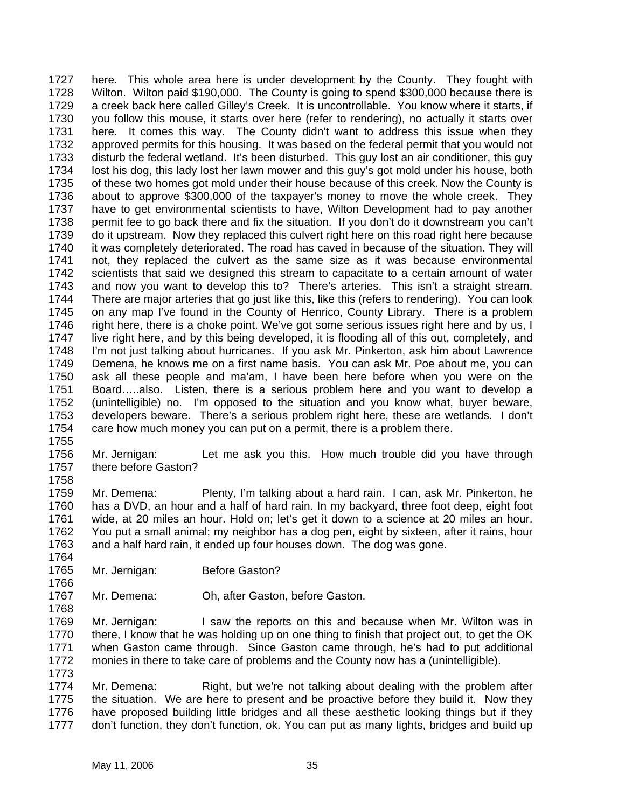1727 1728 1729 1730 1731 1732 1733 1734 1735 1736 1737 1738 1739 1740 1741 1742 1743 1744 1745 1746 1747 1748 1749 1750 1751 1752 1753 1754 here. This whole area here is under development by the County. They fought with Wilton. Wilton paid \$190,000. The County is going to spend \$300,000 because there is a creek back here called Gilley's Creek. It is uncontrollable. You know where it starts, if you follow this mouse, it starts over here (refer to rendering), no actually it starts over here. It comes this way. The County didn't want to address this issue when they approved permits for this housing. It was based on the federal permit that you would not disturb the federal wetland. It's been disturbed. This guy lost an air conditioner, this guy lost his dog, this lady lost her lawn mower and this guy's got mold under his house, both of these two homes got mold under their house because of this creek. Now the County is about to approve \$300,000 of the taxpayer's money to move the whole creek. They have to get environmental scientists to have, Wilton Development had to pay another permit fee to go back there and fix the situation. If you don't do it downstream you can't do it upstream. Now they replaced this culvert right here on this road right here because it was completely deteriorated. The road has caved in because of the situation. They will not, they replaced the culvert as the same size as it was because environmental scientists that said we designed this stream to capacitate to a certain amount of water and now you want to develop this to? There's arteries. This isn't a straight stream. There are major arteries that go just like this, like this (refers to rendering). You can look on any map I've found in the County of Henrico, County Library. There is a problem right here, there is a choke point. We've got some serious issues right here and by us, I live right here, and by this being developed, it is flooding all of this out, completely, and I'm not just talking about hurricanes. If you ask Mr. Pinkerton, ask him about Lawrence Demena, he knows me on a first name basis. You can ask Mr. Poe about me, you can ask all these people and ma'am, I have been here before when you were on the Board…..also. Listen, there is a serious problem here and you want to develop a (unintelligible) no. I'm opposed to the situation and you know what, buyer beware, developers beware. There's a serious problem right here, these are wetlands. I don't care how much money you can put on a permit, there is a problem there.

1755

1758

1764

1766

1768

1756 1757 Mr. Jernigan: Let me ask you this. How much trouble did you have through there before Gaston?

1759 1760 1761 1762 1763 Mr. Demena: Plenty, I'm talking about a hard rain. I can, ask Mr. Pinkerton, he has a DVD, an hour and a half of hard rain. In my backyard, three foot deep, eight foot wide, at 20 miles an hour. Hold on; let's get it down to a science at 20 miles an hour. You put a small animal; my neighbor has a dog pen, eight by sixteen, after it rains, hour and a half hard rain, it ended up four houses down. The dog was gone.

- 1765 Mr. Jernigan: **Before Gaston?**
- 1767 Mr. Demena: Oh, after Gaston, before Gaston.

1769 1770 1771 1772 1773 Mr. Jernigan: I saw the reports on this and because when Mr. Wilton was in there, I know that he was holding up on one thing to finish that project out, to get the OK when Gaston came through. Since Gaston came through, he's had to put additional monies in there to take care of problems and the County now has a (unintelligible).

1774 1775 1776 1777 Mr. Demena: Right, but we're not talking about dealing with the problem after the situation. We are here to present and be proactive before they build it. Now they have proposed building little bridges and all these aesthetic looking things but if they don't function, they don't function, ok. You can put as many lights, bridges and build up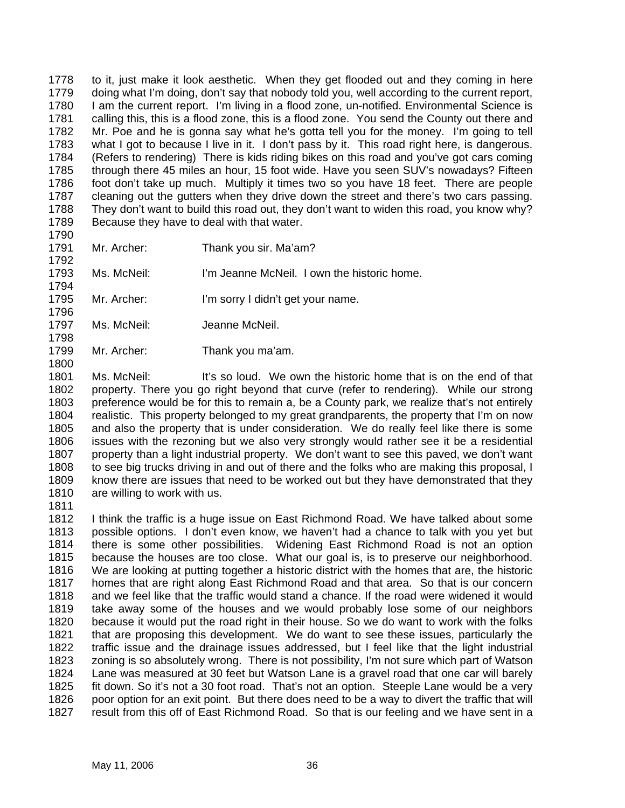1778 1779 1780 1781 1782 1783 1784 1785 1786 1787 1788 1789 to it, just make it look aesthetic. When they get flooded out and they coming in here doing what I'm doing, don't say that nobody told you, well according to the current report, I am the current report. I'm living in a flood zone, un-notified. Environmental Science is calling this, this is a flood zone, this is a flood zone. You send the County out there and Mr. Poe and he is gonna say what he's gotta tell you for the money. I'm going to tell what I got to because I live in it. I don't pass by it. This road right here, is dangerous. (Refers to rendering) There is kids riding bikes on this road and you've got cars coming through there 45 miles an hour, 15 foot wide. Have you seen SUV's nowadays? Fifteen foot don't take up much. Multiply it times two so you have 18 feet. There are people cleaning out the gutters when they drive down the street and there's two cars passing. They don't want to build this road out, they don't want to widen this road, you know why? Because they have to deal with that water.

1790 1791

1792

1794

1796

1798

1800

- Mr. Archer: Thank you sir. Ma'am?
- 1793 Ms. McNeil: I'm Jeanne McNeil. I own the historic home.
- 1795 Mr. Archer: I'm sorry I didn't get your name.
- 1797 Ms. McNeil: Jeanne McNeil.
- 1799 Mr. Archer: Thank you ma'am.

1801 1802 1803 1804 1805 1806 1807 1808 1809 1810 Ms. McNeil: It's so loud. We own the historic home that is on the end of that property. There you go right beyond that curve (refer to rendering). While our strong preference would be for this to remain a, be a County park, we realize that's not entirely realistic. This property belonged to my great grandparents, the property that I'm on now and also the property that is under consideration. We do really feel like there is some issues with the rezoning but we also very strongly would rather see it be a residential property than a light industrial property. We don't want to see this paved, we don't want to see big trucks driving in and out of there and the folks who are making this proposal, I know there are issues that need to be worked out but they have demonstrated that they are willing to work with us.

1811

1812 1813 1814 1815 1816 1817 1818 1819 1820 1821 1822 1823 1824 1825 1826 1827 I think the traffic is a huge issue on East Richmond Road. We have talked about some possible options. I don't even know, we haven't had a chance to talk with you yet but there is some other possibilities. Widening East Richmond Road is not an option because the houses are too close. What our goal is, is to preserve our neighborhood. We are looking at putting together a historic district with the homes that are, the historic homes that are right along East Richmond Road and that area. So that is our concern and we feel like that the traffic would stand a chance. If the road were widened it would take away some of the houses and we would probably lose some of our neighbors because it would put the road right in their house. So we do want to work with the folks that are proposing this development. We do want to see these issues, particularly the traffic issue and the drainage issues addressed, but I feel like that the light industrial zoning is so absolutely wrong. There is not possibility, I'm not sure which part of Watson Lane was measured at 30 feet but Watson Lane is a gravel road that one car will barely fit down. So it's not a 30 foot road. That's not an option. Steeple Lane would be a very poor option for an exit point. But there does need to be a way to divert the traffic that will result from this off of East Richmond Road. So that is our feeling and we have sent in a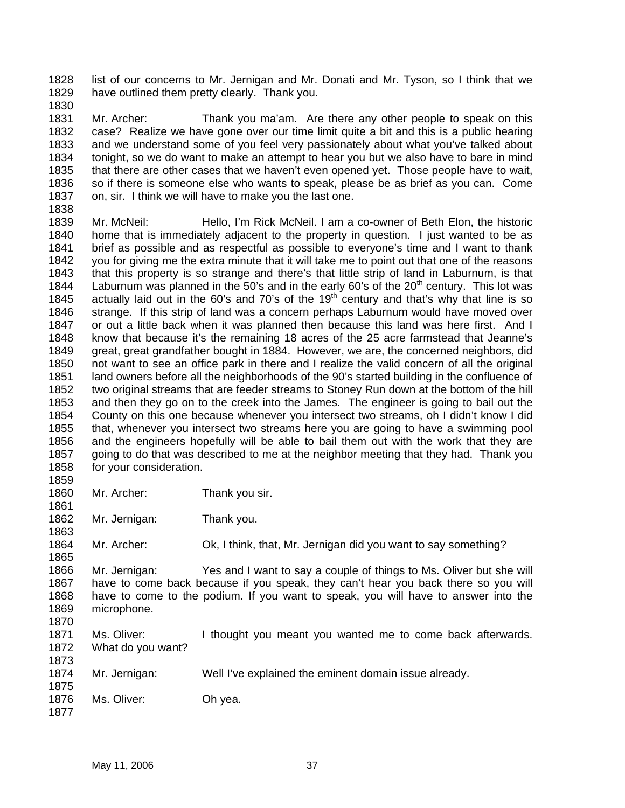1828 1829 list of our concerns to Mr. Jernigan and Mr. Donati and Mr. Tyson, so I think that we have outlined them pretty clearly. Thank you.

1830

1831 1832 1833 1834 1835 1836 1837 Mr. Archer: Thank you ma'am. Are there any other people to speak on this case? Realize we have gone over our time limit quite a bit and this is a public hearing and we understand some of you feel very passionately about what you've talked about tonight, so we do want to make an attempt to hear you but we also have to bare in mind that there are other cases that we haven't even opened yet. Those people have to wait, so if there is someone else who wants to speak, please be as brief as you can. Come on, sir. I think we will have to make you the last one.

- 1838
- 1839 1840 1841 1842 1843 1844 1845 1846 1847 1848 1849 1850 1851 1852 1853 1854 1855 1856 1857 1858 Mr. McNeil: Hello, I'm Rick McNeil. I am a co-owner of Beth Elon, the historic home that is immediately adjacent to the property in question. I just wanted to be as brief as possible and as respectful as possible to everyone's time and I want to thank you for giving me the extra minute that it will take me to point out that one of the reasons that this property is so strange and there's that little strip of land in Laburnum, is that Laburnum was planned in the 50's and in the early 60's of the  $20<sup>th</sup>$  century. This lot was actually laid out in the 60's and 70's of the 19<sup>th</sup> century and that's why that line is so strange. If this strip of land was a concern perhaps Laburnum would have moved over or out a little back when it was planned then because this land was here first. And I know that because it's the remaining 18 acres of the 25 acre farmstead that Jeanne's great, great grandfather bought in 1884. However, we are, the concerned neighbors, did not want to see an office park in there and I realize the valid concern of all the original land owners before all the neighborhoods of the 90's started building in the confluence of two original streams that are feeder streams to Stoney Run down at the bottom of the hill and then they go on to the creek into the James. The engineer is going to bail out the County on this one because whenever you intersect two streams, oh I didn't know I did that, whenever you intersect two streams here you are going to have a swimming pool and the engineers hopefully will be able to bail them out with the work that they are going to do that was described to me at the neighbor meeting that they had. Thank you for your consideration.
- 1859
- 1860 1861 Mr. Archer: Thank you sir.
- 1862 1863 Mr. Jernigan: Thank you.

1864 1865 Mr. Archer: Ok, I think, that, Mr. Jernigan did you want to say something?

1866 1867 1868 1869 1870 Mr. Jernigan: Yes and I want to say a couple of things to Ms. Oliver but she will have to come back because if you speak, they can't hear you back there so you will have to come to the podium. If you want to speak, you will have to answer into the microphone.

- 1871 1872 1873 Ms. Oliver: I thought you meant you wanted me to come back afterwards. What do you want?
- 1874 1875 Mr. Jernigan: Well I've explained the eminent domain issue already.
- 1876 1877 Ms. Oliver: Oh yea.
	- May 11, 2006 37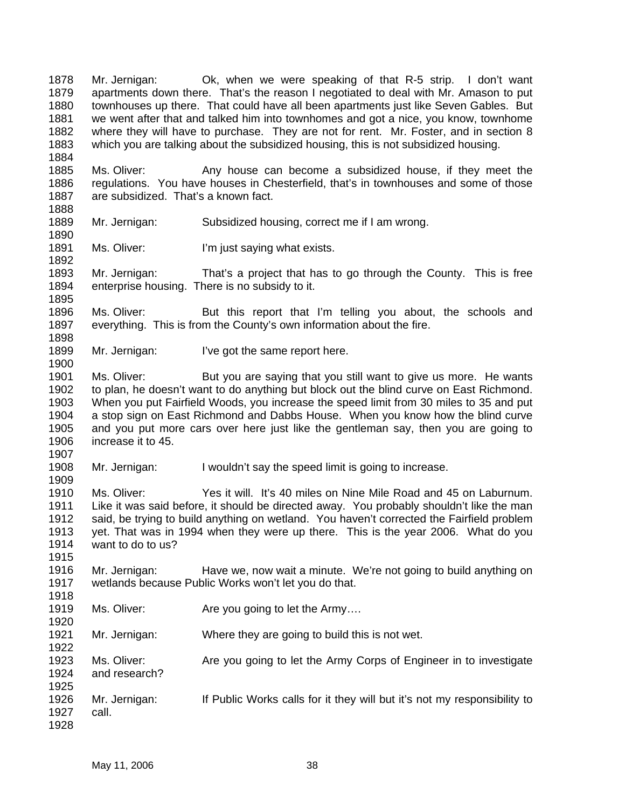1878 1879 1880 1881 1882 1883 1884 1885 1886 1887 1888 1889 1890 1891 1892 1893 1894 1895 1896 1897 1898 1899 1900 1901 1902 1903 1904 1905 1906 1907 1908 1909 1910 1911 1912 1913 1914 1915 1916 1917 1918 1919 1920 1921 1922 1923 1924 1925 1926 1927 1928 Mr. Jernigan: Ok, when we were speaking of that R-5 strip. I don't want apartments down there. That's the reason I negotiated to deal with Mr. Amason to put townhouses up there. That could have all been apartments just like Seven Gables. But we went after that and talked him into townhomes and got a nice, you know, townhome where they will have to purchase. They are not for rent. Mr. Foster, and in section 8 which you are talking about the subsidized housing, this is not subsidized housing. Ms. Oliver: Any house can become a subsidized house, if they meet the regulations. You have houses in Chesterfield, that's in townhouses and some of those are subsidized. That's a known fact. Mr. Jernigan: Subsidized housing, correct me if I am wrong. Ms. Oliver: I'm just saying what exists. Mr. Jernigan: That's a project that has to go through the County. This is free enterprise housing. There is no subsidy to it. Ms. Oliver: But this report that I'm telling you about, the schools and everything. This is from the County's own information about the fire. Mr. Jernigan: I've got the same report here. Ms. Oliver: But you are saying that you still want to give us more. He wants to plan, he doesn't want to do anything but block out the blind curve on East Richmond. When you put Fairfield Woods, you increase the speed limit from 30 miles to 35 and put a stop sign on East Richmond and Dabbs House. When you know how the blind curve and you put more cars over here just like the gentleman say, then you are going to increase it to 45. Mr. Jernigan: I wouldn't say the speed limit is going to increase. Ms. Oliver: Yes it will. It's 40 miles on Nine Mile Road and 45 on Laburnum. Like it was said before, it should be directed away. You probably shouldn't like the man said, be trying to build anything on wetland. You haven't corrected the Fairfield problem yet. That was in 1994 when they were up there. This is the year 2006. What do you want to do to us? Mr. Jernigan: Have we, now wait a minute. We're not going to build anything on wetlands because Public Works won't let you do that. Ms. Oliver: Are you going to let the Army.... Mr. Jernigan: Where they are going to build this is not wet. Ms. Oliver: Are you going to let the Army Corps of Engineer in to investigate and research? Mr. Jernigan: If Public Works calls for it they will but it's not my responsibility to call.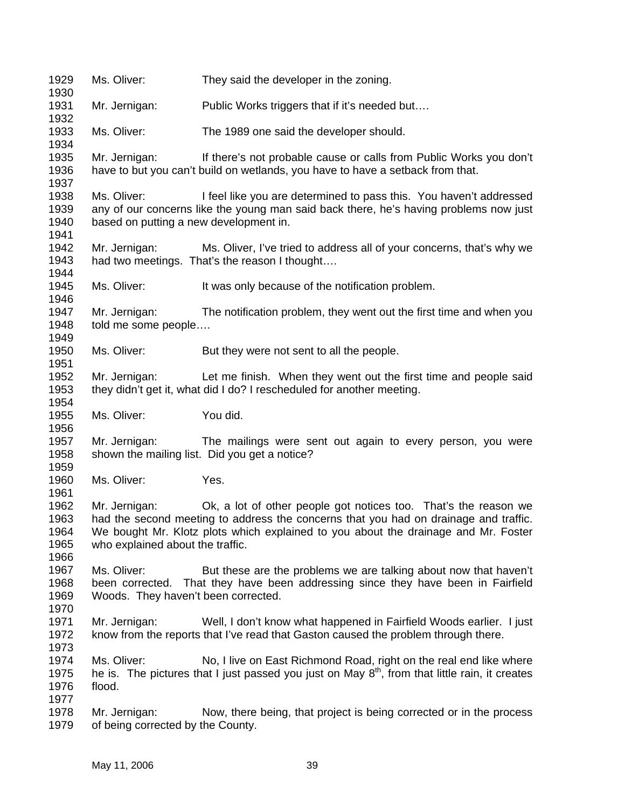1929 1930 1931 1932 1933 1934 1935 1936 1937 1938 1939 1940 1941 1942 1943 1944 1945 1946 1947 1948 1949 1950 1951 1952 1953 1954 1955 1956 1957 1958 1959 1960 1961 1962 1963 1964 1965 1966 1967 1968 1969 1970 1971 1972 1973 1974 1975 1976 1977 1978 1979 Ms. Oliver: They said the developer in the zoning. Mr. Jernigan: Public Works triggers that if it's needed but.... Ms. Oliver: The 1989 one said the developer should. Mr. Jernigan: If there's not probable cause or calls from Public Works you don't have to but you can't build on wetlands, you have to have a setback from that. Ms. Oliver: I feel like you are determined to pass this. You haven't addressed any of our concerns like the young man said back there, he's having problems now just based on putting a new development in. Mr. Jernigan: Ms. Oliver, I've tried to address all of your concerns, that's why we had two meetings. That's the reason I thought…. Ms. Oliver: It was only because of the notification problem. Mr. Jernigan: The notification problem, they went out the first time and when you told me some people…. Ms. Oliver: But they were not sent to all the people. Mr. Jernigan: Let me finish. When they went out the first time and people said they didn't get it, what did I do? I rescheduled for another meeting. Ms. Oliver: You did. Mr. Jernigan: The mailings were sent out again to every person, you were shown the mailing list. Did you get a notice? Ms. Oliver: Yes. Mr. Jernigan: Ok, a lot of other people got notices too. That's the reason we had the second meeting to address the concerns that you had on drainage and traffic. We bought Mr. Klotz plots which explained to you about the drainage and Mr. Foster who explained about the traffic. Ms. Oliver: But these are the problems we are talking about now that haven't been corrected. That they have been addressing since they have been in Fairfield Woods. They haven't been corrected. Mr. Jernigan: Well, I don't know what happened in Fairfield Woods earlier. I just know from the reports that I've read that Gaston caused the problem through there. Ms. Oliver: No, I live on East Richmond Road, right on the real end like where he is. The pictures that I just passed you just on May  $8<sup>th</sup>$ , from that little rain, it creates flood. Mr. Jernigan: Now, there being, that project is being corrected or in the process of being corrected by the County.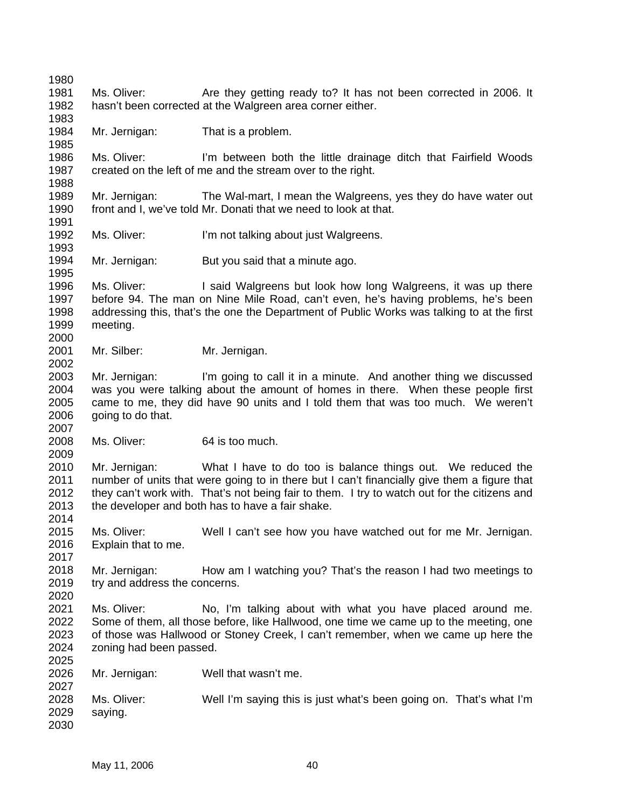1980 1981 1982 1983 1984 1985 1986 1987 1988 1989 1990 1991 1992 1993 1994 1995 1996 1997 1998 1999 2000 2001 2002 2003 2004 2005 2006 2007 2008 2009 2010 2011 2012 2013 2014 2015 2016 2017 2018 2019 2020 2021 2022 2023 2024 2025 2026 2027 2028 2029 2030 Ms. Oliver: Are they getting ready to? It has not been corrected in 2006. It hasn't been corrected at the Walgreen area corner either. Mr. Jernigan: That is a problem. Ms. Oliver: I'm between both the little drainage ditch that Fairfield Woods created on the left of me and the stream over to the right. Mr. Jernigan: The Wal-mart, I mean the Walgreens, yes they do have water out front and I, we've told Mr. Donati that we need to look at that. Ms. Oliver: I'm not talking about just Walgreens. Mr. Jernigan: But you said that a minute ago. Ms. Oliver: I said Walgreens but look how long Walgreens, it was up there before 94. The man on Nine Mile Road, can't even, he's having problems, he's been addressing this, that's the one the Department of Public Works was talking to at the first meeting. Mr. Silber: Mr. Jernigan. Mr. Jernigan: I'm going to call it in a minute. And another thing we discussed was you were talking about the amount of homes in there. When these people first came to me, they did have 90 units and I told them that was too much. We weren't going to do that. Ms. Oliver: 64 is too much. Mr. Jernigan: What I have to do too is balance things out. We reduced the number of units that were going to in there but I can't financially give them a figure that they can't work with. That's not being fair to them. I try to watch out for the citizens and the developer and both has to have a fair shake. Ms. Oliver: Well I can't see how you have watched out for me Mr. Jernigan. Explain that to me. Mr. Jernigan: How am I watching you? That's the reason I had two meetings to try and address the concerns. Ms. Oliver: No, I'm talking about with what you have placed around me. Some of them, all those before, like Hallwood, one time we came up to the meeting, one of those was Hallwood or Stoney Creek, I can't remember, when we came up here the zoning had been passed. Mr. Jernigan: Well that wasn't me. Ms. Oliver: Well I'm saying this is just what's been going on. That's what I'm saying.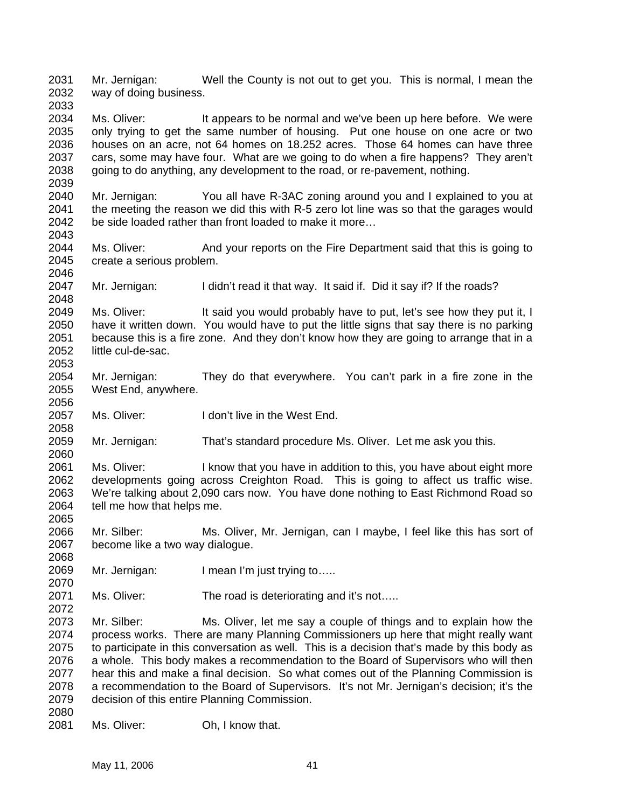2031 2032 2033 Mr. Jernigan: Well the County is not out to get you. This is normal, I mean the way of doing business.

2034 2035 2036 2037 2038 Ms. Oliver: It appears to be normal and we've been up here before. We were only trying to get the same number of housing. Put one house on one acre or two houses on an acre, not 64 homes on 18.252 acres. Those 64 homes can have three cars, some may have four. What are we going to do when a fire happens? They aren't going to do anything, any development to the road, or re-pavement, nothing.

2040 2041 2042 Mr. Jernigan: You all have R-3AC zoning around you and I explained to you at the meeting the reason we did this with R-5 zero lot line was so that the garages would be side loaded rather than front loaded to make it more…

2044 2045 2046 Ms. Oliver: And your reports on the Fire Department said that this is going to create a serious problem.

2047 Mr. Jernigan: I didn't read it that way. It said if. Did it say if? If the roads?

2049 2050 2051 2052 2053 Ms. Oliver: It said you would probably have to put, let's see how they put it, I have it written down. You would have to put the little signs that say there is no parking because this is a fire zone. And they don't know how they are going to arrange that in a little cul-de-sac.

2054 2055 Mr. Jernigan: They do that everywhere. You can't park in a fire zone in the West End, anywhere.

2057 Ms. Oliver: I don't live in the West End.

2059 2060 Mr. Jernigan: That's standard procedure Ms. Oliver. Let me ask you this.

2061 2062 2063 2064 Ms. Oliver: I know that you have in addition to this, you have about eight more developments going across Creighton Road. This is going to affect us traffic wise. We're talking about 2,090 cars now. You have done nothing to East Richmond Road so tell me how that helps me.

2066 2067 Mr. Silber: Ms. Oliver, Mr. Jernigan, can I maybe, I feel like this has sort of become like a two way dialogue.

2069 Mr. Jernigan: I mean I'm just trying to....

2071 Ms. Oliver: The road is deteriorating and it's not.....

2073 2074 2075 2076 2077 2078 2079 2080 Mr. Silber: Ms. Oliver, let me say a couple of things and to explain how the process works. There are many Planning Commissioners up here that might really want to participate in this conversation as well. This is a decision that's made by this body as a whole. This body makes a recommendation to the Board of Supervisors who will then hear this and make a final decision. So what comes out of the Planning Commission is a recommendation to the Board of Supervisors. It's not Mr. Jernigan's decision; it's the decision of this entire Planning Commission.

2081 Ms. Oliver: Oh, I know that.

2039

2043

2048

2056

2058

2065

2068

2070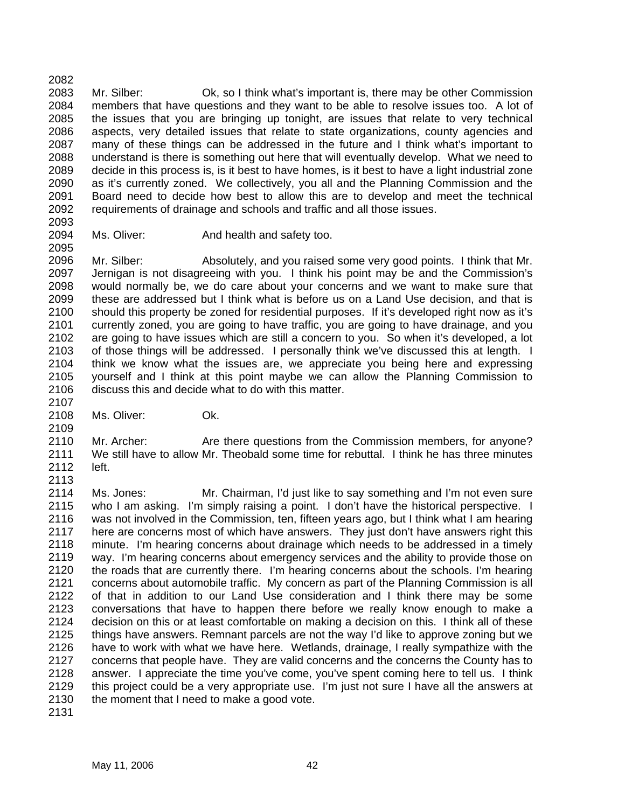2082 2083 2084 2085 2086 2087 2088 2089 2090 2091 2092 Mr. Silber: Ok, so I think what's important is, there may be other Commission members that have questions and they want to be able to resolve issues too. A lot of the issues that you are bringing up tonight, are issues that relate to very technical aspects, very detailed issues that relate to state organizations, county agencies and many of these things can be addressed in the future and I think what's important to understand is there is something out here that will eventually develop. What we need to decide in this process is, is it best to have homes, is it best to have a light industrial zone as it's currently zoned. We collectively, you all and the Planning Commission and the Board need to decide how best to allow this are to develop and meet the technical requirements of drainage and schools and traffic and all those issues.

2093 2094

2095

2109

2113

Ms. Oliver: **And health and safety too.** 

2096 2097 2098 2099 2100 2101 2102 2103 2104 2105 2106 2107 Mr. Silber: Absolutely, and you raised some very good points. I think that Mr. Jernigan is not disagreeing with you. I think his point may be and the Commission's would normally be, we do care about your concerns and we want to make sure that these are addressed but I think what is before us on a Land Use decision, and that is should this property be zoned for residential purposes. If it's developed right now as it's currently zoned, you are going to have traffic, you are going to have drainage, and you are going to have issues which are still a concern to you. So when it's developed, a lot of those things will be addressed. I personally think we've discussed this at length. I think we know what the issues are, we appreciate you being here and expressing yourself and I think at this point maybe we can allow the Planning Commission to discuss this and decide what to do with this matter.

2108 Ms. Oliver: Ok.

2110 2111 2112 Mr. Archer: Are there questions from the Commission members, for anyone? We still have to allow Mr. Theobald some time for rebuttal. I think he has three minutes left.

2114 2115 2116 2117 2118 2119 2120 2121 2122 2123 2124 2125 2126 2127 2128 2129 2130 Ms. Jones: Mr. Chairman, I'd just like to say something and I'm not even sure who I am asking. I'm simply raising a point. I don't have the historical perspective. I was not involved in the Commission, ten, fifteen years ago, but I think what I am hearing here are concerns most of which have answers. They just don't have answers right this minute. I'm hearing concerns about drainage which needs to be addressed in a timely way. I'm hearing concerns about emergency services and the ability to provide those on the roads that are currently there. I'm hearing concerns about the schools. I'm hearing concerns about automobile traffic. My concern as part of the Planning Commission is all of that in addition to our Land Use consideration and I think there may be some conversations that have to happen there before we really know enough to make a decision on this or at least comfortable on making a decision on this. I think all of these things have answers. Remnant parcels are not the way I'd like to approve zoning but we have to work with what we have here. Wetlands, drainage, I really sympathize with the concerns that people have. They are valid concerns and the concerns the County has to answer. I appreciate the time you've come, you've spent coming here to tell us. I think this project could be a very appropriate use. I'm just not sure I have all the answers at the moment that I need to make a good vote.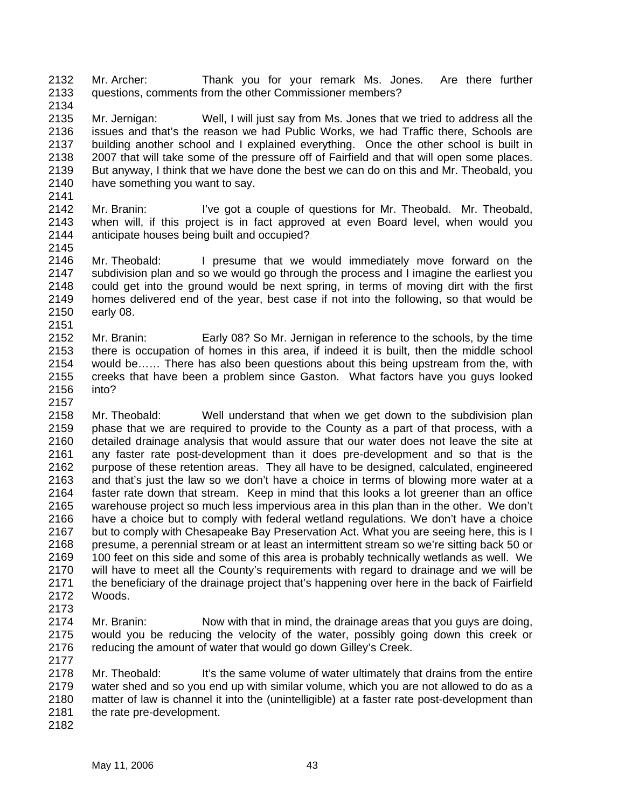2132 2133 Mr. Archer: Thank you for your remark Ms. Jones. Are there further questions, comments from the other Commissioner members?

2135 2136 2137 2138 2139 2140 2141 Mr. Jernigan: Well, I will just say from Ms. Jones that we tried to address all the issues and that's the reason we had Public Works, we had Traffic there, Schools are building another school and I explained everything. Once the other school is built in 2007 that will take some of the pressure off of Fairfield and that will open some places. But anyway, I think that we have done the best we can do on this and Mr. Theobald, you have something you want to say.

2142 2143 2144 2145 Mr. Branin: I've got a couple of questions for Mr. Theobald. Mr. Theobald, when will, if this project is in fact approved at even Board level, when would you anticipate houses being built and occupied?

2146 2147 2148 2149 2150 2151 Mr. Theobald: I presume that we would immediately move forward on the subdivision plan and so we would go through the process and I imagine the earliest you could get into the ground would be next spring, in terms of moving dirt with the first homes delivered end of the year, best case if not into the following, so that would be early 08.

2152 2153 2154 2155 2156 Mr. Branin: Early 08? So Mr. Jernigan in reference to the schools, by the time there is occupation of homes in this area, if indeed it is built, then the middle school would be…… There has also been questions about this being upstream from the, with creeks that have been a problem since Gaston. What factors have you guys looked into?

2158 2159 2160 2161 2162 2163 2164 2165 2166 2167 2168 2169 2170 2171 2172 Mr. Theobald: Well understand that when we get down to the subdivision plan phase that we are required to provide to the County as a part of that process, with a detailed drainage analysis that would assure that our water does not leave the site at any faster rate post-development than it does pre-development and so that is the purpose of these retention areas. They all have to be designed, calculated, engineered and that's just the law so we don't have a choice in terms of blowing more water at a faster rate down that stream. Keep in mind that this looks a lot greener than an office warehouse project so much less impervious area in this plan than in the other. We don't have a choice but to comply with federal wetland regulations. We don't have a choice but to comply with Chesapeake Bay Preservation Act. What you are seeing here, this is I presume, a perennial stream or at least an intermittent stream so we're sitting back 50 or 100 feet on this side and some of this area is probably technically wetlands as well. We will have to meet all the County's requirements with regard to drainage and we will be the beneficiary of the drainage project that's happening over here in the back of Fairfield Woods.

2174 2175 2176 Mr. Branin: Now with that in mind, the drainage areas that you guys are doing, would you be reducing the velocity of the water, possibly going down this creek or reducing the amount of water that would go down Gilley's Creek.

2178 2179 2180 2181 Mr. Theobald: It's the same volume of water ultimately that drains from the entire water shed and so you end up with similar volume, which you are not allowed to do as a matter of law is channel it into the (unintelligible) at a faster rate post-development than the rate pre-development.

2173

2177

2134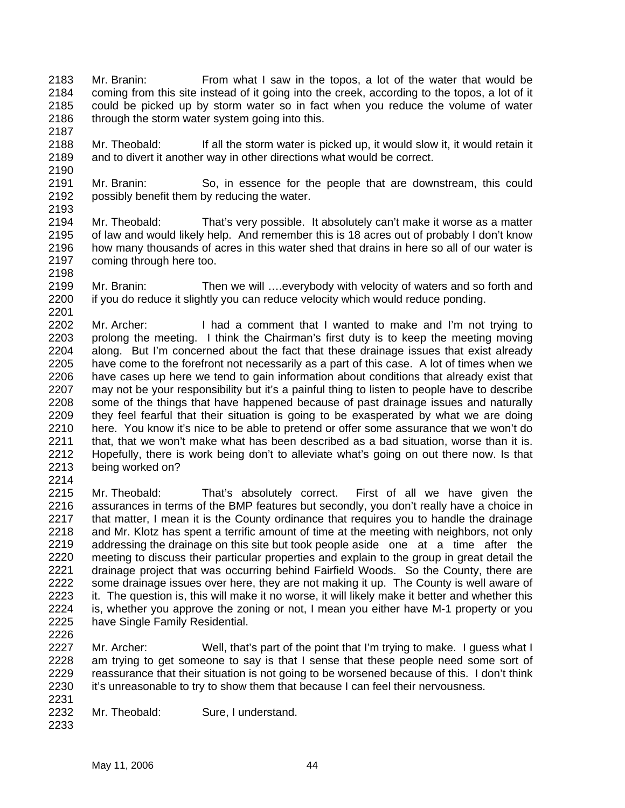- 2183 2184 2185 2186 Mr. Branin: From what I saw in the topos, a lot of the water that would be coming from this site instead of it going into the creek, according to the topos, a lot of it could be picked up by storm water so in fact when you reduce the volume of water through the storm water system going into this.
- 2188 2189 Mr. Theobald: If all the storm water is picked up, it would slow it, it would retain it and to divert it another way in other directions what would be correct.
- 2191 2192 2193 Mr. Branin: So, in essence for the people that are downstream, this could possibly benefit them by reducing the water.
- 2194 2195 2196 2197 Mr. Theobald: That's very possible. It absolutely can't make it worse as a matter of law and would likely help. And remember this is 18 acres out of probably I don't know how many thousands of acres in this water shed that drains in here so all of our water is coming through here too.
- 2199 2200 Mr. Branin: Then we will ….everybody with velocity of waters and so forth and if you do reduce it slightly you can reduce velocity which would reduce ponding.
- 2201 2202 2203 2204 2205 2206 2207 2208 2209 2210 2211 2212 2213 2214 Mr. Archer: I had a comment that I wanted to make and I'm not trying to prolong the meeting. I think the Chairman's first duty is to keep the meeting moving along. But I'm concerned about the fact that these drainage issues that exist already have come to the forefront not necessarily as a part of this case. A lot of times when we have cases up here we tend to gain information about conditions that already exist that may not be your responsibility but it's a painful thing to listen to people have to describe some of the things that have happened because of past drainage issues and naturally they feel fearful that their situation is going to be exasperated by what we are doing here. You know it's nice to be able to pretend or offer some assurance that we won't do that, that we won't make what has been described as a bad situation, worse than it is. Hopefully, there is work being don't to alleviate what's going on out there now. Is that being worked on?
- 2215 2216 2217 2218 2219 2220 2221 2222 2223 2224 2225 2226 Mr. Theobald: That's absolutely correct. First of all we have given the assurances in terms of the BMP features but secondly, you don't really have a choice in that matter, I mean it is the County ordinance that requires you to handle the drainage and Mr. Klotz has spent a terrific amount of time at the meeting with neighbors, not only addressing the drainage on this site but took peopleaside one at a time after the meeting to discuss their particular properties and explain to the group in great detail the drainage project that was occurring behind Fairfield Woods. So the County, there are some drainage issues over here, they are not making it up. The County is well aware of it. The question is, this will make it no worse, it will likely make it better and whether this is, whether you approve the zoning or not, I mean you either have M-1 property or you have Single Family Residential.
- 2227 2228 2229 2230 Mr. Archer: Well, that's part of the point that I'm trying to make. I guess what I am trying to get someone to say is that I sense that these people need some sort of reassurance that their situation is not going to be worsened because of this. I don't think it's unreasonable to try to show them that because I can feel their nervousness.
- 2231 2232 Mr. Theobald: Sure, I understand.
	- May 11, 2006 44

2233

2187

2190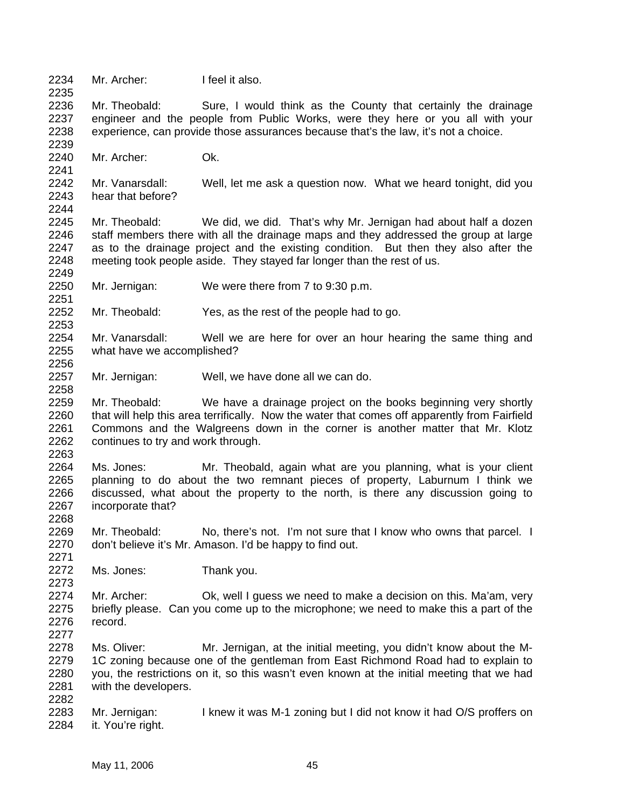2234 Mr. Archer: I feel it also.

2236 2237 2238 Mr. Theobald: Sure, I would think as the County that certainly the drainage engineer and the people from Public Works, were they here or you all with your experience, can provide those assurances because that's the law, it's not a choice.

2240 Mr. Archer: Ok.

2235

2239

2241

2249

2251

2253

2256

2258

2263

2268

2271

2273

2282

2242 2243 2244 Mr. Vanarsdall: Well, let me ask a question now. What we heard tonight, did you hear that before?

2245 2246 2247 2248 Mr. Theobald: We did, we did. That's why Mr. Jernigan had about half a dozen staff members there with all the drainage maps and they addressed the group at large as to the drainage project and the existing condition. But then they also after the meeting took people aside. They stayed far longer than the rest of us.

2250 Mr. Jernigan: We were there from 7 to 9:30 p.m.

2252 Mr. Theobald: Yes, as the rest of the people had to go.

2254 2255 Mr. Vanarsdall: Well we are here for over an hour hearing the same thing and what have we accomplished?

2257 Mr. Jernigan: Well, we have done all we can do.

2259 2260 2261 2262 Mr. Theobald: We have a drainage project on the books beginning very shortly that will help this area terrifically. Now the water that comes off apparently from Fairfield Commons and the Walgreens down in the corner is another matter that Mr. Klotz continues to try and work through.

2264 2265 2266 2267 Ms. Jones: Mr. Theobald, again what are you planning, what is your client planning to do about the two remnant pieces of property, Laburnum I think we discussed, what about the property to the north, is there any discussion going to incorporate that?

2269 2270 Mr. Theobald: No, there's not. I'm not sure that I know who owns that parcel. I don't believe it's Mr. Amason. I'd be happy to find out.

2272 Ms. Jones: Thank you.

2274 2275 2276 2277 Mr. Archer: Ok, well I guess we need to make a decision on this. Ma'am, very briefly please. Can you come up to the microphone; we need to make this a part of the record.

2278 2279 2280 2281 Ms. Oliver: Mr. Jernigan, at the initial meeting, you didn't know about the M-1C zoning because one of the gentleman from East Richmond Road had to explain to you, the restrictions on it, so this wasn't even known at the initial meeting that we had with the developers.

2283 2284 Mr. Jernigan: I knew it was M-1 zoning but I did not know it had O/S proffers on it. You're right.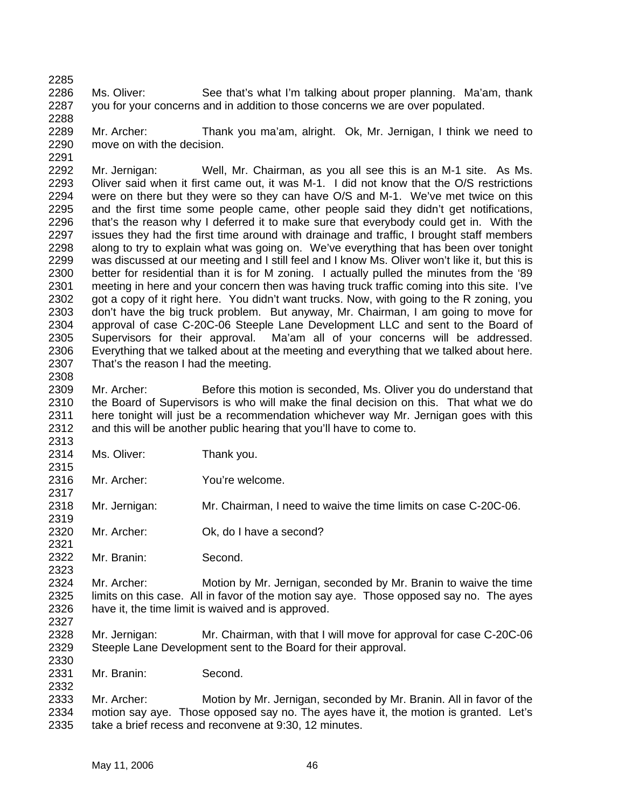2285 2286 2287 Ms. Oliver: See that's what I'm talking about proper planning. Ma'am, thank you for your concerns and in addition to those concerns we are over populated.

2289 2290 2291 Mr. Archer: Thank you ma'am, alright. Ok, Mr. Jernigan, I think we need to move on with the decision.

2292 2293 2294 2295 2296 2297 2298 2299 2300 2301 2302 2303 2304 2305 2306 2307 2308 Mr. Jernigan: Well, Mr. Chairman, as you all see this is an M-1 site. As Ms. Oliver said when it first came out, it was M-1. I did not know that the O/S restrictions were on there but they were so they can have O/S and M-1. We've met twice on this and the first time some people came, other people said they didn't get notifications, that's the reason why I deferred it to make sure that everybody could get in. With the issues they had the first time around with drainage and traffic, I brought staff members along to try to explain what was going on. We've everything that has been over tonight was discussed at our meeting and I still feel and I know Ms. Oliver won't like it, but this is better for residential than it is for M zoning. I actually pulled the minutes from the '89 meeting in here and your concern then was having truck traffic coming into this site. I've got a copy of it right here. You didn't want trucks. Now, with going to the R zoning, you don't have the big truck problem. But anyway, Mr. Chairman, I am going to move for approval of case C-20C-06 Steeple Lane Development LLC and sent to the Board of Supervisors for their approval. Ma'am all of your concerns will be addressed. Everything that we talked about at the meeting and everything that we talked about here. That's the reason I had the meeting.

2309 2310 2311 2312 Mr. Archer: Before this motion is seconded, Ms. Oliver you do understand that the Board of Supervisors is who will make the final decision on this. That what we do here tonight will just be a recommendation whichever way Mr. Jernigan goes with this and this will be another public hearing that you'll have to come to.

2314 Ms. Oliver: Thank you.

2288

2313

2315

2317

2319

2321

2323

2327

2330

2332

- 2316 Mr. Archer: You're welcome.
- 2318 Mr. Jernigan: Mr. Chairman, I need to waive the time limits on case C-20C-06.
- 2320 Mr. Archer: Ok, do I have a second?
- 2322 Mr. Branin: Second.

2324 2325 2326 Mr. Archer: Motion by Mr. Jernigan, seconded by Mr. Branin to waive the time limits on this case. All in favor of the motion say aye. Those opposed say no. The ayes have it, the time limit is waived and is approved.

- 2328 2329 Mr. Jernigan: Mr. Chairman, with that I will move for approval for case C-20C-06 Steeple Lane Development sent to the Board for their approval.
- 2331 Mr. Branin: Second.

2333 2334 2335 Mr. Archer: Motion by Mr. Jernigan, seconded by Mr. Branin. All in favor of the motion say aye. Those opposed say no. The ayes have it, the motion is granted. Let's take a brief recess and reconvene at 9:30, 12 minutes.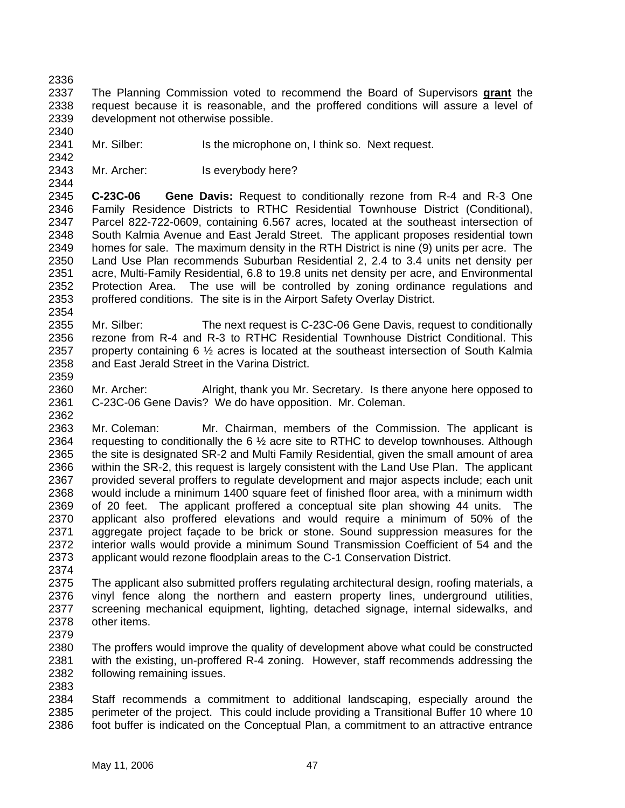2336

2340

2342

2344

The Planning Commission voted to recommend the Board of Supervisors **grant** the request because it is reasonable, and the proffered conditions will assure a level of development not otherwise possible. 2337 2338 2339

2341 Mr. Silber: Is the microphone on, I think so. Next request.

2343 Mr. Archer: Is everybody here?

2345 2346 2347 2348 2349 2350 2351 2352 2353 2354 **C-23C-06 Gene Davis:** Request to conditionally rezone from R-4 and R-3 One Family Residence Districts to RTHC Residential Townhouse District (Conditional), Parcel 822-722-0609, containing 6.567 acres, located at the southeast intersection of South Kalmia Avenue and East Jerald Street. The applicant proposes residential town homes for sale. The maximum density in the RTH District is nine (9) units per acre. The Land Use Plan recommends Suburban Residential 2, 2.4 to 3.4 units net density per acre, Multi-Family Residential, 6.8 to 19.8 units net density per acre, and Environmental Protection Area. The use will be controlled by zoning ordinance regulations and proffered conditions. The site is in the Airport Safety Overlay District.

2355 2356 2357 2358 Mr. Silber: The next request is C-23C-06 Gene Davis, request to conditionally rezone from R-4 and R-3 to RTHC Residential Townhouse District Conditional. This property containing 6 ½ acres is located at the southeast intersection of South Kalmia and East Jerald Street in the Varina District.

2359 2360 2361 Mr. Archer: Alright, thank you Mr. Secretary. Is there anyone here opposed to C-23C-06 Gene Davis? We do have opposition. Mr. Coleman.

2362 2363 2364 2365 2366 2367 2368 2369 2370 2371 2372 2373 2374 Mr. Coleman: Mr. Chairman, members of the Commission. The applicant is requesting to conditionally the  $6\frac{1}{2}$  acre site to RTHC to develop townhouses. Although the site is designated SR-2 and Multi Family Residential, given the small amount of area within the SR-2, this request is largely consistent with the Land Use Plan. The applicant provided several proffers to regulate development and major aspects include; each unit would include a minimum 1400 square feet of finished floor area, with a minimum width of 20 feet. The applicant proffered a conceptual site plan showing 44 units. The applicant also proffered elevations and would require a minimum of 50% of the aggregate project façade to be brick or stone. Sound suppression measures for the interior walls would provide a minimum Sound Transmission Coefficient of 54 and the applicant would rezone floodplain areas to the C-1 Conservation District.

2375 2376 2377 2378 2379 The applicant also submitted proffers regulating architectural design, roofing materials, a vinyl fence along the northern and eastern property lines, underground utilities, screening mechanical equipment, lighting, detached signage, internal sidewalks, and other items.

2380 2381 2382 2383 The proffers would improve the quality of development above what could be constructed with the existing, un-proffered R-4 zoning. However, staff recommends addressing the following remaining issues.

2384 2385 2386 Staff recommends a commitment to additional landscaping, especially around the perimeter of the project. This could include providing a Transitional Buffer 10 where 10 foot buffer is indicated on the Conceptual Plan, a commitment to an attractive entrance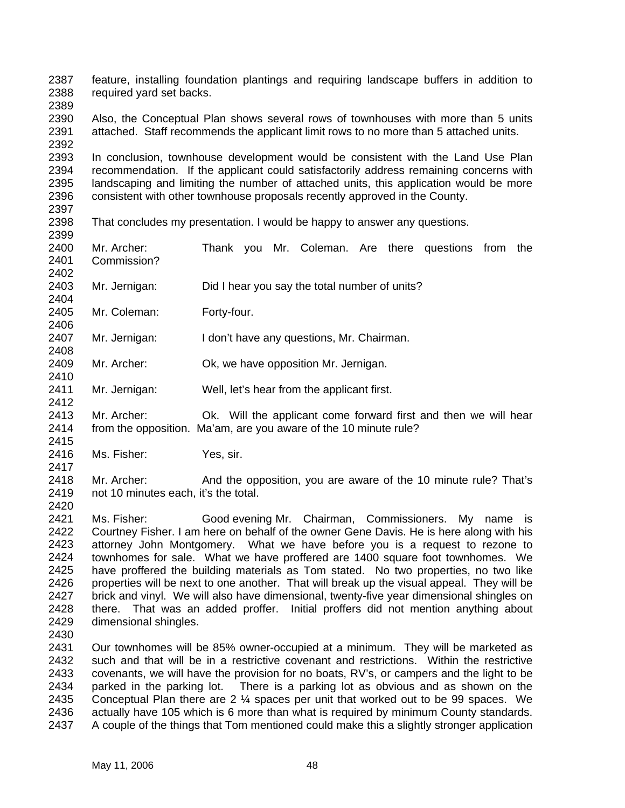2387 2388 feature, installing foundation plantings and requiring landscape buffers in addition to required yard set backs.

2389

2404

2406

2408

2412

2415

2417

2390 2391 2392 Also, the Conceptual Plan shows several rows of townhouses with more than 5 units attached. Staff recommends the applicant limit rows to no more than 5 attached units.

2393 2394 2395 2396 2397 In conclusion, townhouse development would be consistent with the Land Use Plan recommendation. If the applicant could satisfactorily address remaining concerns with landscaping and limiting the number of attached units, this application would be more consistent with other townhouse proposals recently approved in the County.

- 2398 2399 That concludes my presentation. I would be happy to answer any questions.
- 2400 2401 2402 Mr. Archer: Thank you Mr. Coleman. Are there questions from the Commission?
- 2403 Mr. Jernigan: Did I hear you say the total number of units?

2405 Mr. Coleman: Forty-four.

2407 Mr. Jernigan: I don't have any questions, Mr. Chairman.

- 2409 2410 Mr. Archer: Ok, we have opposition Mr. Jernigan.
- 2411 Mr. Jernigan: Well, let's hear from the applicant first.
- 2413 2414 Mr. Archer: Ok. Will the applicant come forward first and then we will hear from the opposition. Ma'am, are you aware of the 10 minute rule?
- 2416 Ms. Fisher: Yes, sir.
- 2418 2419 2420 Mr. Archer: And the opposition, you are aware of the 10 minute rule? That's not 10 minutes each, it's the total.
- 2421 2422 2423 2424 2425 2426 2427 2428 2429 Ms. Fisher: Good evening Mr. Chairman, Commissioners. My name is Courtney Fisher. I am here on behalf of the owner Gene Davis. He is here along with his attorney John Montgomery. What we have before you is a request to rezone to townhomes for sale. What we have proffered are 1400 square foot townhomes. We have proffered the building materials as Tom stated. No two properties, no two like properties will be next to one another. That will break up the visual appeal. They will be brick and vinyl. We will also have dimensional, twenty-five year dimensional shingles on there. That was an added proffer. Initial proffers did not mention anything about dimensional shingles.
- 2430

2431 2432 2433 2434 2435 2436 2437 Our townhomes will be 85% owner-occupied at a minimum. They will be marketed as such and that will be in a restrictive covenant and restrictions. Within the restrictive covenants, we will have the provision for no boats, RV's, or campers and the light to be parked in the parking lot. There is a parking lot as obvious and as shown on the Conceptual Plan there are 2 ¼ spaces per unit that worked out to be 99 spaces. We actually have 105 which is 6 more than what is required by minimum County standards. A couple of the things that Tom mentioned could make this a slightly stronger application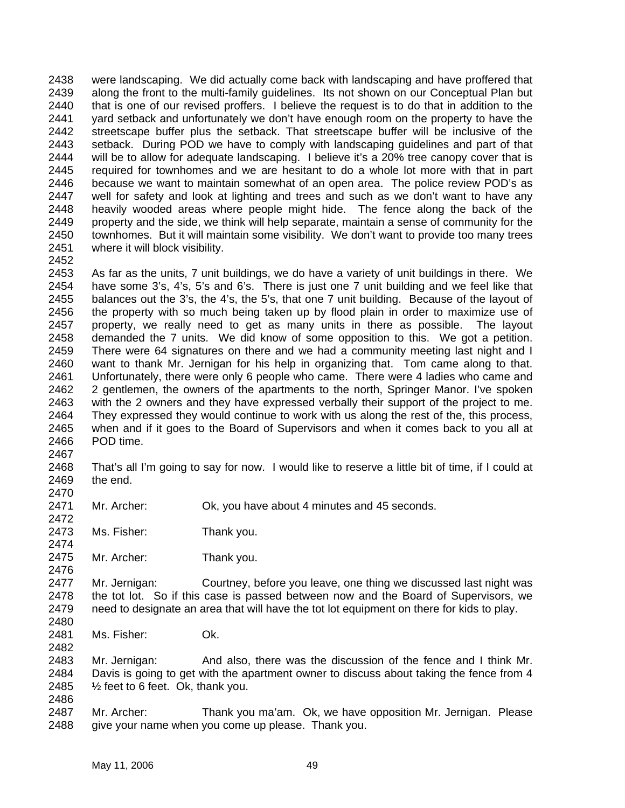2438 2439 2440 2441 2442 2443 2444 2445 2446 2447 2448 2449 2450 2451 were landscaping. We did actually come back with landscaping and have proffered that along the front to the multi-family guidelines. Its not shown on our Conceptual Plan but that is one of our revised proffers. I believe the request is to do that in addition to the yard setback and unfortunately we don't have enough room on the property to have the streetscape buffer plus the setback. That streetscape buffer will be inclusive of the setback. During POD we have to comply with landscaping guidelines and part of that will be to allow for adequate landscaping. I believe it's a 20% tree canopy cover that is required for townhomes and we are hesitant to do a whole lot more with that in part because we want to maintain somewhat of an open area. The police review POD's as well for safety and look at lighting and trees and such as we don't want to have any heavily wooded areas where people might hide. The fence along the back of the property and the side, we think will help separate, maintain a sense of community for the townhomes. But it will maintain some visibility. We don't want to provide too many trees where it will block visibility.

2452

2453 2454 2455 2456 2457 2458 2459 2460 2461 2462 2463 2464 2465 2466 As far as the units, 7 unit buildings, we do have a variety of unit buildings in there. We have some 3's, 4's, 5's and 6's. There is just one 7 unit building and we feel like that balances out the 3's, the 4's, the 5's, that one 7 unit building. Because of the layout of the property with so much being taken up by flood plain in order to maximize use of property, we really need to get as many units in there as possible. The layout demanded the 7 units. We did know of some opposition to this. We got a petition. There were 64 signatures on there and we had a community meeting last night and I want to thank Mr. Jernigan for his help in organizing that. Tom came along to that. Unfortunately, there were only 6 people who came. There were 4 ladies who came and 2 gentlemen, the owners of the apartments to the north, Springer Manor. I've spoken with the 2 owners and they have expressed verbally their support of the project to me. They expressed they would continue to work with us along the rest of the, this process, when and if it goes to the Board of Supervisors and when it comes back to you all at POD time.

2467

2472

2474

2476

2482

2468 2469 2470 That's all I'm going to say for now. I would like to reserve a little bit of time, if I could at the end.

2471 Mr. Archer: Ok, you have about 4 minutes and 45 seconds.

2473 Ms. Fisher: Thank you.

2475 Mr. Archer: Thank you.

2477 2478 2479 2480 Mr. Jernigan: Courtney, before you leave, one thing we discussed last night was the tot lot. So if this case is passed between now and the Board of Supervisors, we need to designate an area that will have the tot lot equipment on there for kids to play.

2481 Ms. Fisher: Ok.

2483 2484 2485 2486 Mr. Jernigan: And also, there was the discussion of the fence and I think Mr. Davis is going to get with the apartment owner to discuss about taking the fence from 4  $\frac{1}{2}$  feet to 6 feet. Ok, thank you.

2487 2488 Mr. Archer: Thank you ma'am. Ok, we have opposition Mr. Jernigan. Please give your name when you come up please. Thank you.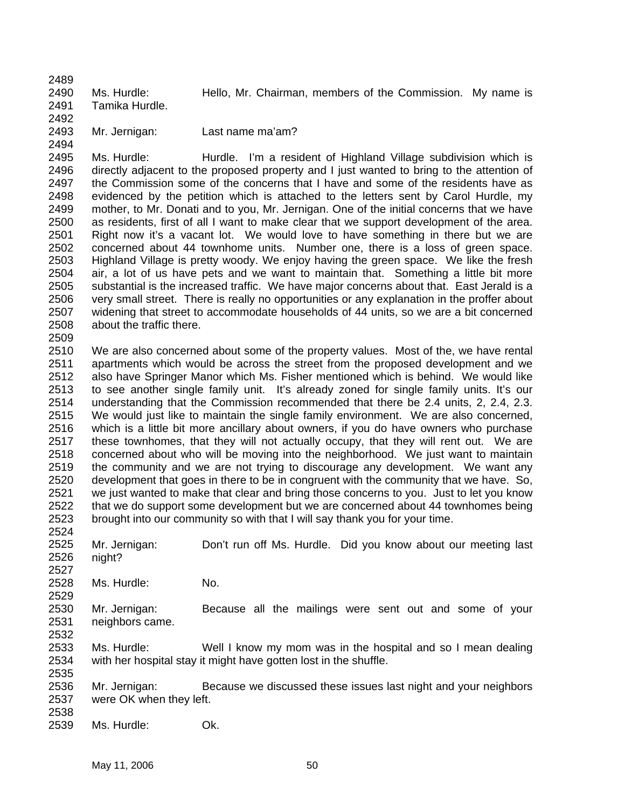2489 2490 2491 2492 Ms. Hurdle: Hello, Mr. Chairman, members of the Commission. My name is Tamika Hurdle.

2493 2494

Mr. Jernigan: Last name ma'am?

2495 2496 2497 2498 2499 2500 2501 2502 2503 2504 2505 2506 2507 2508 Ms. Hurdle: Thurdle. I'm a resident of Highland Village subdivision which is directly adjacent to the proposed property and I just wanted to bring to the attention of the Commission some of the concerns that I have and some of the residents have as evidenced by the petition which is attached to the letters sent by Carol Hurdle, my mother, to Mr. Donati and to you, Mr. Jernigan. One of the initial concerns that we have as residents, first of all I want to make clear that we support development of the area. Right now it's a vacant lot. We would love to have something in there but we are concerned about 44 townhome units. Number one, there is a loss of green space. Highland Village is pretty woody. We enjoy having the green space. We like the fresh air, a lot of us have pets and we want to maintain that. Something a little bit more substantial is the increased traffic. We have major concerns about that. East Jerald is a very small street. There is really no opportunities or any explanation in the proffer about widening that street to accommodate households of 44 units, so we are a bit concerned about the traffic there.

2509

2527

2529

2510 2511 2512 2513 2514 2515 2516 2517 2518 2519 2520 2521 2522 2523 2524 We are also concerned about some of the property values. Most of the, we have rental apartments which would be across the street from the proposed development and we also have Springer Manor which Ms. Fisher mentioned which is behind. We would like to see another single family unit. It's already zoned for single family units. It's our understanding that the Commission recommended that there be 2.4 units, 2, 2.4, 2.3. We would just like to maintain the single family environment. We are also concerned, which is a little bit more ancillary about owners, if you do have owners who purchase these townhomes, that they will not actually occupy, that they will rent out. We are concerned about who will be moving into the neighborhood. We just want to maintain the community and we are not trying to discourage any development. We want any development that goes in there to be in congruent with the community that we have. So, we just wanted to make that clear and bring those concerns to you. Just to let you know that we do support some development but we are concerned about 44 townhomes being brought into our community so with that I will say thank you for your time.

2525 2526 Mr. Jernigan: Don't run off Ms. Hurdle. Did you know about our meeting last night?

2528 Ms. Hurdle: No.

2530 2531 2532 Mr. Jernigan: Because all the mailings were sent out and some of your neighbors came.

2533 2534 2535 Ms. Hurdle: Well I know my mom was in the hospital and so I mean dealing with her hospital stay it might have gotten lost in the shuffle.

2536 2537 2538 Mr. Jernigan: Because we discussed these issues last night and your neighbors were OK when they left.

2539 Ms. Hurdle: Ok.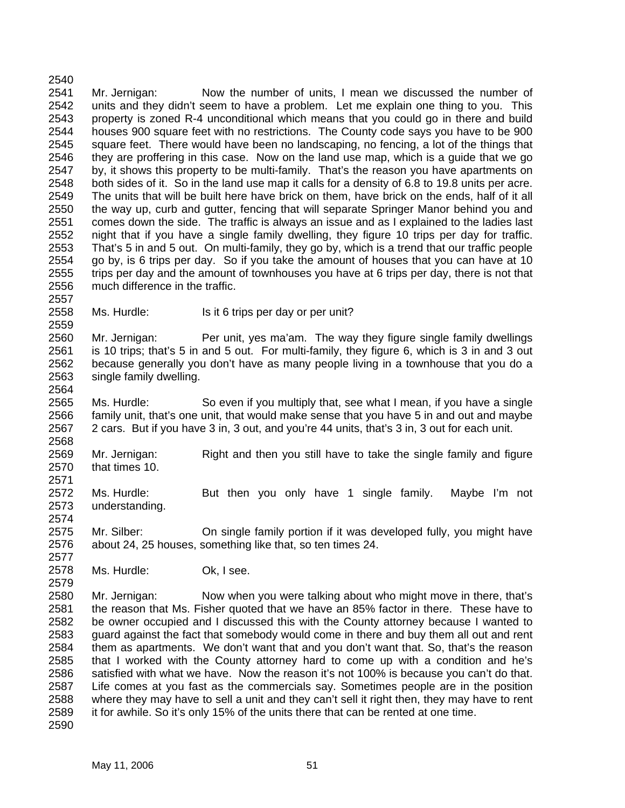2540 2541 2542 2543 2544 2545 2546 2547 2548 2549 2550 2551 2552 2553 2554 2555 2556 2557 Mr. Jernigan: Now the number of units, I mean we discussed the number of units and they didn't seem to have a problem. Let me explain one thing to you. This property is zoned R-4 unconditional which means that you could go in there and build houses 900 square feet with no restrictions. The County code says you have to be 900 square feet. There would have been no landscaping, no fencing, a lot of the things that they are proffering in this case. Now on the land use map, which is a guide that we go by, it shows this property to be multi-family. That's the reason you have apartments on both sides of it. So in the land use map it calls for a density of 6.8 to 19.8 units per acre. The units that will be built here have brick on them, have brick on the ends, half of it all the way up, curb and gutter, fencing that will separate Springer Manor behind you and comes down the side. The traffic is always an issue and as I explained to the ladies last night that if you have a single family dwelling, they figure 10 trips per day for traffic. That's 5 in and 5 out. On multi-family, they go by, which is a trend that our traffic people go by, is 6 trips per day. So if you take the amount of houses that you can have at 10 trips per day and the amount of townhouses you have at 6 trips per day, there is not that much difference in the traffic.

2558 Ms. Hurdle: Is it 6 trips per day or per unit?

2560 2561 2562 2563 2564 Mr. Jernigan: Per unit, yes ma'am. The way they figure single family dwellings is 10 trips; that's 5 in and 5 out. For multi-family, they figure 6, which is 3 in and 3 out because generally you don't have as many people living in a townhouse that you do a single family dwelling.

2565 2566 2567 Ms. Hurdle: So even if you multiply that, see what I mean, if you have a single family unit, that's one unit, that would make sense that you have 5 in and out and maybe 2 cars. But if you have 3 in, 3 out, and you're 44 units, that's 3 in, 3 out for each unit.

2569 2570 Mr. Jernigan: Right and then you still have to take the single family and figure that times 10.

2572 2573 2574 Ms. Hurdle: But then you only have 1 single family. Maybe I'm not understanding.

2575 2576 Mr. Silber: On single family portion if it was developed fully, you might have about 24, 25 houses, something like that, so ten times 24.

2578 Ms. Hurdle: Ok, I see.

2559

2568

2571

2577

2579

2580 2581 2582 2583 2584 2585 2586 2587 2588 2589 2590 Mr. Jernigan: Now when you were talking about who might move in there, that's the reason that Ms. Fisher quoted that we have an 85% factor in there. These have to be owner occupied and I discussed this with the County attorney because I wanted to guard against the fact that somebody would come in there and buy them all out and rent them as apartments. We don't want that and you don't want that. So, that's the reason that I worked with the County attorney hard to come up with a condition and he's satisfied with what we have. Now the reason it's not 100% is because you can't do that. Life comes at you fast as the commercials say. Sometimes people are in the position where they may have to sell a unit and they can't sell it right then, they may have to rent it for awhile. So it's only 15% of the units there that can be rented at one time.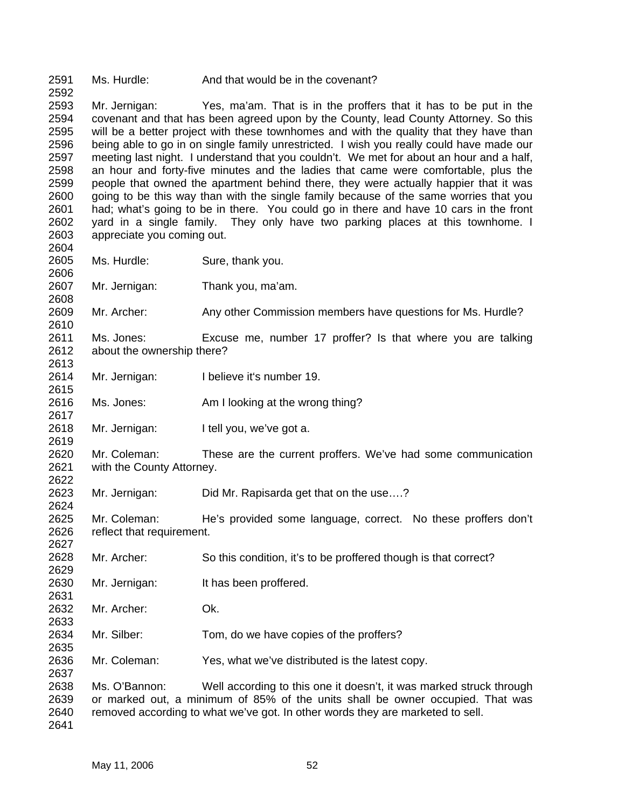2591 Ms. Hurdle: And that would be in the covenant?

2593 2594 2595 2596 2597 2598 2599 2600 2601 2602 2603 2604 Mr. Jernigan: Yes, ma'am. That is in the proffers that it has to be put in the covenant and that has been agreed upon by the County, lead County Attorney. So this will be a better project with these townhomes and with the quality that they have than being able to go in on single family unrestricted. I wish you really could have made our meeting last night. I understand that you couldn't. We met for about an hour and a half, an hour and forty-five minutes and the ladies that came were comfortable, plus the people that owned the apartment behind there, they were actually happier that it was going to be this way than with the single family because of the same worries that you had; what's going to be in there. You could go in there and have 10 cars in the front yard in a single family. They only have two parking places at this townhome. I appreciate you coming out.

2605 Ms. Hurdle: Sure, thank you.

2592

2606

2608

2610

2613

2615

2617

2619

2622

2624

2631

2633

2635

2637

- 2607 Mr. Jernigan: Thank you, ma'am.
- 2609 Mr. Archer: Any other Commission members have questions for Ms. Hurdle?
- 2611 2612 Ms. Jones: Excuse me, number 17 proffer? Is that where you are talking about the ownership there?
- 2614 Mr. Jernigan: I believe it's number 19.
- 2616 Ms. Jones: Am I looking at the wrong thing?
- 2618 Mr. Jernigan: I tell you, we've got a.
- 2620 2621 Mr. Coleman: These are the current proffers. We've had some communication with the County Attorney.

2623 Mr. Jernigan: Did Mr. Rapisarda get that on the use….?

2625 2626 2627 Mr. Coleman: He's provided some language, correct. No these proffers don't reflect that requirement.

- 2628 2629 Mr. Archer: So this condition, it's to be proffered though is that correct?
- 2630 Mr. Jernigan: It has been proffered.
- 2632 Mr. Archer: Ok.
- 2634 Mr. Silber: Tom, do we have copies of the proffers?
- 2636 Mr. Coleman: Yes, what we've distributed is the latest copy.

2638 2639 2640 2641 Ms. O'Bannon: Well according to this one it doesn't, it was marked struck through or marked out, a minimum of 85% of the units shall be owner occupied. That was removed according to what we've got. In other words they are marketed to sell.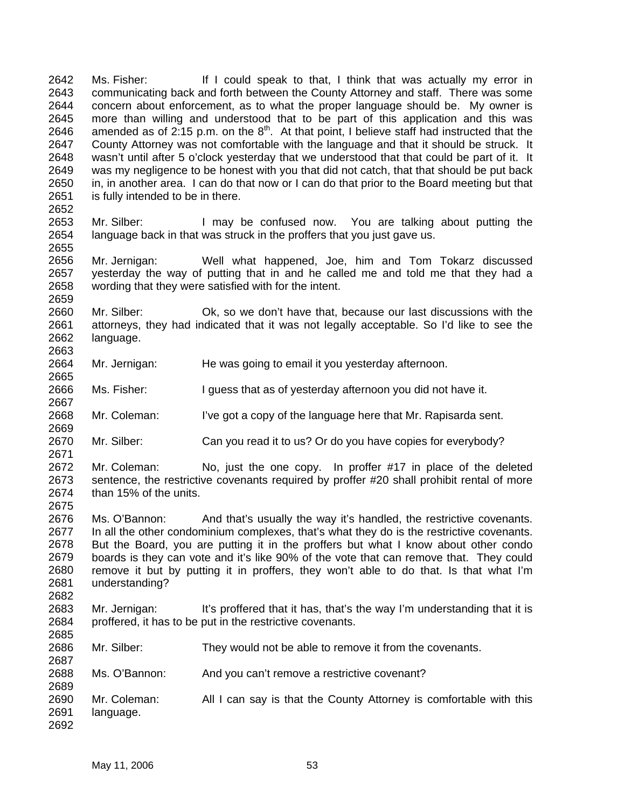Ms. Fisher: If I could speak to that, I think that was actually my error in communicating back and forth between the County Attorney and staff. There was some concern about enforcement, as to what the proper language should be. My owner is more than willing and understood that to be part of this application and this was amended as of 2:15 p.m. on the  $8<sup>th</sup>$ . At that point, I believe staff had instructed that the 2642 2643 2644 2645 2646 2647 2648 2649 2650 2651 2652 County Attorney was not comfortable with the language and that it should be struck. It wasn't until after 5 o'clock yesterday that we understood that that could be part of it. It was my negligence to be honest with you that did not catch, that that should be put back in, in another area. I can do that now or I can do that prior to the Board meeting but that is fully intended to be in there.

2653 2654 2655 Mr. Silber: I may be confused now. You are talking about putting the language back in that was struck in the proffers that you just gave us.

2656 2657 2658 Mr. Jernigan: Well what happened, Joe, him and Tom Tokarz discussed yesterday the way of putting that in and he called me and told me that they had a wording that they were satisfied with for the intent.

2660 2661 2662 2663 Mr. Silber: Ok, so we don't have that, because our last discussions with the attorneys, they had indicated that it was not legally acceptable. So I'd like to see the language.

2664 2665 Mr. Jernigan: He was going to email it you yesterday afternoon.

2666 Ms. Fisher: I guess that as of yesterday afternoon you did not have it.

2668 Mr. Coleman: I've got a copy of the language here that Mr. Rapisarda sent.

2670 Mr. Silber: Can you read it to us? Or do you have copies for everybody?

2672 2673 2674 2675 Mr. Coleman: No, just the one copy. In proffer #17 in place of the deleted sentence, the restrictive covenants required by proffer #20 shall prohibit rental of more than 15% of the units.

2676 2677 2678 2679 2680 2681 2682 Ms. O'Bannon: And that's usually the way it's handled, the restrictive covenants. In all the other condominium complexes, that's what they do is the restrictive covenants. But the Board, you are putting it in the proffers but what I know about other condo boards is they can vote and it's like 90% of the vote that can remove that. They could remove it but by putting it in proffers, they won't able to do that. Is that what I'm understanding?

2683 2684 2685 Mr. Jernigan: It's proffered that it has, that's the way I'm understanding that it is proffered, it has to be put in the restrictive covenants.

2686 Mr. Silber: They would not be able to remove it from the covenants.

2688 Ms. O'Bannon: And you can't remove a restrictive covenant?

2690 2691 2692 Mr. Coleman: All I can say is that the County Attorney is comfortable with this language.

2659

2667

2669

2671

2687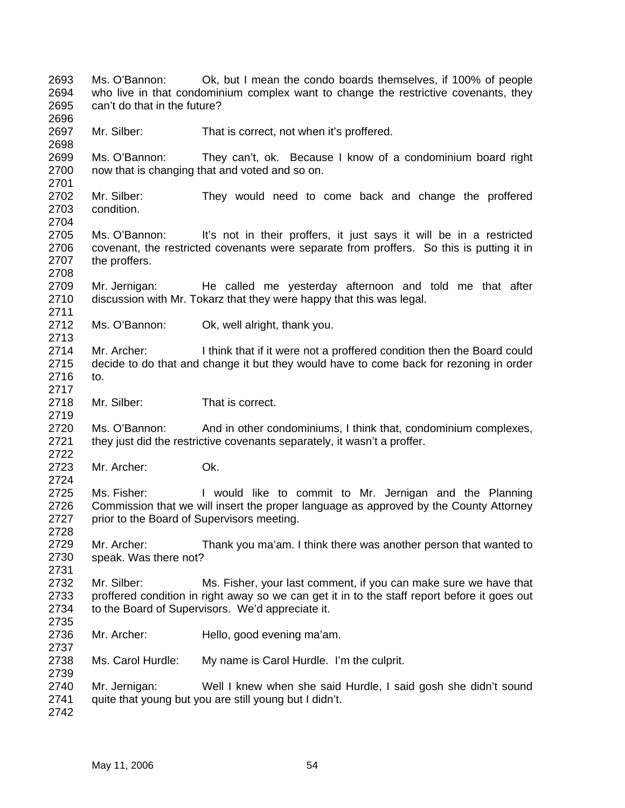2693 2694 2695 2696 2697 2698 2699 2700 2701 2702 2703 2704 2705 2706 2707 2708 2709 2710 2711 2712 2713 2714 2715 2716 2717 2718 2719 2720 2721 2722 2723 2724 2725 2726 2727 2728 2729 2730 2731 2732 2733 2734 2735 2736 2737 2738 2739 2740 2741 2742 Ms. O'Bannon: Ok, but I mean the condo boards themselves, if 100% of people who live in that condominium complex want to change the restrictive covenants, they can't do that in the future? Mr. Silber: That is correct, not when it's proffered. Ms. O'Bannon: They can't, ok. Because I know of a condominium board right now that is changing that and voted and so on. Mr. Silber: They would need to come back and change the proffered condition. Ms. O'Bannon: It's not in their proffers, it just says it will be in a restricted covenant, the restricted covenants were separate from proffers. So this is putting it in the proffers. Mr. Jernigan: He called me yesterday afternoon and told me that after discussion with Mr. Tokarz that they were happy that this was legal. Ms. O'Bannon: Ok, well alright, thank you. Mr. Archer: I think that if it were not a proffered condition then the Board could decide to do that and change it but they would have to come back for rezoning in order to. Mr. Silber: That is correct. Ms. O'Bannon: And in other condominiums, I think that, condominium complexes, they just did the restrictive covenants separately, it wasn't a proffer. Mr. Archer: Ok. Ms. Fisher: I would like to commit to Mr. Jernigan and the Planning Commission that we will insert the proper language as approved by the County Attorney prior to the Board of Supervisors meeting. Mr. Archer: Thank you ma'am. I think there was another person that wanted to speak. Was there not? Mr. Silber: Ms. Fisher, your last comment, if you can make sure we have that proffered condition in right away so we can get it in to the staff report before it goes out to the Board of Supervisors. We'd appreciate it. Mr. Archer: Hello, good evening ma'am. Ms. Carol Hurdle: My name is Carol Hurdle. I'm the culprit. Mr. Jernigan: Well I knew when she said Hurdle, I said gosh she didn't sound quite that young but you are still young but I didn't.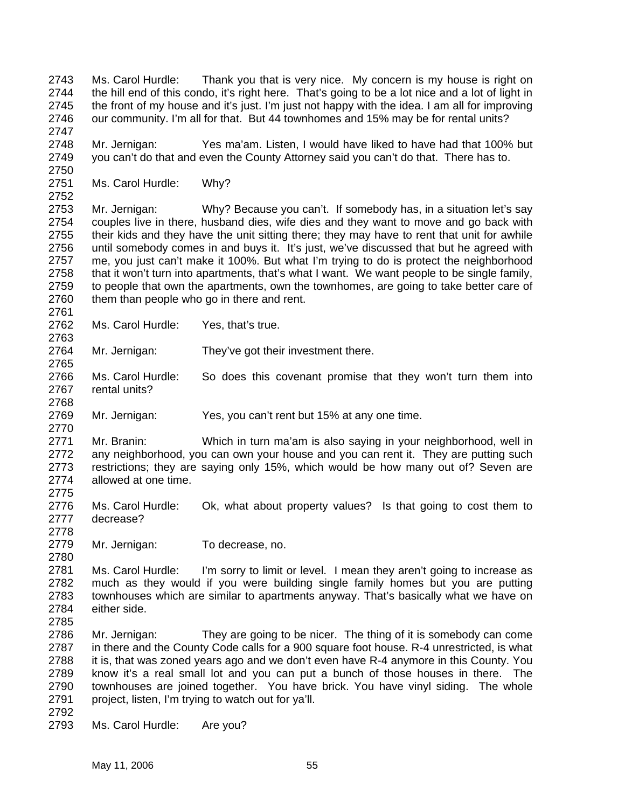2743 2744 2745 2746 Ms. Carol Hurdle: Thank you that is very nice. My concern is my house is right on the hill end of this condo, it's right here. That's going to be a lot nice and a lot of light in the front of my house and it's just. I'm just not happy with the idea. I am all for improving our community. I'm all for that. But 44 townhomes and 15% may be for rental units?

2748 2749 Mr. Jernigan: Yes ma'am. Listen, I would have liked to have had that 100% but you can't do that and even the County Attorney said you can't do that. There has to.

2751 Ms. Carol Hurdle: Why?

2747

2750

2752

2761

2763

2765

2768

2770

2775

2778

2780

2785

2792

2753 2754 2755 2756 2757 2758 2759 2760 Mr. Jernigan: Why? Because you can't. If somebody has, in a situation let's say couples live in there, husband dies, wife dies and they want to move and go back with their kids and they have the unit sitting there; they may have to rent that unit for awhile until somebody comes in and buys it. It's just, we've discussed that but he agreed with me, you just can't make it 100%. But what I'm trying to do is protect the neighborhood that it won't turn into apartments, that's what I want. We want people to be single family, to people that own the apartments, own the townhomes, are going to take better care of them than people who go in there and rent.

2762 Ms. Carol Hurdle: Yes, that's true.

2764 Mr. Jernigan: They've got their investment there.

2766 2767 Ms. Carol Hurdle: So does this covenant promise that they won't turn them into rental units?

2769 Mr. Jernigan: Yes, you can't rent but 15% at any one time.

2771 2772 2773 2774 Mr. Branin: Which in turn ma'am is also saying in your neighborhood, well in any neighborhood, you can own your house and you can rent it. They are putting such restrictions; they are saying only 15%, which would be how many out of? Seven are allowed at one time.

2776 2777 Ms. Carol Hurdle: Ok, what about property values? Is that going to cost them to decrease?

2779 Mr. Jernigan: To decrease, no.

2781 2782 2783 2784 Ms. Carol Hurdle: I'm sorry to limit or level. I mean they aren't going to increase as much as they would if you were building single family homes but you are putting townhouses which are similar to apartments anyway. That's basically what we have on either side.

2786 2787 2788 2789 2790 2791 Mr. Jernigan: They are going to be nicer. The thing of it is somebody can come in there and the County Code calls for a 900 square foot house. R-4 unrestricted, is what it is, that was zoned years ago and we don't even have R-4 anymore in this County. You know it's a real small lot and you can put a bunch of those houses in there. The townhouses are joined together. You have brick. You have vinyl siding. The whole project, listen, I'm trying to watch out for ya'll.

2793 Ms. Carol Hurdle: Are you?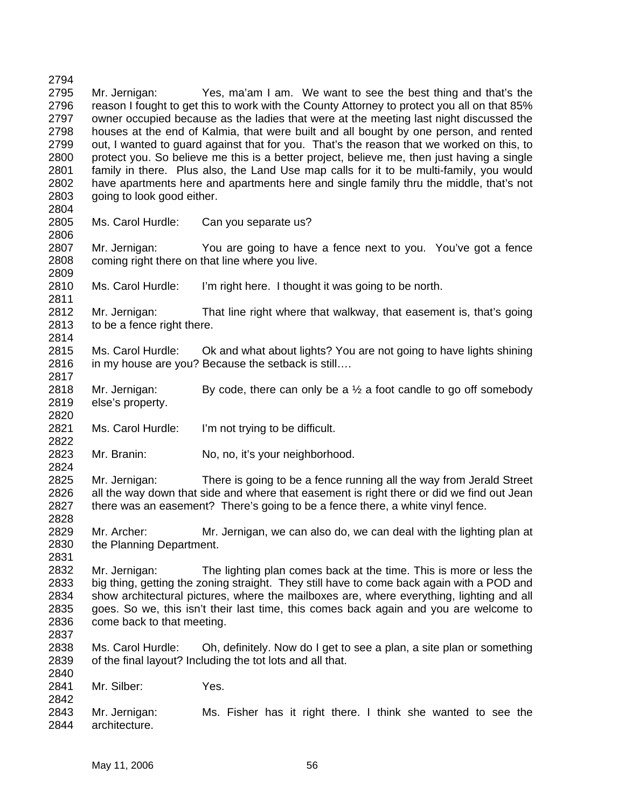2794 2795 2796 2797 2798 2799 2800 2801 2802 2803 2804 Mr. Jernigan: Yes, ma'am I am. We want to see the best thing and that's the reason I fought to get this to work with the County Attorney to protect you all on that 85% owner occupied because as the ladies that were at the meeting last night discussed the houses at the end of Kalmia, that were built and all bought by one person, and rented out, I wanted to guard against that for you. That's the reason that we worked on this, to protect you. So believe me this is a better project, believe me, then just having a single family in there. Plus also, the Land Use map calls for it to be multi-family, you would have apartments here and apartments here and single family thru the middle, that's not going to look good either.

2805 2806 Ms. Carol Hurdle: Can you separate us?

2811

2814

2820

2822

2824

2828

2831

2837

2842

2807 2808 2809 Mr. Jernigan: You are going to have a fence next to you. You've got a fence coming right there on that line where you live.

2810 Ms. Carol Hurdle: I'm right here. I thought it was going to be north.

2812 2813 Mr. Jernigan: That line right where that walkway, that easement is, that's going to be a fence right there.

2815 2816 2817 Ms. Carol Hurdle: Ok and what about lights? You are not going to have lights shining in my house are you? Because the setback is still….

2818 2819 Mr. Jernigan: By code, there can only be a  $\frac{1}{2}$  a foot candle to go off somebody else's property.

2821 Ms. Carol Hurdle: I'm not trying to be difficult.

2823 Mr. Branin: No, no, it's your neighborhood.

2825 2826 2827 Mr. Jernigan: There is going to be a fence running all the way from Jerald Street all the way down that side and where that easement is right there or did we find out Jean there was an easement? There's going to be a fence there, a white vinyl fence.

2829 2830 Mr. Archer: Mr. Jernigan, we can also do, we can deal with the lighting plan at the Planning Department.

2832 2833 2834 2835 2836 Mr. Jernigan: The lighting plan comes back at the time. This is more or less the big thing, getting the zoning straight. They still have to come back again with a POD and show architectural pictures, where the mailboxes are, where everything, lighting and all goes. So we, this isn't their last time, this comes back again and you are welcome to come back to that meeting.

2838 2839 2840 Ms. Carol Hurdle: Oh, definitely. Now do I get to see a plan, a site plan or something of the final layout? Including the tot lots and all that.

2841 Mr. Silber: Yes.

2843 2844 Mr. Jernigan: Ms. Fisher has it right there. I think she wanted to see the architecture.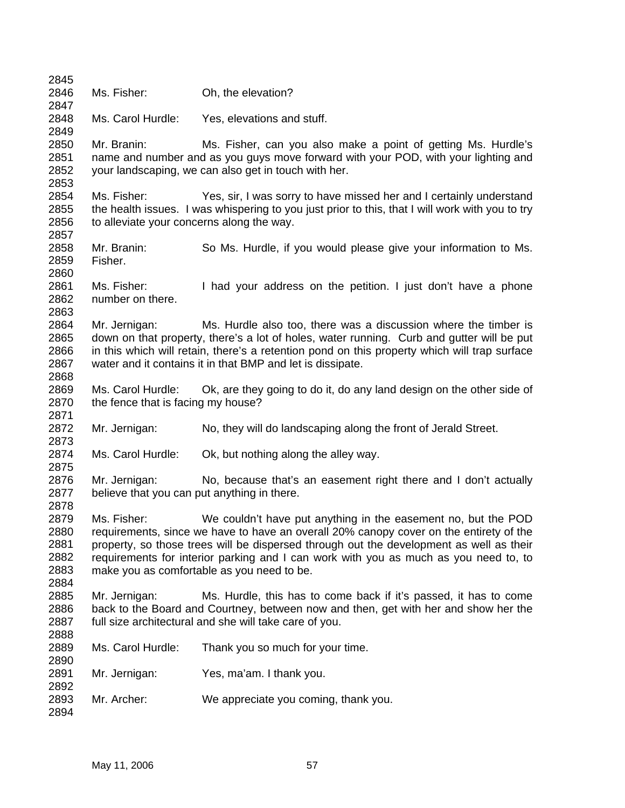| 2845                                         |                                                              |                                                                                                                                                                                                                                                                                                                                                                                          |
|----------------------------------------------|--------------------------------------------------------------|------------------------------------------------------------------------------------------------------------------------------------------------------------------------------------------------------------------------------------------------------------------------------------------------------------------------------------------------------------------------------------------|
| 2846<br>2847                                 | Ms. Fisher:                                                  | Oh, the elevation?                                                                                                                                                                                                                                                                                                                                                                       |
| 2848<br>2849                                 | Ms. Carol Hurdle:                                            | Yes, elevations and stuff.                                                                                                                                                                                                                                                                                                                                                               |
| 2850<br>2851<br>2852<br>2853                 | Mr. Branin:                                                  | Ms. Fisher, can you also make a point of getting Ms. Hurdle's<br>name and number and as you guys move forward with your POD, with your lighting and<br>your landscaping, we can also get in touch with her.                                                                                                                                                                              |
| 2854<br>2855<br>2856<br>2857                 | Ms. Fisher:<br>to alleviate your concerns along the way.     | Yes, sir, I was sorry to have missed her and I certainly understand<br>the health issues. I was whispering to you just prior to this, that I will work with you to try                                                                                                                                                                                                                   |
| 2858<br>2859<br>2860                         | Mr. Branin:<br>Fisher.                                       | So Ms. Hurdle, if you would please give your information to Ms.                                                                                                                                                                                                                                                                                                                          |
| 2861<br>2862<br>2863                         | Ms. Fisher:<br>number on there.                              | I had your address on the petition. I just don't have a phone                                                                                                                                                                                                                                                                                                                            |
| 2864<br>2865<br>2866<br>2867<br>2868         | Mr. Jernigan:                                                | Ms. Hurdle also too, there was a discussion where the timber is<br>down on that property, there's a lot of holes, water running. Curb and gutter will be put<br>in this which will retain, there's a retention pond on this property which will trap surface<br>water and it contains it in that BMP and let is dissipate.                                                               |
| 2869<br>2870<br>2871                         | Ms. Carol Hurdle:<br>the fence that is facing my house?      | Ok, are they going to do it, do any land design on the other side of                                                                                                                                                                                                                                                                                                                     |
| 2872<br>2873                                 | Mr. Jernigan:                                                | No, they will do landscaping along the front of Jerald Street.                                                                                                                                                                                                                                                                                                                           |
| 2874<br>2875                                 | Ms. Carol Hurdle:                                            | Ok, but nothing along the alley way.                                                                                                                                                                                                                                                                                                                                                     |
| 2876<br>2877<br>2878                         | Mr. Jernigan:<br>believe that you can put anything in there. | No, because that's an easement right there and I don't actually                                                                                                                                                                                                                                                                                                                          |
| 2879<br>2880<br>2881<br>2882<br>2883<br>2884 | Ms. Fisher:                                                  | We couldn't have put anything in the easement no, but the POD<br>requirements, since we have to have an overall 20% canopy cover on the entirety of the<br>property, so those trees will be dispersed through out the development as well as their<br>requirements for interior parking and I can work with you as much as you need to, to<br>make you as comfortable as you need to be. |
| 2885<br>2886<br>2887<br>2888                 | Mr. Jernigan:                                                | Ms. Hurdle, this has to come back if it's passed, it has to come<br>back to the Board and Courtney, between now and then, get with her and show her the<br>full size architectural and she will take care of you.                                                                                                                                                                        |
| 2889<br>2890                                 | Ms. Carol Hurdle:                                            | Thank you so much for your time.                                                                                                                                                                                                                                                                                                                                                         |
| 2891<br>2892                                 | Mr. Jernigan:                                                | Yes, ma'am. I thank you.                                                                                                                                                                                                                                                                                                                                                                 |
| 2893<br>2894                                 | Mr. Archer:                                                  | We appreciate you coming, thank you.                                                                                                                                                                                                                                                                                                                                                     |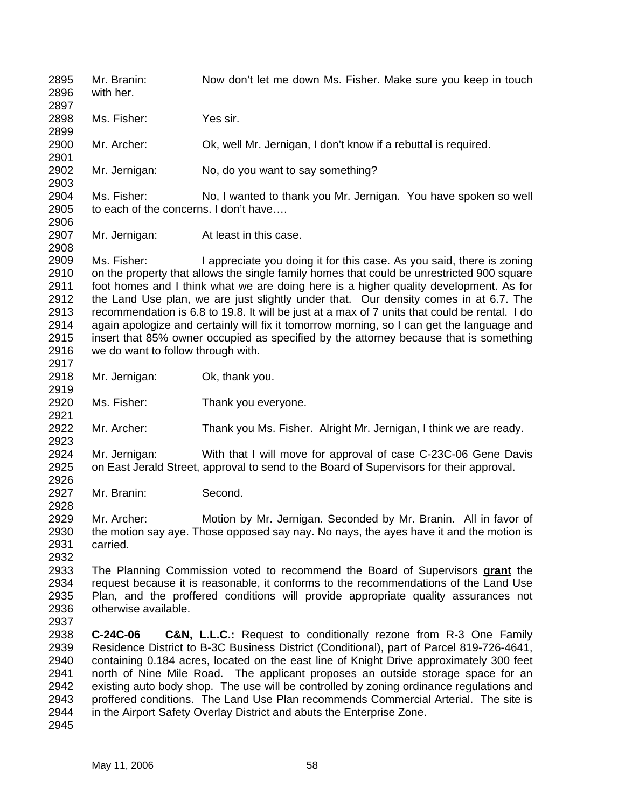2895 2896 2897 2898 2899 2900 2901 2902 2903 2904 2905 2906 2907 2908 2909 2910 2911 2912 2913 2914 2915 2916 2917 2918 2919 2920 2921 2922 2923 2924 2925 2926 2927 2928 2929 2930 2931 2932 Mr. Branin: Now don't let me down Ms. Fisher. Make sure you keep in touch with her. Ms. Fisher: Yes sir. Mr. Archer: Ok, well Mr. Jernigan, I don't know if a rebuttal is required. Mr. Jernigan: No, do you want to say something? Ms. Fisher: No, I wanted to thank you Mr. Jernigan. You have spoken so well to each of the concerns. I don't have…. Mr. Jernigan: At least in this case. Ms. Fisher: I appreciate you doing it for this case. As you said, there is zoning on the property that allows the single family homes that could be unrestricted 900 square foot homes and I think what we are doing here is a higher quality development. As for the Land Use plan, we are just slightly under that. Our density comes in at 6.7. The recommendation is 6.8 to 19.8. It will be just at a max of 7 units that could be rental. I do again apologize and certainly will fix it tomorrow morning, so I can get the language and insert that 85% owner occupied as specified by the attorney because that is something we do want to follow through with. Mr. Jernigan: Ok, thank you. Ms. Fisher: Thank you everyone. Mr. Archer: Thank you Ms. Fisher. Alright Mr. Jernigan, I think we are ready. Mr. Jernigan: With that I will move for approval of case C-23C-06 Gene Davis on East Jerald Street, approval to send to the Board of Supervisors for their approval. Mr. Branin: Second. Mr. Archer: Motion by Mr. Jernigan. Seconded by Mr. Branin. All in favor of the motion say aye. Those opposed say nay. No nays, the ayes have it and the motion is carried. The Planning Commission voted to recommend the Board of Supervisors **grant** the request because it is reasonable, it conforms to the recommendations of the Land Use Plan, and the proffered conditions will provide appropriate quality assurances not otherwise available. 2933 2934 2935 2936 2937 2938 2939 2940 2941 2942 2943 2944 2945 **C-24C-06 C&N, L.L.C.:** Request to conditionally rezone from R-3 One Family Residence District to B-3C Business District (Conditional), part of Parcel 819-726-4641, containing 0.184 acres, located on the east line of Knight Drive approximately 300 feet north of Nine Mile Road. The applicant proposes an outside storage space for an existing auto body shop. The use will be controlled by zoning ordinance regulations and proffered conditions. The Land Use Plan recommends Commercial Arterial. The site is in the Airport Safety Overlay District and abuts the Enterprise Zone.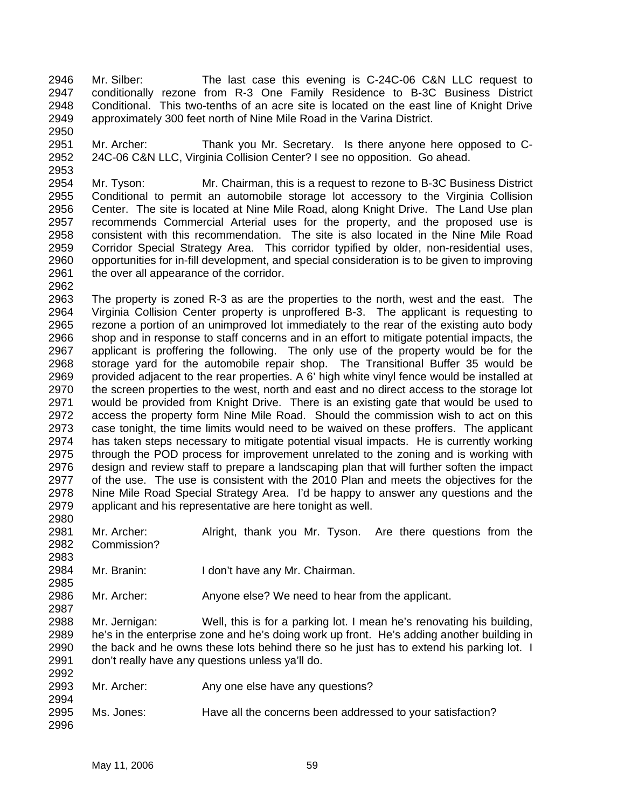2946 2947 2948 2949 Mr. Silber: The last case this evening is C-24C-06 C&N LLC request to conditionally rezone from R-3 One Family Residence to B-3C Business District Conditional. This two-tenths of an acre site is located on the east line of Knight Drive approximately 300 feet north of Nine Mile Road in the Varina District.

2951 2952 Mr. Archer: Thank you Mr. Secretary. Is there anyone here opposed to C-24C-06 C&N LLC, Virginia Collision Center? I see no opposition. Go ahead.

2954 2955 2956 2957 2958 2959 2960 2961 Mr. Tyson: Mr. Chairman, this is a request to rezone to B-3C Business District Conditional to permit an automobile storage lot accessory to the Virginia Collision Center. The site is located at Nine Mile Road, along Knight Drive. The Land Use plan recommends Commercial Arterial uses for the property, and the proposed use is consistent with this recommendation. The site is also located in the Nine Mile Road Corridor Special Strategy Area. This corridor typified by older, non-residential uses, opportunities for in-fill development, and special consideration is to be given to improving the over all appearance of the corridor.

2962 2963 2964 2965 2966 2967 2968 2969 2970 2971 2972 2973 2974 2975 2976 2977 2978 2979 The property is zoned R-3 as are the properties to the north, west and the east. The Virginia Collision Center property is unproffered B-3. The applicant is requesting to rezone a portion of an unimproved lot immediately to the rear of the existing auto body shop and in response to staff concerns and in an effort to mitigate potential impacts, the applicant is proffering the following. The only use of the property would be for the storage yard for the automobile repair shop. The Transitional Buffer 35 would be provided adjacent to the rear properties. A 6' high white vinyl fence would be installed at the screen properties to the west, north and east and no direct access to the storage lot would be provided from Knight Drive. There is an existing gate that would be used to access the property form Nine Mile Road. Should the commission wish to act on this case tonight, the time limits would need to be waived on these proffers. The applicant has taken steps necessary to mitigate potential visual impacts. He is currently working through the POD process for improvement unrelated to the zoning and is working with design and review staff to prepare a landscaping plan that will further soften the impact of the use. The use is consistent with the 2010 Plan and meets the objectives for the Nine Mile Road Special Strategy Area. I'd be happy to answer any questions and the applicant and his representative are here tonight as well.

2981 2982 Mr. Archer: Alright, thank you Mr. Tyson. Are there questions from the Commission?

2984 Mr. Branin: I don't have any Mr. Chairman.

2986 Mr. Archer: Anyone else? We need to hear from the applicant.

2988 2989 2990 2991  $2222$ Mr. Jernigan: Well, this is for a parking lot. I mean he's renovating his building, he's in the enterprise zone and he's doing work up front. He's adding another building in the back and he owns these lots behind there so he just has to extend his parking lot. I don't really have any questions unless ya'll do.

| 2992 |             |                                                            |
|------|-------------|------------------------------------------------------------|
| 2993 | Mr. Archer: | Any one else have any questions?                           |
| 2994 |             |                                                            |
| 2995 | Ms. Jones:  | Have all the concerns been addressed to your satisfaction? |
| 2996 |             |                                                            |

2950

2953

2980

2983

2985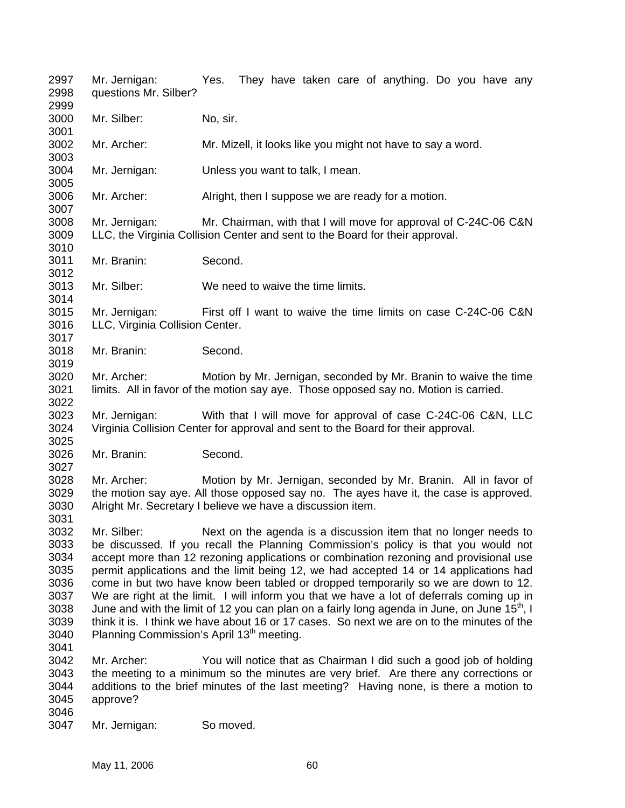2997 2998 2999 3000 3001 3002 3003 3004 3005 3006 3007 3008 3009 3010 3011 3012 3013 3014 3015 3016 3017 3018 3019 3020 3021 3022 3023 3024 3025 3026 3027 3028 3029 3030 3031 3032 3033 3034 3035 3036 3037 3038 3039 3040 3041 3042 3043 3044 3045 3046 3047 Mr. Jernigan: Yes. They have taken care of anything. Do you have any questions Mr. Silber? Mr. Silber: No, sir. Mr. Archer: Mr. Mizell, it looks like you might not have to say a word. Mr. Jernigan: Unless you want to talk, I mean. Mr. Archer: Alright, then I suppose we are ready for a motion. Mr. Jernigan: Mr. Chairman, with that I will move for approval of C-24C-06 C&N LLC, the Virginia Collision Center and sent to the Board for their approval. Mr. Branin: Second. Mr. Silber: We need to waive the time limits. Mr. Jernigan: First off I want to waive the time limits on case C-24C-06 C&N LLC, Virginia Collision Center. Mr. Branin: Second. Mr. Archer: Motion by Mr. Jernigan, seconded by Mr. Branin to waive the time limits. All in favor of the motion say aye. Those opposed say no. Motion is carried. Mr. Jernigan: With that I will move for approval of case C-24C-06 C&N, LLC Virginia Collision Center for approval and sent to the Board for their approval. Mr. Branin: Second. Mr. Archer: Motion by Mr. Jernigan, seconded by Mr. Branin. All in favor of the motion say aye. All those opposed say no. The ayes have it, the case is approved. Alright Mr. Secretary I believe we have a discussion item. Mr. Silber: Next on the agenda is a discussion item that no longer needs to be discussed. If you recall the Planning Commission's policy is that you would not accept more than 12 rezoning applications or combination rezoning and provisional use permit applications and the limit being 12, we had accepted 14 or 14 applications had come in but two have know been tabled or dropped temporarily so we are down to 12. We are right at the limit. I will inform you that we have a lot of deferrals coming up in June and with the limit of 12 you can plan on a fairly long agenda in June, on June 15<sup>th</sup>, I think it is. I think we have about 16 or 17 cases. So next we are on to the minutes of the Planning Commission's April 13<sup>th</sup> meeting. Mr. Archer: You will notice that as Chairman I did such a good job of holding the meeting to a minimum so the minutes are very brief. Are there any corrections or additions to the brief minutes of the last meeting? Having none, is there a motion to approve? Mr. Jernigan: So moved.